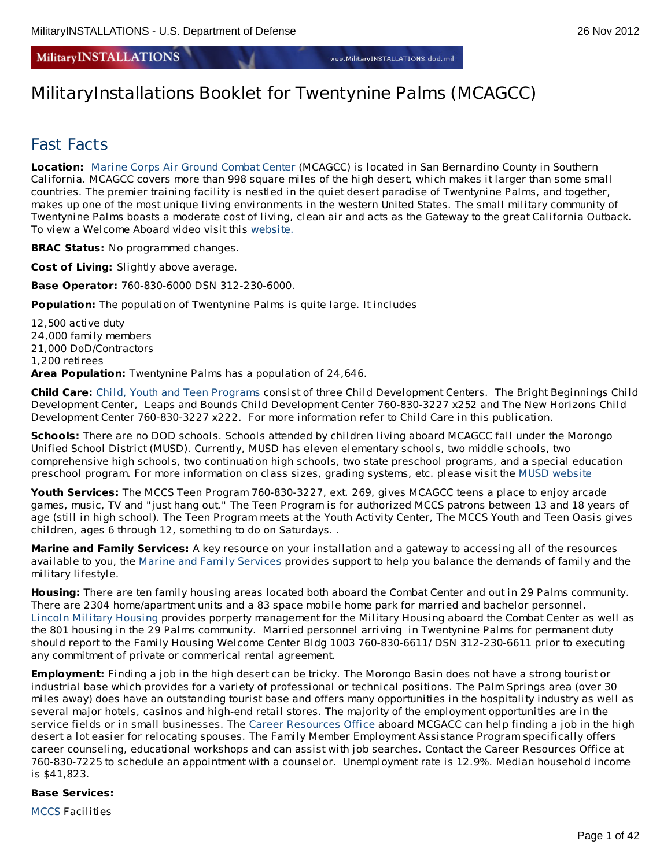# **MilitaryINSTALLATIONS**

# MilitaryInstallations Booklet for Twentynine Palms (MCAGCC)

# Fast Facts

**Location:** Marine Corps Air Ground [Combat](http://www.29palms.usmc.mil/) Center (MCAGCC) is located in San Bernardino County in Southern California. MCAGCC covers more than 998 square miles of the high desert, which makes it larger than some small countries. The premier training facility is nestled in the quiet desert paradise of Twentynine Palms, and together, makes up one of the most unique living environments in the western United States. The small military community of Twentynine Palms boasts a moderate cost of living, clean air and acts as the Gateway to the great California Outback. To view a Welcome Aboard video visit this [website.](http://www.usmc-mccs.org/rap/video)

**BRAC Status:** No programmed changes.

**Cost of Living:** Slightly above average.

**Base Operator:** 760-830-6000 DSN 312-230-6000.

**Population:** The population of Twentynine Palms is quite large. It includes

12,500 active duty 24,000 family members 21,000 DoD/Contractors 1,200 retirees **Area Population:** Twentynine Palms has a population of 24,646.

**Child Care:** Child, Youth and Teen [Programs](http://www.mccs29palms.com/pages/mFamServices/index.html) consist of three Child Development Centers. The Bright Beginnings Child Development Center, Leaps and Bounds Child Development Center 760-830-3227 x252 and The New Horizons Child Development Center 760-830-3227 x222. For more information refer to Child Care in this publication.

**Schools:** There are no DOD schools. Schools attended by children living aboard MCAGCC fall under the Morongo Unified School District (MUSD). Currently, MUSD has eleven elementary schools, two middle schools, two comprehensive high schools, two continuation high schools, two state preschool programs, and a special education preschool program. For more information on class sizes, grading systems, etc. please visit the MUSD [website](http://www.morongo.k12.ca.us/)

**Youth Services:** The MCCS Teen Program 760-830-3227, ext. 269, gives MCAGCC teens a place to enjoy arcade games, music, TV and "just hang out." The Teen Program is for authorized MCCS patrons between 13 and 18 years of age (still in high school). The Teen Program meets at the Youth Activity Center, The MCCS Youth and Teen Oasis gives children, ages 6 through 12, something to do on Saturdays. .

**Marine and Family Services:** A key resource on your installation and a gateway to accessing all of the resources available to you, the Marine and Family [Services](http://www.mccs29palms.com/pages/mFamServices/index.html) provides support to help you balance the demands of family and the military lifestyle.

**Housing:** There are ten family housing areas located both aboard the Combat Center and out in 29 Palms community. There are 2304 home/apartment units and a 83 space mobile home park for married and bachelor personnel. Lincoln Military [Housing](http://www.lpcmil.com/lmh/installations/twentynine_palms/) provides porperty management for the Military Housing aboard the Combat Center as well as the 801 housing in the 29 Palms community. Married personnel arriving in Twentynine Palms for permanent duty should report to the Family Housing Welcome Center Bldg 1003 760-830-6611/ DSN 312-230-6611 prior to executing any commitment of private or commerical rental agreement.

**Employment:** Finding a job in the high desert can be tricky. The Morongo Basin does not have a strong tourist or industrial base which provides for a variety of professional or technical positions. The Palm Springs area (over 30 miles away) does have an outstanding tourist base and offers many opportunities in the hospitality industry as well as several major hotels, casinos and high-end retail stores. The majority of the employment opportunities are in the service fields or in small businesses. The Career [Resources](http://www.mccs29palms.com/pages/mFamServices/croLibrary.html#cro) Office aboard MCGACC can help finding a job in the high desert a lot easier for relocating spouses. The Family Member Employment Assistance Program specifically offers career counseling, educational workshops and can assist with job searches. Contact the Career Resources Office at 760-830-7225 to schedule an appointment with a counselor. Unemployment rate is 12.9%. Median household income is \$41,823.

### **Base Services:**

[MCCS](http://www.mccs29palms.com/index.html) Facilities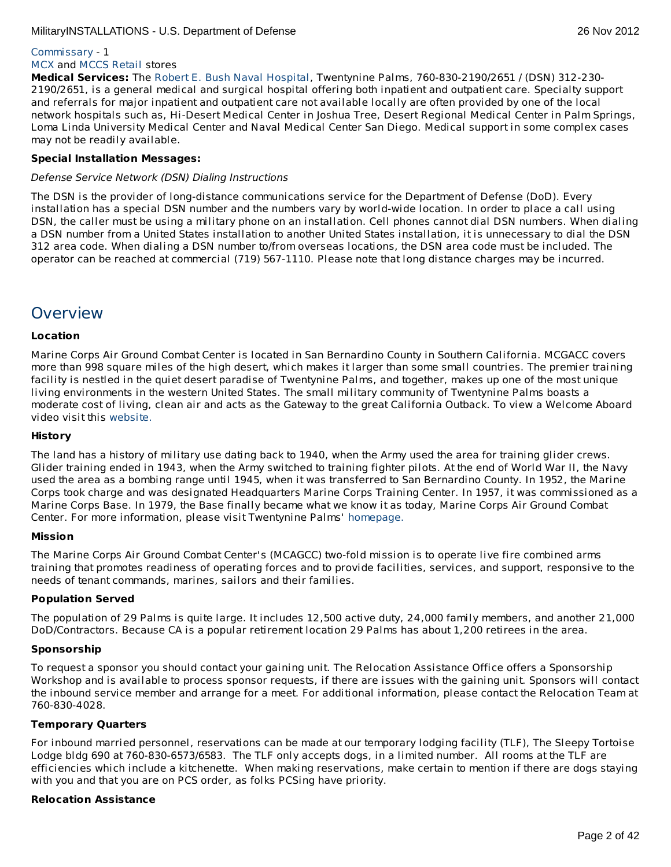# [Commissary](http://www.commissaries.com/stores/html/store.cfm?dodaac=HQCKMD) - 1

# [MCX](http://www.mccs29palms.com/pages/retailServices/mcx.html#mcx) and [MCCS](http://www.mccs29palms.com/pages/retailServices/index.html) Retail stores

**Medical Services:** The Robert E. Bush Naval [Hospital](http://www.med.navy.mil/sites/nhtp/Pages/default.aspx), Twentynine Palms, 760-830-2190/2651 / (DSN) 312-230- 2190/2651, is a general medical and surgical hospital offering both inpatient and outpatient care. Specialty support and referrals for major inpatient and outpatient care not available locally are often provided by one of the local network hospitals such as, Hi-Desert Medical Center in Joshua Tree, Desert Regional Medical Center in Palm Springs, Loma Linda University Medical Center and Naval Medical Center San Diego. Medical support in some complex cases may not be readily available.

# **Special Installation Messages:**

### Defense Service Network (DSN) Dialing Instructions

The DSN is the provider of long-distance communications service for the Department of Defense (DoD). Every installation has a special DSN number and the numbers vary by world-wide location. In order to place a call using DSN, the caller must be using a military phone on an installation. Cell phones cannot dial DSN numbers. When dialing a DSN number from a United States installation to another United States installation, it is unnecessary to dial the DSN 312 area code. When dialing a DSN number to/from overseas locations, the DSN area code must be included. The operator can be reached at commercial (719) 567-1110. Please note that long distance charges may be incurred.

# **Overview**

### **Location**

Marine Corps Air Ground Combat Center is located in San Bernardino County in Southern California. MCGACC covers more than 998 square miles of the high desert, which makes it larger than some small countries. The premier training facility is nestled in the quiet desert paradise of Twentynine Palms, and together, makes up one of the most unique living environments in the western United States. The small military community of Twentynine Palms boasts a moderate cost of living, clean air and acts as the Gateway to the great California Outback. To view a Welcome Aboard video visit this [website.](http://www.usmc-mccs.org/rap/video)

### **History**

The land has a history of military use dating back to 1940, when the Army used the area for training glider crews. Glider training ended in 1943, when the Army switched to training fighter pilots. At the end of World War II, the Navy used the area as a bombing range until 1945, when it was transferred to San Bernardino County. In 1952, the Marine Corps took charge and was designated Headquarters Marine Corps Training Center. In 1957, it was commissioned as a Marine Corps Base. In 1979, the Base finally became what we know it as today, Marine Corps Air Ground Combat Center. For more information, please visit Twentynine Palms' [homepage.](http://www.29palms.usmc.mil/)

# **Mission**

The Marine Corps Air Ground Combat Center's (MCAGCC) two-fold mission is to operate live fire combined arms training that promotes readiness of operating forces and to provide facilities, services, and support, responsive to the needs of tenant commands, marines, sailors and their families.

# **Population Served**

The population of 29 Palms is quite large. It includes 12,500 active duty, 24,000 family members, and another 21,000 DoD/Contractors. Because CA is a popular retirement location 29 Palms has about 1,200 retirees in the area.

# **Sponsorship**

To request a sponsor you should contact your gaining unit. The Relocation Assistance Office offers a Sponsorship Workshop and is available to process sponsor requests, if there are issues with the gaining unit. Sponsors will contact the inbound service member and arrange for a meet. For additional information, please contact the Relocation Team at 760-830-4028.

# **Temporary Quarters**

For inbound married personnel, reservations can be made at our temporary lodging facility (TLF), The Sleepy Tortoise Lodge bldg 690 at 760-830-6573/6583. The TLF only accepts dogs, in a limited number. All rooms at the TLF are efficiencies which include a kitchenette. When making reservations, make certain to mention if there are dogs staying with you and that you are on PCS order, as folks PCSing have priority.

### **Relocation Assistance**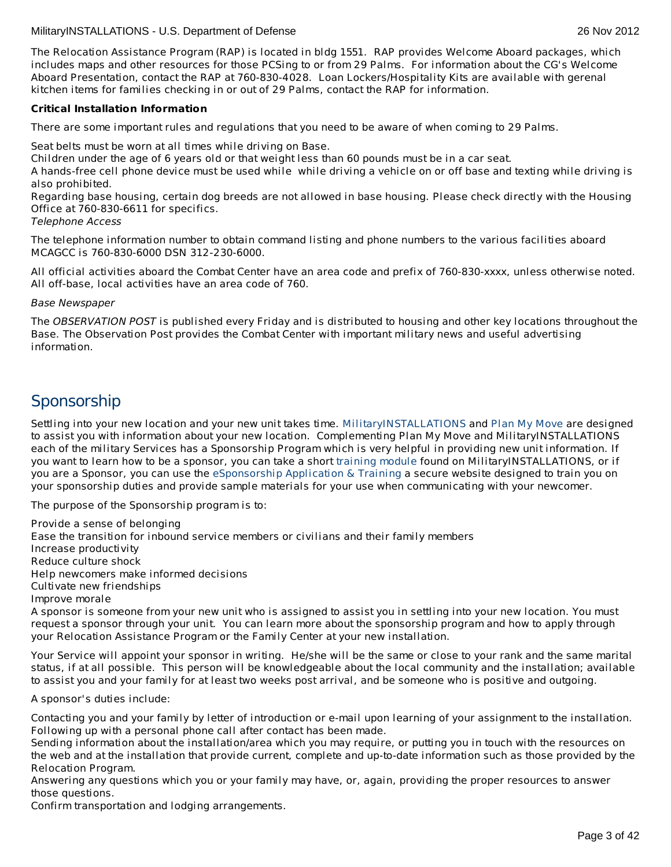The Relocation Assistance Program (RAP) is located in bldg 1551. RAP provides Welcome Aboard packages, which includes maps and other resources for those PCSing to or from 29 Palms. For information about the CG's Welcome Aboard Presentation, contact the RAP at 760-830-4028. Loan Lockers/Hospitality Kits are available with gerenal kitchen items for families checking in or out of 29 Palms, contact the RAP for information.

# **Critical Installation Information**

There are some important rules and regulations that you need to be aware of when coming to 29 Palms.

Seat belts must be worn at all times while driving on Base.

Children under the age of 6 years old or that weight less than 60 pounds must be in a car seat.

A hands-free cell phone device must be used while while driving a vehicle on or off base and texting while driving is also prohibited.

Regarding base housing, certain dog breeds are not allowed in base housing. Please check directly with the Housing Office at 760-830-6611 for specifics.

Telephone Access

The telephone information number to obtain command listing and phone numbers to the various facilities aboard MCAGCC is 760-830-6000 DSN 312-230-6000.

All official activities aboard the Combat Center have an area code and prefix of 760-830-xxxx, unless otherwise noted. All off-base, local activities have an area code of 760.

# Base Newspaper

The OBSERVATION POST is published every Friday and is distributed to housing and other key locations throughout the Base. The Observation Post provides the Combat Center with important military news and useful advertising information.

# **Sponsorship**

Settling into your new location and your new unit takes time. [MilitaryINSTALLATIONS](http://www.militaryinstallations.dod.mil) and Plan My [Move](http://www.militaryhomefront.dod.mil/moving) are designed to assist you with information about your new location. Complementing Plan My Move and MilitaryINSTALLATIONS each of the military Services has a Sponsorship Program which is very helpful in providing new unit information. If you want to learn how to be a sponsor, you can take a short [training](http://apps.militaryonesource.mil/MOS/f?p=ESAT:WELCOMEP) module found on MilitaryINSTALLATIONS, or if you are a Sponsor, you can use the [eSponsorship](http://apps.militaryonesource.mil/esat) Application & Training a secure website designed to train you on your sponsorship duties and provide sample materials for your use when communicating with your newcomer.

The purpose of the Sponsorship program is to:

Provide a sense of belonging Ease the transition for inbound service members or civilians and their family members Increase productivity Reduce culture shock Help newcomers make informed decisions Cultivate new friendships Improve morale A sponsor is someone from your new unit who is assigned to assist you in settling into your new location. You must request a sponsor through your unit. You can learn more about the sponsorship program and how to apply through your Relocation Assistance Program or the Family Center at your new installation.

Your Service will appoint your sponsor in writing. He/she will be the same or close to your rank and the same marital status, if at all possible. This person will be knowledgeable about the local community and the installation; available to assist you and your family for at least two weeks post arrival, and be someone who is positive and outgoing.

A sponsor's duties include:

Contacting you and your family by letter of introduction or e-mail upon learning of your assignment to the installation. Following up with a personal phone call after contact has been made.

Sending information about the installation/area which you may require, or putting you in touch with the resources on the web and at the installation that provide current, complete and up-to-date information such as those provided by the Relocation Program.

Answering any questions which you or your family may have, or, again, providing the proper resources to answer those questions.

Confirm transportation and lodging arrangements.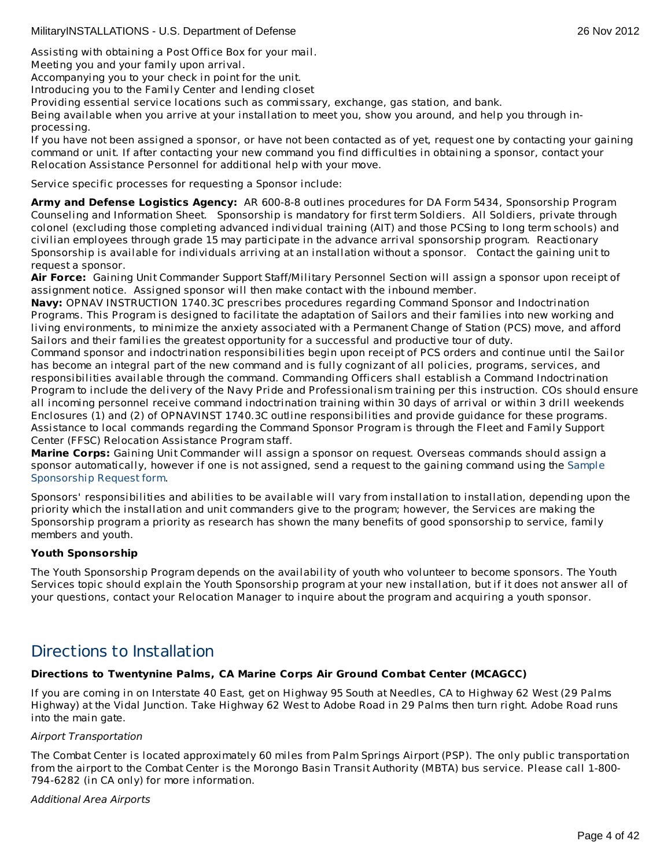Assisting with obtaining a Post Office Box for your mail.

Meeting you and your family upon arrival.

Accompanying you to your check in point for the unit.

Introducing you to the Family Center and lending closet

Providing essential service locations such as commissary, exchange, gas station, and bank.

Being available when you arrive at your installation to meet you, show you around, and help you through inprocessing.

If you have not been assigned a sponsor, or have not been contacted as of yet, request one by contacting your gaining command or unit. If after contacting your new command you find difficulties in obtaining a sponsor, contact your Relocation Assistance Personnel for additional help with your move.

Service specific processes for requesting a Sponsor include:

**Army and Defense Logistics Agency:** AR 600-8-8 outlines procedures for DA Form 5434, Sponsorship Program Counseling and Information Sheet. Sponsorship is mandatory for first term Soldiers. All Soldiers, private through colonel (excluding those completing advanced individual training (AIT) and those PCSing to long term schools) and civilian employees through grade 15 may participate in the advance arrival sponsorship program. Reactionary Sponsorship is available for individuals arriving at an installation without a sponsor. Contact the gaining unit to request a sponsor.

**Air Force:** Gaining Unit Commander Support Staff/Military Personnel Section will assign a sponsor upon receipt of assignment notice. Assigned sponsor will then make contact with the inbound member.

**Navy:** OPNAV INSTRUCTION 1740.3C prescribes procedures regarding Command Sponsor and Indoctrination Programs. This Program is designed to facilitate the adaptation of Sailors and their families into new working and living environments, to minimize the anxiety associated with a Permanent Change of Station (PCS) move, and afford Sailors and their families the greatest opportunity for a successful and productive tour of duty.

Command sponsor and indoctrination responsibilities begin upon receipt of PCS orders and continue until the Sailor has become an integral part of the new command and is fully cognizant of all policies, programs, services, and responsibilities available through the command. Commanding Officers shall establish a Command Indoctrination Program to include the delivery of the Navy Pride and Professionalism training per this instruction. COs should ensure all incoming personnel receive command indoctrination training within 30 days of arrival or within 3 drill weekends Enclosures (1) and (2) of OPNAVINST 1740.3C outline responsibilities and provide guidance for these programs. Assistance to local commands regarding the Command Sponsor Program is through the Fleet and Family Support Center (FFSC) Relocation Assistance Program staff.

**Marine Corps:** Gaining Unit Commander will assign a sponsor on request. Overseas commands should assign a sponsor [automatically,](http://www.militaryonesource.mil/12038/MyDoD/Spons Request Form.doc) however if one is not assigned, send a request to the gaining command using the Sample Sponsorship Request form.

Sponsors' responsibilities and abilities to be available will vary from installation to installation, depending upon the priority which the installation and unit commanders give to the program; however, the Services are making the Sponsorship program a priority as research has shown the many benefits of good sponsorship to service, family members and youth.

# **Youth Sponsorship**

The Youth Sponsorship Program depends on the availability of youth who volunteer to become sponsors. The Youth Services topic should explain the Youth Sponsorship program at your new installation, but if it does not answer all of your questions, contact your Relocation Manager to inquire about the program and acquiring a youth sponsor.

# Directions to Installation

# **Directions to Twentynine Palms, CA Marine Corps Air Ground Combat Center (MCAGCC)**

If you are coming in on Interstate 40 East, get on Highway 95 South at Needles, CA to Highway 62 West (29 Palms Highway) at the Vidal Junction. Take Highway 62 West to Adobe Road in 29 Palms then turn right. Adobe Road runs into the main gate.

#### Airport Transportation

The Combat Center is located approximately 60 miles from Palm Springs Airport (PSP). The only public transportation from the airport to the Combat Center is the Morongo Basin Transit Authority (MBTA) bus service. Please call 1-800- 794-6282 (in CA only) for more information.

#### Additional Area Airports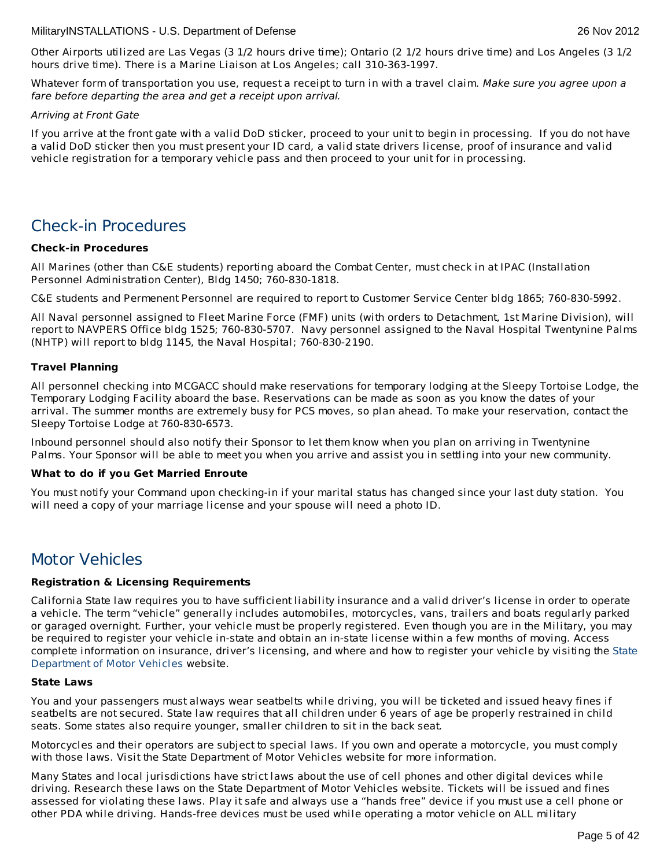Other Airports utilized are Las Vegas (3 1/2 hours drive time); Ontario (2 1/2 hours drive time) and Los Angeles (3 1/2 hours drive time). There is a Marine Liaison at Los Angeles; call 310-363-1997.

Whatever form of transportation you use, request a receipt to turn in with a travel claim. Make sure you agree upon a fare before departing the area and get a receipt upon arrival.

### Arriving at Front Gate

If you arrive at the front gate with a valid DoD sticker, proceed to your unit to begin in processing. If you do not have a valid DoD sticker then you must present your ID card, a valid state drivers license, proof of insurance and valid vehicle registration for a temporary vehicle pass and then proceed to your unit for in processing.

# Check-in Procedures

# **Check-in Procedures**

All Marines (other than C&E students) reporting aboard the Combat Center, must check in at IPAC (Installation Personnel Administration Center), Bldg 1450; 760-830-1818.

C&E students and Permenent Personnel are required to report to Customer Service Center bldg 1865; 760-830-5992.

All Naval personnel assigned to Fleet Marine Force (FMF) units (with orders to Detachment, 1st Marine Division), will report to NAVPERS Office bldg 1525; 760-830-5707. Navy personnel assigned to the Naval Hospital Twentynine Palms (NHTP) will report to bldg 1145, the Naval Hospital; 760-830-2190.

# **Travel Planning**

All personnel checking into MCGACC should make reservations for temporary lodging at the Sleepy Tortoise Lodge, the Temporary Lodging Facility aboard the base. Reservations can be made as soon as you know the dates of your arrival. The summer months are extremely busy for PCS moves, so plan ahead. To make your reservation, contact the Sleepy Tortoise Lodge at 760-830-6573.

Inbound personnel should also notify their Sponsor to let them know when you plan on arriving in Twentynine Palms. Your Sponsor will be able to meet you when you arrive and assist you in settling into your new community.

# **What to do if you Get Married Enroute**

You must notify your Command upon checking-in if your marital status has changed since your last duty station. You will need a copy of your marriage license and your spouse will need a photo ID.

# Motor Vehicles

# **Registration & Licensing Requirements**

California State law requires you to have sufficient liability insurance and a valid driver's license in order to operate a vehicle. The term "vehicle" generally includes automobiles, motorcycles, vans, trailers and boats regularly parked or garaged overnight. Further, your vehicle must be properly registered. Even though you are in the Military, you may be required to register your vehicle in-state and obtain an in-state license within a few months of moving. Access complete [information](http://www.dmv.ca.gov/) on insurance, driver's licensing, and where and how to register your vehicle by visiting the State Department of Motor Vehicles website.

#### **State Laws**

You and your passengers must always wear seatbelts while driving, you will be ticketed and issued heavy fines if seatbelts are not secured. State law requires that all children under 6 years of age be properly restrained in child seats. Some states also require younger, smaller children to sit in the back seat.

Motorcycles and their operators are subject to special laws. If you own and operate a motorcycle, you must comply with those laws. Visit the State Department of Motor Vehicles website for more information.

Many States and local jurisdictions have strict laws about the use of cell phones and other digital devices while driving. Research these laws on the State Department of Motor Vehicles website. Tickets will be issued and fines assessed for violating these laws. Play it safe and always use a "hands free" device if you must use a cell phone or other PDA while driving. Hands-free devices must be used while operating a motor vehicle on ALL military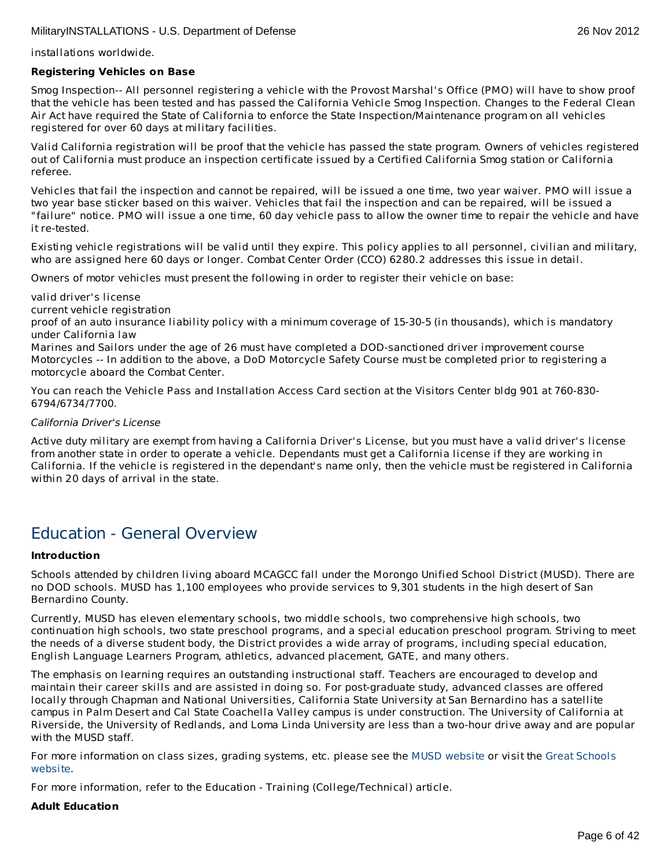installations worldwide.

### **Registering Vehicles on Base**

Smog Inspection-- All personnel registering a vehicle with the Provost Marshal's Office (PMO) will have to show proof that the vehicle has been tested and has passed the California Vehicle Smog Inspection. Changes to the Federal Clean Air Act have required the State of California to enforce the State Inspection/Maintenance program on all vehicles registered for over 60 days at military facilities.

Valid California registration will be proof that the vehicle has passed the state program. Owners of vehicles registered out of California must produce an inspection certificate issued by a Certified California Smog station or California referee.

Vehicles that fail the inspection and cannot be repaired, will be issued a one time, two year waiver. PMO will issue a two year base sticker based on this waiver. Vehicles that fail the inspection and can be repaired, will be issued a "failure" notice. PMO will issue a one time, 60 day vehicle pass to allow the owner time to repair the vehicle and have it re-tested.

Existing vehicle registrations will be valid until they expire. This policy applies to all personnel, civilian and military, who are assigned here 60 days or longer. Combat Center Order (CCO) 6280.2 addresses this issue in detail.

Owners of motor vehicles must present the following in order to register their vehicle on base:

valid driver's license

current vehicle registration

proof of an auto insurance liability policy with a minimum coverage of 15-30-5 (in thousands), which is mandatory under California law

Marines and Sailors under the age of 26 must have completed a DOD-sanctioned driver improvement course Motorcycles -- In addition to the above, a DoD Motorcycle Safety Course must be completed prior to registering a motorcycle aboard the Combat Center.

You can reach the Vehicle Pass and Installation Access Card section at the Visitors Center bldg 901 at 760-830- 6794/6734/7700.

### California Driver's License

Active duty military are exempt from having a California Driver's License, but you must have a valid driver's license from another state in order to operate a vehicle. Dependants must get a California license if they are working in California. If the vehicle is registered in the dependant's name only, then the vehicle must be registered in California within 20 days of arrival in the state.

# Education - General Overview

#### **Introduction**

Schools attended by children living aboard MCAGCC fall under the Morongo Unified School District (MUSD). There are no DOD schools. MUSD has 1,100 employees who provide services to 9,301 students in the high desert of San Bernardino County.

Currently, MUSD has eleven elementary schools, two middle schools, two comprehensive high schools, two continuation high schools, two state preschool programs, and a special education preschool program. Striving to meet the needs of a diverse student body, the District provides a wide array of programs, including special education, English Language Learners Program, athletics, advanced placement, GATE, and many others.

The emphasis on learning requires an outstanding instructional staff. Teachers are encouraged to develop and maintain their career skills and are assisted in doing so. For post-graduate study, advanced classes are offered locally through Chapman and National Universities, California State University at San Bernardino has a satellite campus in Palm Desert and Cal State Coachella Valley campus is under construction. The University of California at Riverside, the University of Redlands, and Loma Linda University are less than a two-hour drive away and are popular with the MUSD staff.

For more [information](http://www.greatschools.net/) on class sizes, grading systems, etc. please see the MUSD [website](http://www.morongo.k12.ca.us/) or visit the Great Schools website.

For more information, refer to the Education - Training (College/Technical) article.

# **Adult Education**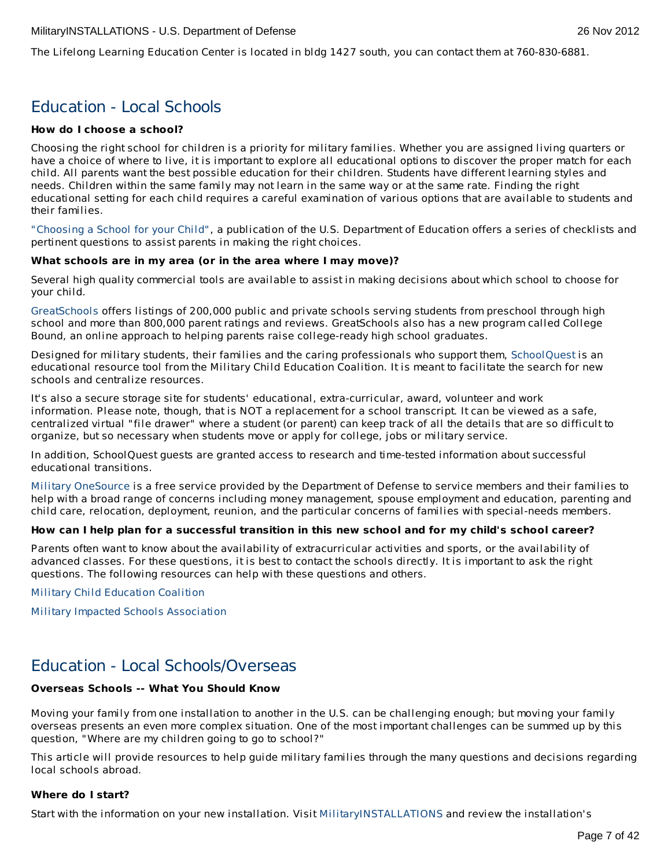The Lifelong Learning Education Center is located in bldg 1427 south, you can contact them at 760-830-6881.

# Education - Local Schools

# **How do I choose a school?**

Choosing the right school for children is a priority for military families. Whether you are assigned living quarters or have a choice of where to live, it is important to explore all educational options to discover the proper match for each child. All parents want the best possible education for their children. Students have different learning styles and needs. Children within the same family may not learn in the same way or at the same rate. Finding the right educational setting for each child requires a careful examination of various options that are available to students and their families.

["Choosing](http://www2.ed.gov/parents/schools/find/choose/index.html) a School for your Child", a publication of the U.S. Department of Education offers a series of checklists and pertinent questions to assist parents in making the right choices.

### **What schools are in my area (or in the area where I may move)?**

Several high quality commercial tools are available to assist in making decisions about which school to choose for your child.

[GreatSchools](http://www.greatschools.org) offers listings of 200,000 public and private schools serving students from preschool through high school and more than 800,000 parent ratings and reviews. GreatSchools also has a new program called College Bound, an online approach to helping parents raise college-ready high school graduates.

Designed for military students, their families and the caring professionals who support them, [SchoolQuest](http://www.schoolquest.org) is an educational resource tool from the Military Child Education Coalition. It is meant to facilitate the search for new schools and centralize resources.

It's also a secure storage site for students' educational, extra-curricular, award, volunteer and work information. Please note, though, that is NOT a replacement for a school transcript. It can be viewed as a safe, centralized virtual "file drawer" where a student (or parent) can keep track of all the details that are so difficult to organize, but so necessary when students move or apply for college, jobs or military service.

In addition, SchoolQuest guests are granted access to research and time-tested information about successful educational transitions.

Military [OneSource](http://www.militaryonesource.mil) is a free service provided by the Department of Defense to service members and their families to help with a broad range of concerns including money management, spouse employment and education, parenting and child care, relocation, deployment, reunion, and the particular concerns of families with special-needs members.

# How can I help plan for a successful transition in this new school and for my child's school career?

Parents often want to know about the availability of extracurricular activities and sports, or the availability of advanced classes. For these questions, it is best to contact the schools directly. It is important to ask the right questions. The following resources can help with these questions and others.

Military Child [Education](http://www.militarychild.org) Coalition

Military Impacted Schools [Association](http://militaryimpactedschoolsassociation.org/)

# Education - Local Schools/Overseas

# **Overseas Schools -- What You Should Know**

Moving your family from one installation to another in the U.S. can be challenging enough; but moving your family overseas presents an even more complex situation. One of the most important challenges can be summed up by this question, "Where are my children going to go to school?"

This article will provide resources to help guide military families through the many questions and decisions regarding local schools abroad.

# **Where do I start?**

Start with the information on your new installation. Visit [MilitaryINSTALLATIONS](http://www.militaryinstallations.dod.mil) and review the installation's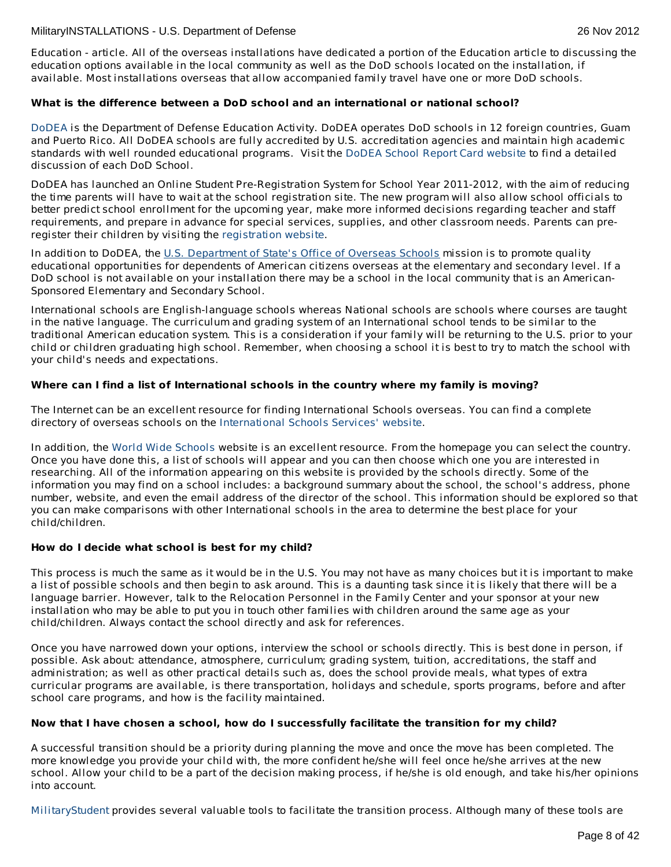Education - article. All of the overseas installations have dedicated a portion of the Education article to discussing the education options available in the local community as well as the DoD schools located on the installation, if available. Most installations overseas that allow accompanied family travel have one or more DoD schools.

# **What is the difference between a DoD school and an international or national school?**

[DoDEA](http://www.dodea.edu/home/index.cfm) is the Department of Defense Education Activity. DoDEA operates DoD schools in 12 foreign countries, Guam and Puerto Rico. All DoDEA schools are fully accredited by U.S. accreditation agencies and maintain high academic standards with well rounded educational programs. Visit the DoDEA School Report Card [website](https://webapps.dodea.edu/SRC) to find a detailed discussion of each DoD School.

DoDEA has launched an Online Student Pre-Registration System for School Year 2011-2012, with the aim of reducing the time parents will have to wait at the school registration site. The new program will also allow school officials to better predict school enrollment for the upcoming year, make more informed decisions regarding teacher and staff requirements, and prepare in advance for special services, supplies, and other classroom needs. Parents can preregister their children by visiting the [registration](https://registration.dodea.edu/privacy-act.cfm) website.

In addition to DoDEA, the U.S. [Department](http://www.state.gov/m/a/os/) of State's Office of Overseas Schools mission is to promote quality educational opportunities for dependents of American citizens overseas at the elementary and secondary level. If a DoD school is not available on your installation there may be a school in the local community that is an American-Sponsored Elementary and Secondary School.

International schools are English-language schools whereas National schools are schools where courses are taught in the native language. The curriculum and grading system of an International school tends to be similar to the traditional American education system. This is a consideration if your family will be returning to the U.S. prior to your child or children graduating high school. Remember, when choosing a school it is best to try to match the school with your child's needs and expectations.

# **Where can I find a list of International schools in the country where my family is moving?**

The Internet can be an excellent resource for finding International Schools overseas. You can find a complete directory of overseas schools on the [International](http://www.iss.edu/) Schools Services' website.

In addition, the World Wide [Schools](http://www.english-schools.org/index.htm) website is an excellent resource. From the homepage you can select the country. Once you have done this, a list of schools will appear and you can then choose which one you are interested in researching. All of the information appearing on this website is provided by the schools directly. Some of the information you may find on a school includes: a background summary about the school, the school's address, phone number, website, and even the email address of the director of the school. This information should be explored so that you can make comparisons with other International schools in the area to determine the best place for your child/children.

# **How do I decide what school is best for my child?**

This process is much the same as it would be in the U.S. You may not have as many choices but it is important to make a list of possible schools and then begin to ask around. This is a daunting task since it is likely that there will be a language barrier. However, talk to the Relocation Personnel in the Family Center and your sponsor at your new installation who may be able to put you in touch other families with children around the same age as your child/children. Always contact the school directly and ask for references.

Once you have narrowed down your options, interview the school or schools directly. This is best done in person, if possible. Ask about: attendance, atmosphere, curriculum; grading system, tuition, accreditations, the staff and administration; as well as other practical details such as, does the school provide meals, what types of extra curricular programs are available, is there transportation, holidays and schedule, sports programs, before and after school care programs, and how is the facility maintained.

# **Now that I have chosen a school, how do I successfully facilitate the transition for my child?**

A successful transition should be a priority during planning the move and once the move has been completed. The more knowledge you provide your child with, the more confident he/she will feel once he/she arrives at the new school. Allow your child to be a part of the decision making process, if he/she is old enough, and take his/her opinions into account.

[MilitaryStudent](http://militaryk12partners.dodea.edu/) provides several valuable tools to facilitate the transition process. Although many of these tools are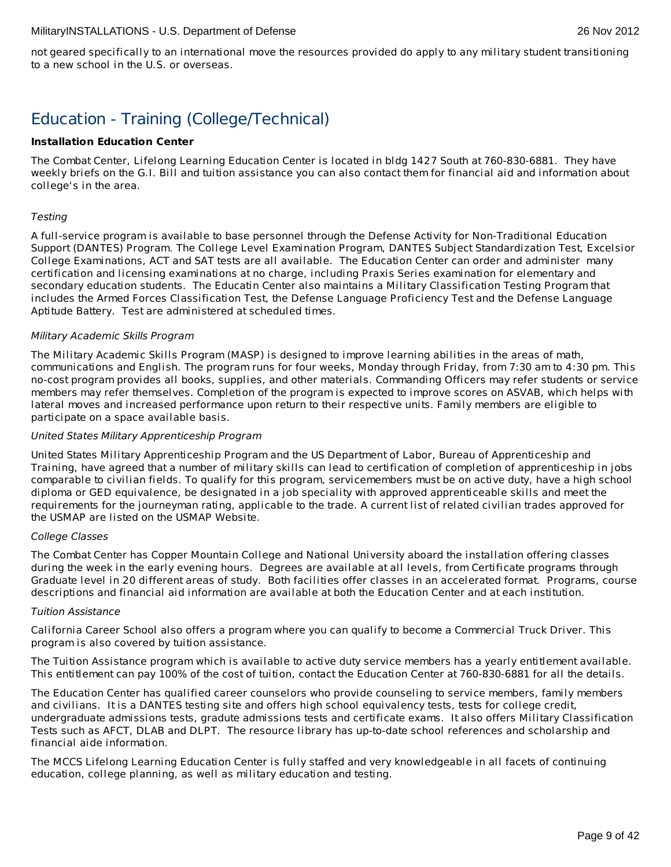not geared specifically to an international move the resources provided do apply to any military student transitioning to a new school in the U.S. or overseas.

# Education - Training (College/Technical)

# **Installation Education Center**

The Combat Center, Lifelong Learning Education Center is located in bldg 1427 South at 760-830-6881. They have weekly briefs on the G.I. Bill and tuition assistance you can also contact them for financial aid and information about college's in the area.

### Testing

A full-service program is available to base personnel through the Defense Activity for Non-Traditional Education Support (DANTES) Program. The College Level Examination Program, DANTES Subject Standardization Test, Excelsior College Examinations, ACT and SAT tests are all available. The Education Center can order and administer many certification and licensing examinations at no charge, including Praxis Series examination for elementary and secondary education students. The Educatin Center also maintains a Military Classification Testing Program that includes the Armed Forces Classification Test, the Defense Language Proficiency Test and the Defense Language Aptitude Battery. Test are administered at scheduled times.

# Military Academic Skills Program

The Military Academic Skills Program (MASP) is designed to improve learning abilities in the areas of math, communications and English. The program runs for four weeks, Monday through Friday, from 7:30 am to 4:30 pm. This no-cost program provides all books, supplies, and other materials. Commanding Officers may refer students or service members may refer themselves. Completion of the program is expected to improve scores on ASVAB, which helps with lateral moves and increased performance upon return to their respective units. Family members are eligible to participate on a space available basis.

# United States Military Apprenticeship Program

United States Military Apprenticeship Program and the US Department of Labor, Bureau of Apprenticeship and Training, have agreed that a number of military skills can lead to certification of completion of apprenticeship in jobs comparable to civilian fields. To qualify for this program, servicemembers must be on active duty, have a high school diploma or GED equivalence, be designated in a job speciality with approved apprenticeable skills and meet the requirements for the journeyman rating, applicable to the trade. A current list of related civilian trades approved for the USMAP are listed on the USMAP Website.

#### College Classes

The Combat Center has Copper Mountain College and National University aboard the installation offering classes during the week in the early evening hours. Degrees are available at all levels, from Certificate programs through Graduate level in 20 different areas of study. Both facilities offer classes in an accelerated format. Programs, course descriptions and financial aid information are available at both the Education Center and at each institution.

#### Tuition Assistance

California Career School also offers a program where you can qualify to become a Commercial Truck Driver. This program is also covered by tuition assistance.

The Tuition Assistance program which is available to active duty service members has a yearly entitlement available. This entitlement can pay 100% of the cost of tuition, contact the Education Center at 760-830-6881 for all the details.

The Education Center has qualified career counselors who provide counseling to service members, family members and civilians. It is a DANTES testing site and offers high school equivalency tests, tests for college credit, undergraduate admissions tests, gradute admissions tests and certificate exams. It also offers Military Classification Tests such as AFCT, DLAB and DLPT. The resource library has up-to-date school references and scholarship and financial aide information.

The MCCS Lifelong Learning Education Center is fully staffed and very knowledgeable in all facets of continuing education, college planning, as well as military education and testing.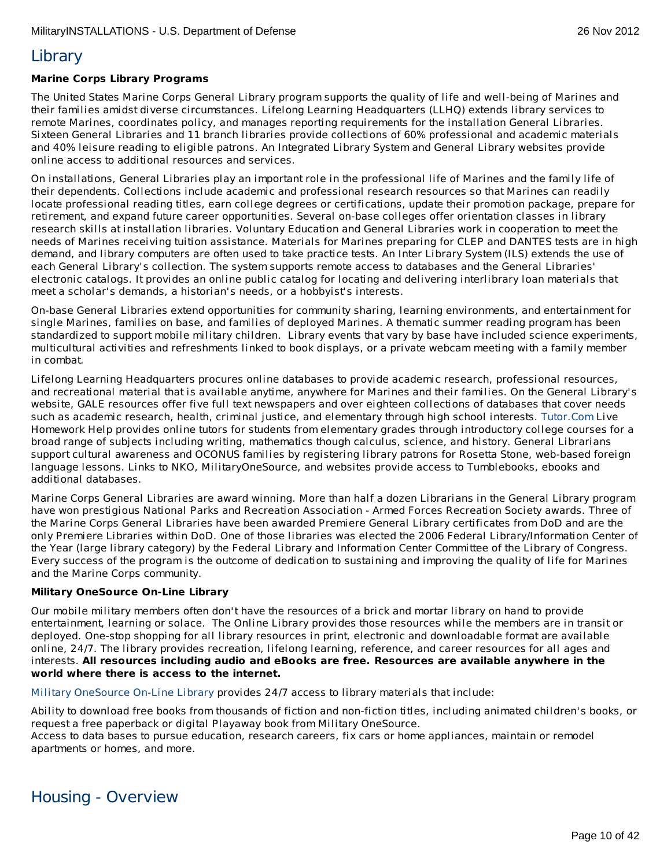# **Library**

# **Marine Corps Library Programs**

The United States Marine Corps General Library program supports the quality of life and well-being of Marines and their families amidst diverse circumstances. Lifelong Learning Headquarters (LLHQ) extends library services to remote Marines, coordinates policy, and manages reporting requirements for the installation General Libraries. Sixteen General Libraries and 11 branch libraries provide collections of 60% professional and academic materials and 40% leisure reading to eligible patrons. An Integrated Library System and General Library websites provide online access to additional resources and services.

On installations, General Libraries play an important role in the professional life of Marines and the family life of their dependents. Collections include academic and professional research resources so that Marines can readily locate professional reading titles, earn college degrees or certifications, update their promotion package, prepare for retirement, and expand future career opportunities. Several on-base colleges offer orientation classes in library research skills at installation libraries. Voluntary Education and General Libraries work in cooperation to meet the needs of Marines receiving tuition assistance. Materials for Marines preparing for CLEP and DANTES tests are in high demand, and library computers are often used to take practice tests. An Inter Library System (ILS) extends the use of each General Library's collection. The system supports remote access to databases and the General Libraries' electronic catalogs. It provides an online public catalog for locating and delivering interlibrary loan materials that meet a scholar's demands, a historian's needs, or a hobbyist's interests.

On-base General Libraries extend opportunities for community sharing, learning environments, and entertainment for single Marines, families on base, and families of deployed Marines. A thematic summer reading program has been standardized to support mobile military children. Library events that vary by base have included science experiments, multicultural activities and refreshments linked to book displays, or a private webcam meeting with a family member in combat.

Lifelong Learning Headquarters procures online databases to provide academic research, professional resources, and recreational material that is available anytime, anywhere for Marines and their families. On the General Library's website, GALE resources offer five full text newspapers and over eighteen collections of databases that cover needs such as academic research, health, criminal justice, and elementary through high school interests. [Tutor.Com](http://www.tutor.com/) Live Homework Help provides online tutors for students from elementary grades through introductory college courses for a broad range of subjects including writing, mathematics though calculus, science, and history. General Librarians support cultural awareness and OCONUS families by registering library patrons for Rosetta Stone, web-based foreign language lessons. Links to NKO, MilitaryOneSource, and websites provide access to Tumblebooks, ebooks and additional databases.

Marine Corps General Libraries are award winning. More than half a dozen Librarians in the General Library program have won prestigious National Parks and Recreation Association - Armed Forces Recreation Society awards. Three of the Marine Corps General Libraries have been awarded Premiere General Library certificates from DoD and are the only Premiere Libraries within DoD. One of those libraries was elected the 2006 Federal Library/Information Center of the Year (large library category) by the Federal Library and Information Center Committee of the Library of Congress. Every success of the program is the outcome of dedication to sustaining and improving the quality of life for Marines and the Marine Corps community.

# **Military OneSource On-Line Library**

Our mobile military members often don't have the resources of a brick and mortar library on hand to provide entertainment, learning or solace. The Online Library provides those resources while the members are in transit or deployed. One-stop shopping for all library resources in print, electronic and downloadable format are available online, 24/7. The library provides recreation, lifelong learning, reference, and career resources for all ages and interests. **All resources including audio and eBooks are free. Resources are available anywhere in the world where there is access to the internet.**

Military [OneSource](http://www.militaryonesource.mil) On-Line Library provides 24/7 access to library materials that include:

Ability to download free books from thousands of fiction and non-fiction titles, including animated children's books, or request a free paperback or digital Playaway book from Military OneSource.

Access to data bases to pursue education, research careers, fix cars or home appliances, maintain or remodel apartments or homes, and more.

# Housing - Overview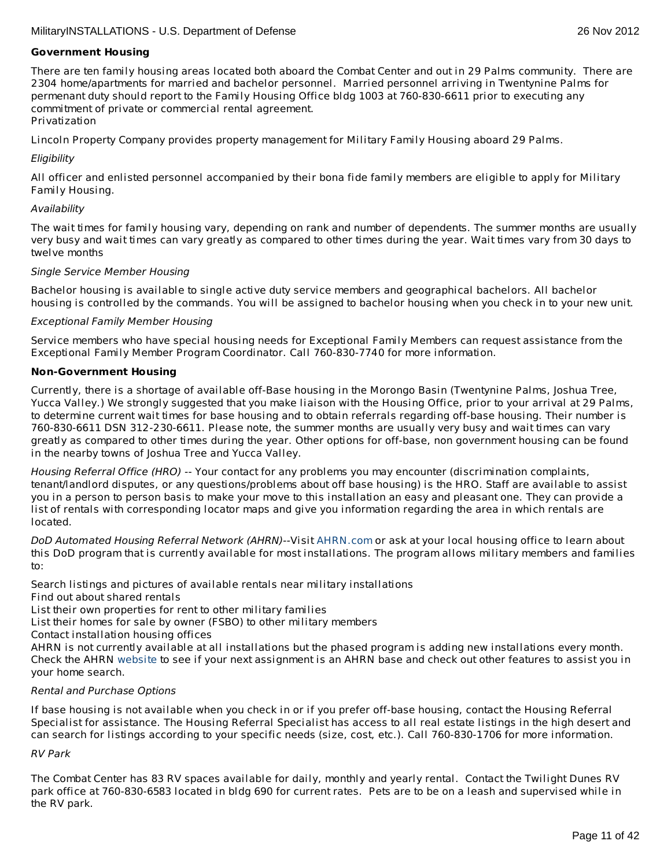### **Government Housing**

There are ten family housing areas located both aboard the Combat Center and out in 29 Palms community. There are 2304 home/apartments for married and bachelor personnel. Married personnel arriving in Twentynine Palms for permenant duty should report to the Family Housing Office bldg 1003 at 760-830-6611 prior to executing any commitment of private or commercial rental agreement. Privatization

Lincoln Property Company provides property management for Military Family Housing aboard 29 Palms.

### **Eligibility**

All officer and enlisted personnel accompanied by their bona fide family members are eligible to apply for Military Family Housing.

#### Availability

The wait times for family housing vary, depending on rank and number of dependents. The summer months are usually very busy and wait times can vary greatly as compared to other times during the year. Wait times vary from 30 days to twelve months

#### Single Service Member Housing

Bachelor housing is available to single active duty service members and geographical bachelors. All bachelor housing is controlled by the commands. You will be assigned to bachelor housing when you check in to your new unit.

#### Exceptional Family Member Housing

Service members who have special housing needs for Exceptional Family Members can request assistance from the Exceptional Family Member Program Coordinator. Call 760-830-7740 for more information.

#### **Non-Government Housing**

Currently, there is a shortage of available off-Base housing in the Morongo Basin (Twentynine Palms, Joshua Tree, Yucca Valley.) We strongly suggested that you make liaison with the Housing Office, prior to your arrival at 29 Palms, to determine current wait times for base housing and to obtain referrals regarding off-base housing. Their number is 760-830-6611 DSN 312-230-6611. Please note, the summer months are usually very busy and wait times can vary greatly as compared to other times during the year. Other options for off-base, non government housing can be found in the nearby towns of Joshua Tree and Yucca Valley.

Housing Referral Office (HRO) -- Your contact for any problems you may encounter (discrimination complaints, tenant/landlord disputes, or any questions/problems about off base housing) is the HRO. Staff are available to assist you in a person to person basis to make your move to this installation an easy and pleasant one. They can provide a list of rentals with corresponding locator maps and give you information regarding the area in which rentals are located.

DoD Automated Housing Referral Network (AHRN)--Visit [AHRN.com](http://www.ahrn.com/) or ask at your local housing office to learn about this DoD program that is currently available for most installations. The program allows military members and families to:

Search listings and pictures of available rentals near military installations

Find out about shared rentals

List their own properties for rent to other military families

List their homes for sale by owner (FSBO) to other military members

Contact installation housing offices

AHRN is not currently available at all installations but the phased program is adding new installations every month. Check the AHRN [website](http://www.ahrn.com) to see if your next assignment is an AHRN base and check out other features to assist you in your home search.

#### Rental and Purchase Options

If base housing is not available when you check in or if you prefer off-base housing, contact the Housing Referral Specialist for assistance. The Housing Referral Specialist has access to all real estate listings in the high desert and can search for listings according to your specific needs (size, cost, etc.). Call 760-830-1706 for more information.

# RV Park

The Combat Center has 83 RV spaces available for daily, monthly and yearly rental. Contact the Twilight Dunes RV park office at 760-830-6583 located in bldg 690 for current rates. Pets are to be on a leash and supervised while in the RV park.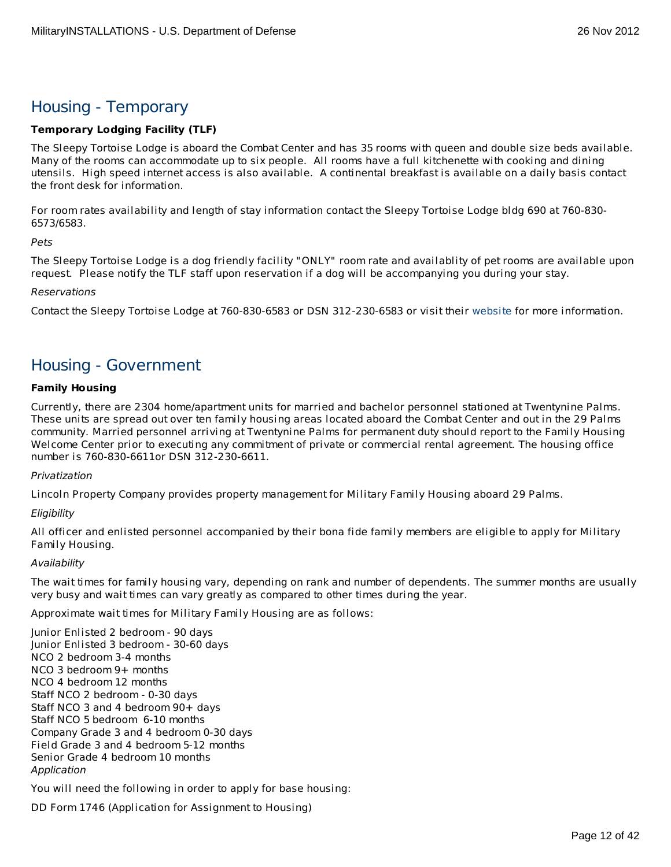# Housing - Temporary

# **Temporary Lodging Facility (TLF)**

The Sleepy Tortoise Lodge is aboard the Combat Center and has 35 rooms with queen and double size beds available. Many of the rooms can accommodate up to six people. All rooms have a full kitchenette with cooking and dining utensils. High speed internet access is also available. A continental breakfast is available on a daily basis contact the front desk for information.

For room rates availability and length of stay information contact the Sleepy Tortoise Lodge bldg 690 at 760-830- 6573/6583.

Pets

The Sleepy Tortoise Lodge is a dog friendly facility "ONLY" room rate and availablity of pet rooms are available upon request. Please notify the TLF staff upon reservation if a dog will be accompanying you during your stay.

### Reservations

Contact the Sleepy Tortoise Lodge at 760-830-6583 or DSN 312-230-6583 or visit their [website](http://www.mccs29palms.com/) for more information.

# Housing - Government

# **Family Housing**

Currently, there are 2304 home/apartment units for married and bachelor personnel stationed at Twentynine Palms. These units are spread out over ten family housing areas located aboard the Combat Center and out in the 29 Palms community. Married personnel arriving at Twentynine Palms for permanent duty should report to the Family Housing Welcome Center prior to executing any commitment of private or commercial rental agreement. The housing office number is 760-830-6611or DSN 312-230-6611.

# Privatization

Lincoln Property Company provides property management for Military Family Housing aboard 29 Palms.

# **Eligibility**

All officer and enlisted personnel accompanied by their bona fide family members are eligible to apply for Military Family Housing.

# Availability

The wait times for family housing vary, depending on rank and number of dependents. The summer months are usually very busy and wait times can vary greatly as compared to other times during the year.

Approximate wait times for Military Family Housing are as follows:

Junior Enlisted 2 bedroom - 90 days Junior Enlisted 3 bedroom - 30-60 days NCO 2 bedroom 3-4 months NCO 3 bedroom 9+ months NCO 4 bedroom 12 months Staff NCO 2 bedroom - 0-30 days Staff NCO 3 and 4 bedroom 90+ days Staff NCO 5 bedroom 6-10 months Company Grade 3 and 4 bedroom 0-30 days Field Grade 3 and 4 bedroom 5-12 months Senior Grade 4 bedroom 10 months Application

You will need the following in order to apply for base housing:

DD Form 1746 (Application for Assignment to Housing)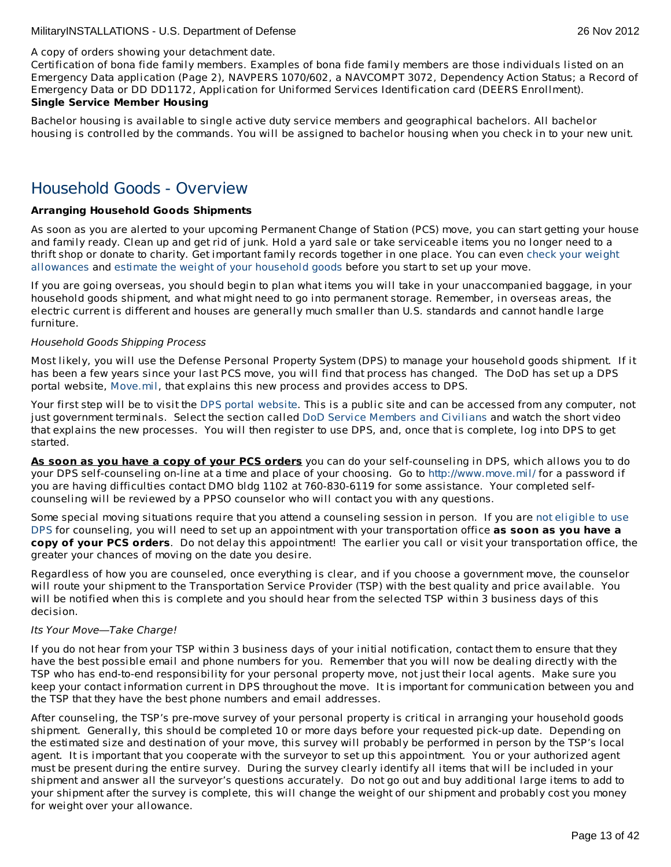### A copy of orders showing your detachment date.

Certification of bona fide family members. Examples of bona fide family members are those individuals listed on an Emergency Data application (Page 2), NAVPERS 1070/602, a NAVCOMPT 3072, Dependency Action Status; a Record of Emergency Data or DD DD1172, Application for Uniformed Services Identification card (DEERS Enrollment). **Single Service Member Housing**

Bachelor housing is available to single active duty service members and geographical bachelors. All bachelor housing is controlled by the commands. You will be assigned to bachelor housing when you check in to your new unit.

# Household Goods - Overview

# **Arranging Household Goods Shipments**

As soon as you are alerted to your upcoming Permanent Change of Station (PCS) move, you can start getting your house and family ready. Clean up and get rid of junk. Hold a yard sale or take serviceable items you no longer need to a thrift shop or donate to charity. Get important family records together in one place. You can even check your weight [allowances](http://www.move.mil/dod.htm#beforeBegin_dodWeightAllow) and estimate the weight of your [household](http://www.move.mil/dod.htm#beforeBegin_dodWeightAllow) goods before you start to set up your move.

If you are going overseas, you should begin to plan what items you will take in your unaccompanied baggage, in your household goods shipment, and what might need to go into permanent storage. Remember, in overseas areas, the electric current is different and houses are generally much smaller than U.S. standards and cannot handle large furniture.

### Household Goods Shipping Process

Most likely, you will use the Defense Personal Property System (DPS) to manage your household goods shipment. If it has been a few years since your last PCS move, you will find that process has changed. The DoD has set up a DPS portal website, [Move.mil](http://www.move.mil/home.htm), that explains this new process and provides access to DPS.

Your first step will be to visit the DPS portal [website](http://www.move.mil/home.htm). This is a public site and can be accessed from any computer, not just government terminals. Select the section called DoD Service [Members](http://www.move.mil/dod.htm#beforeBegin_) and Civilians and watch the short video that explains the new processes. You will then register to use DPS, and, once that is complete, log into DPS to get started.

**As soon as you have a copy of your PCS orders** you can do your self-counseling in DPS, which allows you to do your DPS self-counseling on-line at a time and place of your choosing. Go to <http://www.move.mil/> for a password if you are having difficulties contact DMO bldg 1102 at 760-830-6119 for some assistance. Your completed selfcounseling will be reviewed by a PPSO counselor who will contact you with any questions.

Some special moving situations require that you attend a counseling session in person. If you are not eligible to use DPS for counseling, you will need to set up an appointment with your [transportation](http://www.move.mil/accessingDPS.htm) office **as soon as you have a copy of your PCS orders**. Do not delay this appointment! The earlier you call or visit your transportation office, the greater your chances of moving on the date you desire.

Regardless of how you are counseled, once everything is clear, and if you choose a government move, the counselor will route your shipment to the Transportation Service Provider (TSP) with the best quality and price available. You will be notified when this is complete and you should hear from the selected TSP within 3 business days of this decision.

#### Its Your Move—Take Charge!

If you do not hear from your TSP within 3 business days of your initial notification, contact them to ensure that they have the best possible email and phone numbers for you. Remember that you will now be dealing directly with the TSP who has end-to-end responsibility for your personal property move, not just their local agents. Make sure you keep your contact information current in DPS throughout the move. It is important for communication between you and the TSP that they have the best phone numbers and email addresses.

After counseling, the TSP's pre-move survey of your personal property is critical in arranging your household goods shipment. Generally, this should be completed 10 or more days before your requested pick-up date. Depending on the estimated size and destination of your move, this survey will probably be performed in person by the TSP's local agent. It is important that you cooperate with the surveyor to set up this appointment. You or your authorized agent must be present during the entire survey. During the survey clearly identify all items that will be included in your shipment and answer all the surveyor's questions accurately. Do not go out and buy additional large items to add to your shipment after the survey is complete, this will change the weight of our shipment and probably cost you money for weight over your allowance.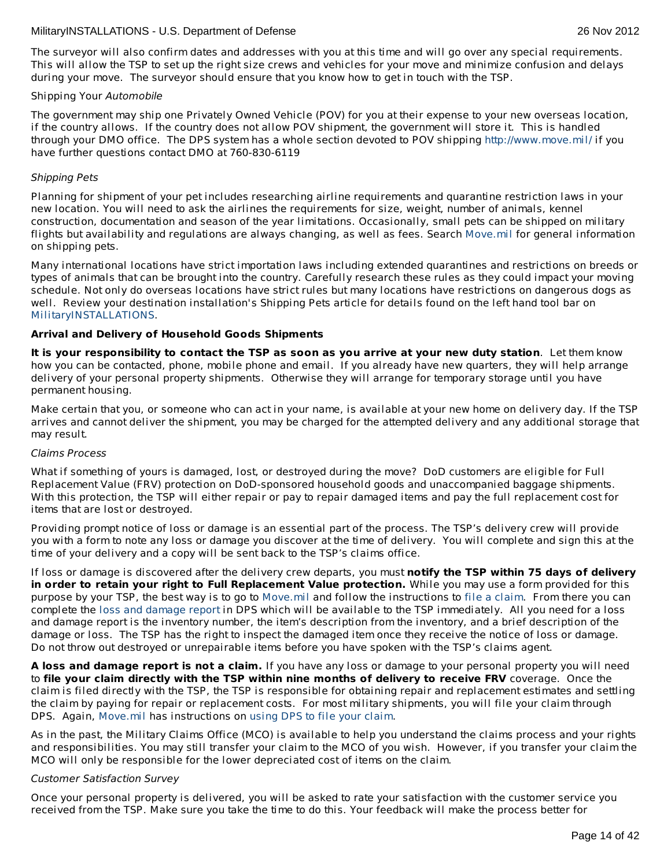The surveyor will also confirm dates and addresses with you at this time and will go over any special requirements. This will allow the TSP to set up the right size crews and vehicles for your move and minimize confusion and delays during your move. The surveyor should ensure that you know how to get in touch with the TSP.

### Shipping Your Automobile

The government may ship one Privately Owned Vehicle (POV) for you at their expense to your new overseas location, if the country allows. If the country does not allow POV shipment, the government will store it. This is handled through your DMO office. The DPS system has a whole section devoted to POV shipping <http://www.move.mil/> if you have further questions contact DMO at 760-830-6119

# Shipping Pets

Planning for shipment of your pet includes researching airline requirements and quarantine restriction laws in your new location. You will need to ask the airlines the requirements for size, weight, number of animals, kennel construction, documentation and season of the year limitations. Occasionally, small pets can be shipped on military flights but availability and regulations are always changing, as well as fees. Search [Move.mil](http://www.move.mil/dod.htm#beforeBegin_) for general information on shipping pets.

Many international locations have strict importation laws including extended quarantines and restrictions on breeds or types of animals that can be brought into the country. Carefully research these rules as they could impact your moving schedule. Not only do overseas locations have strict rules but many locations have restrictions on dangerous dogs as well. Review your destination installation's Shipping Pets article for details found on the left hand tool bar on [MilitaryINSTALLATIONS](http://www.militaryinstallations.dod.mil).

# **Arrival and Delivery of Household Goods Shipments**

It is your responsibility to contact the TSP as soon as you arrive at your new duty station. Let them know how you can be contacted, phone, mobile phone and email. If you already have new quarters, they will help arrange delivery of your personal property shipments. Otherwise they will arrange for temporary storage until you have permanent housing.

Make certain that you, or someone who can act in your name, is available at your new home on delivery day. If the TSP arrives and cannot deliver the shipment, you may be charged for the attempted delivery and any additional storage that may result.

# Claims Process

What if something of yours is damaged, lost, or destroyed during the move? DoD customers are eligible for Full Replacement Value (FRV) protection on DoD-sponsored household goods and unaccompanied baggage shipments. With this protection, the TSP will either repair or pay to repair damaged items and pay the full replacement cost for items that are lost or destroyed.

Providing prompt notice of loss or damage is an essential part of the process. The TSP's delivery crew will provide you with a form to note any loss or damage you discover at the time of delivery. You will complete and sign this at the time of your delivery and a copy will be sent back to the TSP's claims office.

If loss or damage is discovered after the delivery crew departs, you must **notify the TSP within 75 days of delivery in order to retain your right to Full Replacement Value protection.** While you may use a form provided for this purpose by your TSP, the best way is to go to [Move.mil](http://www.move.mil/dod.htm#beforeBegin_) and follow the instructions to file a [claim](http://www.move.mil/dod.htm#afterDelivery_). From there you can complete the loss and [damage](http://www.move.mil/documents/DOD/1-_Steps_for_a_Customer_to_File_a_Loss_Damage_Report_in_DPS.pdf) report in DPS which will be available to the TSP immediately. All you need for a loss and damage report is the inventory number, the item's description from the inventory, and a brief description of the damage or loss. The TSP has the right to inspect the damaged item once they receive the notice of loss or damage. Do not throw out destroyed or unrepairable items before you have spoken with the TSP's claims agent.

**A loss and damage report is not a claim.** If you have any loss or damage to your personal property you will need to **file your claim directly with the TSP within nine months of delivery to receive FRV** coverage. Once the claim is filed directly with the TSP, the TSP is responsible for obtaining repair and replacement estimates and settling the claim by paying for repair or replacement costs. For most military shipments, you will file your claim through DPS. Again, [Move.mil](http://www.move.mil/dod.htm#beforeBegin_) has instructions on [using](http://www.move.mil/documents/DOD/2-_Steps_for_a_Customer_to_File_a_Claim_in_DPS.pdf) DPS to file your claim.

As in the past, the Military Claims Office (MCO) is available to help you understand the claims process and your rights and responsibilities. You may still transfer your claim to the MCO of you wish. However, if you transfer your claim the MCO will only be responsible for the lower depreciated cost of items on the claim.

# Customer Satisfaction Survey

Once your personal property is delivered, you will be asked to rate your satisfaction with the customer service you received from the TSP. Make sure you take the time to do this. Your feedback will make the process better for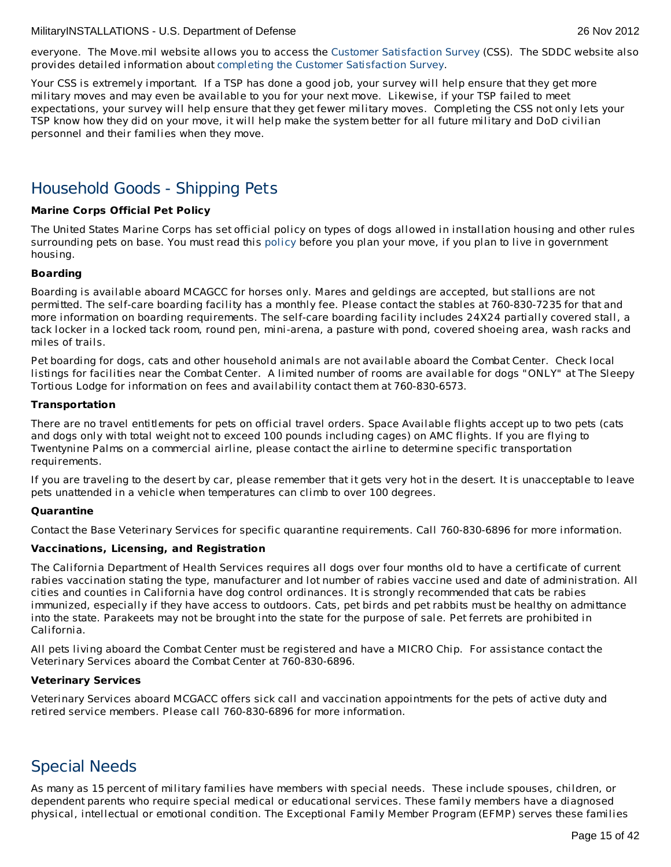everyone. The Move.mil website allows you to access the Customer [Satisfaction](http://www.move.mil/dod.htm#afterDelivery_dodCSS) Survey (CSS). The SDDC website also provides detailed information about completing the Customer [Satisfaction](http://www.militaryonesource.mil/12038/MyDoD/Completing Customer Satisfaction Survey.pdf) Survey.

Your CSS is extremely important. If a TSP has done a good job, your survey will help ensure that they get more military moves and may even be available to you for your next move. Likewise, if your TSP failed to meet expectations, your survey will help ensure that they get fewer military moves. Completing the CSS not only lets your TSP know how they did on your move, it will help make the system better for all future military and DoD civilian personnel and their families when they move.

# Household Goods - Shipping Pets

# **Marine Corps Official Pet Policy**

The United States Marine Corps has set official policy on types of dogs allowed in installation housing and other rules surrounding pets on base. You must read this [policy](http://www.militaryonesource.mil/12038/Plan My Move/USMC pet policy 8 09.pdf) before you plan your move, if you plan to live in government housing.

### **Boarding**

Boarding is available aboard MCAGCC for horses only. Mares and geldings are accepted, but stallions are not permitted. The self-care boarding facility has a monthly fee. Please contact the stables at 760-830-7235 for that and more information on boarding requirements. The self-care boarding facility includes 24X24 partially covered stall, a tack locker in a locked tack room, round pen, mini-arena, a pasture with pond, covered shoeing area, wash racks and miles of trails.

Pet boarding for dogs, cats and other household animals are not available aboard the Combat Center. Check local listings for facilities near the Combat Center. A limited number of rooms are available for dogs "ONLY" at The Sleepy Tortious Lodge for information on fees and availability contact them at 760-830-6573.

### **Transportation**

There are no travel entitlements for pets on official travel orders. Space Available flights accept up to two pets (cats and dogs only with total weight not to exceed 100 pounds including cages) on AMC flights. If you are flying to Twentynine Palms on a commercial airline, please contact the airline to determine specific transportation requirements.

If you are traveling to the desert by car, please remember that it gets very hot in the desert. It is unacceptable to leave pets unattended in a vehicle when temperatures can climb to over 100 degrees.

# **Quarantine**

Contact the Base Veterinary Services for specific quarantine requirements. Call 760-830-6896 for more information.

# **Vaccinations, Licensing, and Registration**

The California Department of Health Services requires all dogs over four months old to have a certificate of current rabies vaccination stating the type, manufacturer and lot number of rabies vaccine used and date of administration. All cities and counties in California have dog control ordinances. It is strongly recommended that cats be rabies immunized, especially if they have access to outdoors. Cats, pet birds and pet rabbits must be healthy on admittance into the state. Parakeets may not be brought into the state for the purpose of sale. Pet ferrets are prohibited in California.

All pets living aboard the Combat Center must be registered and have a MICRO Chip. For assistance contact the Veterinary Services aboard the Combat Center at 760-830-6896.

# **Veterinary Services**

Veterinary Services aboard MCGACC offers sick call and vaccination appointments for the pets of active duty and retired service members. Please call 760-830-6896 for more information.

# Special Needs

As many as 15 percent of military families have members with special needs. These include spouses, children, or dependent parents who require special medical or educational services. These family members have a diagnosed physical, intellectual or emotional condition. The Exceptional Family Member Program (EFMP) serves these families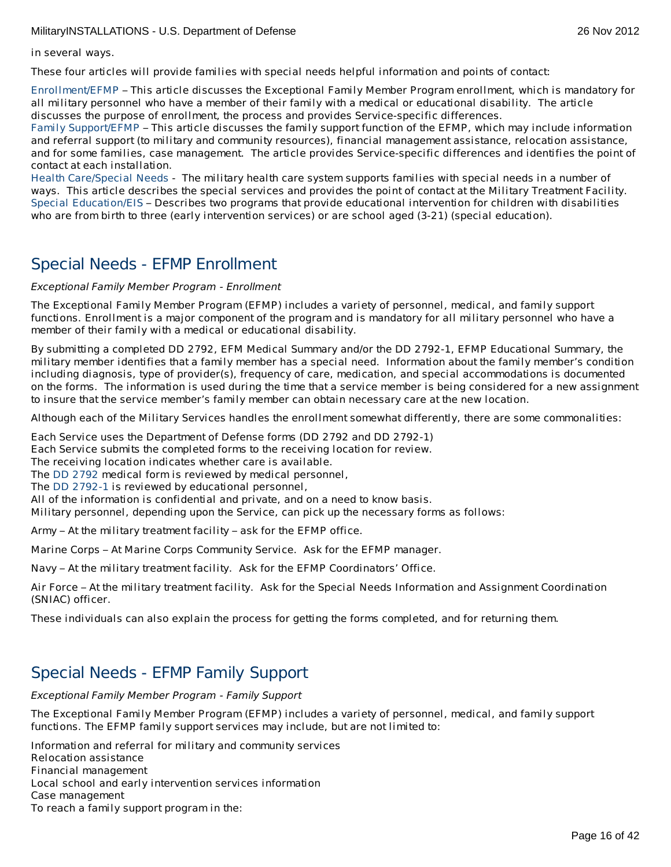in several ways.

These four articles will provide families with special needs helpful information and points of contact:

[Enrollment/EFMP](http://apps.militaryonesource.mil/MOS/f?p=MI:CONTENT:0::::P4_INST_ID,P4_CONTENT_TITLE,P4_CONTENT_EKMT_ID,P4_CONTENT_DIRECTORY:790,Enrollment/EFMP,30.90.180.30.190.0.0.0.0,15) – This article discusses the Exceptional Family Member Program enrollment, which is mandatory for all military personnel who have a member of their family with a medical or educational disability. The article discusses the purpose of enrollment, the process and provides Service-specific differences.

Family [Support/EFMP](http://apps.militaryonesource.mil/MOS/f?p=MI:CONTENT:0::::P4_INST_ID,P4_CONTENT_TITLE,P4_CONTENT_EKMT_ID,P4_CONTENT_DIRECTORY:790,Family Support/EFMP,30.90.210.30.65.0.0.0.0,16) – This article discusses the family support function of the EFMP, which may include information and referral support (to military and community resources), financial management assistance, relocation assistance, and for some families, case management. The article provides Service-specific differences and identifies the point of contact at each installation.

Health [Care/Special](http://apps.militaryonesource.mil/MOS/f?p=MI:CONTENT:0::::P4_INST_ID,P4_CONTENT_TITLE,P4_CONTENT_EKMT_ID,P4_CONTENT_DIRECTORY:790,Health Care/Special Needs,30.90.180.30.180.0.0.0.0,61) Needs - The military health care system supports families with special needs in a number of ways. This article describes the special services and provides the point of contact at the Military Treatment Facility. Special [Education/EIS](http://apps.militaryonesource.mil/MOS/f?p=MI:CONTENT:0::::P4_INST_ID,P4_CONTENT_TITLE,P4_CONTENT_EKMT_ID,P4_CONTENT_DIRECTORY:790,Special Education/EIS,30.90.120.30.240.0.0.0.0,12) – Describes two programs that provide educational intervention for children with disabilities who are from birth to three (early intervention services) or are school aged (3-21) (special education).

# Special Needs - EFMP Enrollment

Exceptional Family Member Program - Enrollment

The Exceptional Family Member Program (EFMP) includes a variety of personnel, medical, and family support functions. Enrollment is a major component of the program and is mandatory for all military personnel who have a member of their family with a medical or educational disability.

By submitting a completed DD 2792, EFM Medical Summary and/or the DD 2792-1, EFMP Educational Summary, the military member identifies that a family member has a special need. Information about the family member's condition including diagnosis, type of provider(s), frequency of care, medication, and special accommodations is documented on the forms. The information is used during the time that a service member is being considered for a new assignment to insure that the service member's family member can obtain necessary care at the new location.

Although each of the Military Services handles the enrollment somewhat differently, there are some commonalities:

1. Each Service uses the Department of Defense forms (DD 2792 and DD 2792-1)

Each Service submits the completed forms to the receiving location for review.

The receiving location indicates whether care is available.

The DD [2792](http://www.dtic.mil/whs/directives/infomgt/forms/eforms/dd2792.pdf) medical form is reviewed by medical personnel,

The DD [2792-1](http://www.dtic.mil/whs/directives/infomgt/forms/eforms/dd2792-1.pdf) is reviewed by educational personnel,

All of the information is confidential and private, and on a need to know basis.

Military personnel, depending upon the Service, can pick up the necessary forms as follows:

Army – At the military treatment facility – ask for the EFMP office.

Marine Corps – At Marine Corps Community Service. Ask for the EFMP manager.

Navy – At the military treatment facility. Ask for the EFMP Coordinators' Office.

Air Force – At the military treatment facility. Ask for the Special Needs Information and Assignment Coordination (SNIAC) officer.

These individuals can also explain the process for getting the forms completed, and for returning them.

# Special Needs - EFMP Family Support

Exceptional Family Member Program - Family Support

The Exceptional Family Member Program (EFMP) includes a variety of personnel, medical, and family support functions. The EFMP family support services may include, but are not limited to:

Information and referral for military and community services Relocation assistance Financial management Local school and early intervention services information Case management To reach a family support program in the: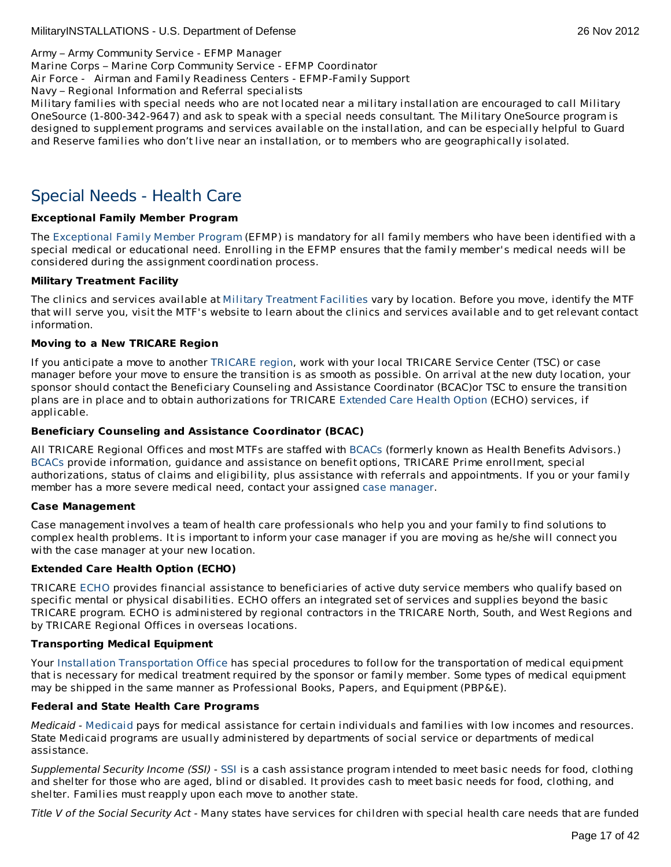Army – Army Community Service - EFMP Manager

Marine Corps – Marine Corp Community Service - EFMP Coordinator

Air Force - Airman and Family Readiness Centers - EFMP-Family Support

Navy – Regional Information and Referral specialists

Military families with special needs who are not located near a military installation are encouraged to call Military OneSource (1-800-342-9647) and ask to speak with a special needs consultant. The Military OneSource program is designed to supplement programs and services available on the installation, and can be especially helpful to Guard and Reserve families who don't live near an installation, or to members who are geographically isolated.

# Special Needs - Health Care

# **Exceptional Family Member Program**

The [Exceptional](http://www.militaryhomefront.dod.mil/MOS/f?p=MHF:HOME1:0::::SID:20.40.500.570.0.0.0.0.0) Family Member Program (EFMP) is mandatory for all family members who have been identified with a special medical or educational need. Enrolling in the EFMP ensures that the family member's medical needs will be considered during the assignment coordination process.

# **Military Treatment Facility**

The clinics and services available at Military [Treatment](http://tricare.mil/mtf/main1.aspx) Facilities vary by location. Before you move, identify the MTF that will serve you, visit the MTF's website to learn about the clinics and services available and to get relevant contact information.

# **Moving to a New TRICARE Region**

If you anticipate a move to another [TRICARE](http://www.tricare.mil/mhshome.aspx) region, work with your local TRICARE Service Center (TSC) or case manager before your move to ensure the transition is as smooth as possible. On arrival at the new duty location, your sponsor should contact the Beneficiary Counseling and Assistance Coordinator (BCAC)or TSC to ensure the transition plans are in place and to obtain authorizations for TRICARE [Extended](http://tricare.mil/mybenefit/ProfileFilter.do?puri=%2Fhome%2Foverview%2FSpecialPrograms%2FECHO) Care Health Option (ECHO) services, if applicable.

# **Beneficiary Counseling and Assistance Coordinator (BCAC)**

All TRICARE Regional Offices and most MTFs are staffed with [BCACs](http://www.tricare.mil/bcacdcao/) (formerly known as Health Benefits Advisors.) [BCACs](http://www.tricare.mil/bcacdcao/) provide information, guidance and assistance on benefit options, TRICARE Prime enrollment, special authorizations, status of claims and eligibility, plus assistance with referrals and appointments. If you or your family member has a more severe medical need, contact your assigned case [manager](http://www.militaryhomefront.dod.mil/tf/efmp).

# **Case Management**

Case management involves a team of health care professionals who help you and your family to find solutions to complex health problems. It is important to inform your case manager if you are moving as he/she will connect you with the case manager at your new location.

# **Extended Care Health Option (ECHO)**

TRICARE [ECHO](http://tricare.mil/mybenefit/ProfileFilter.do?puri=%2Fhome%2Foverview%2FSpecialPrograms%2FECHO) provides financial assistance to beneficiaries of active duty service members who qualify based on specific mental or physical disabilities. ECHO offers an integrated set of services and supplies beyond the basic TRICARE program. ECHO is administered by regional contractors in the TRICARE North, South, and West Regions and by TRICARE Regional Offices in overseas locations.

# **Transporting Medical Equipment**

Your Installation [Transportation](http://www.militaryinstallations.dod.mil/) Office has special procedures to follow for the transportation of medical equipment that is necessary for medical treatment required by the sponsor or family member. Some types of medical equipment may be shipped in the same manner as Professional Books, Papers, and Equipment (PBP&E).

# **Federal and State Health Care Programs**

Medicaid - [Medicaid](http://www.militaryhomefront.dod.mil/tf/efmp/resources) pays for medical assistance for certain individuals and families with low incomes and resources. State Medicaid programs are usually administered by departments of social service or departments of medical assistance.

Supplemental Security Income (SSI) - [SSI](http://www.socialsecurity.gov/pgm/ssi.htm) is a cash assistance program intended to meet basic needs for food, clothing and shelter for those who are aged, blind or disabled. It provides cash to meet basic needs for food, clothing, and shelter. Families must reapply upon each move to another state.

Title V of the Social Security Act - Many states have services for children with special health care needs that are funded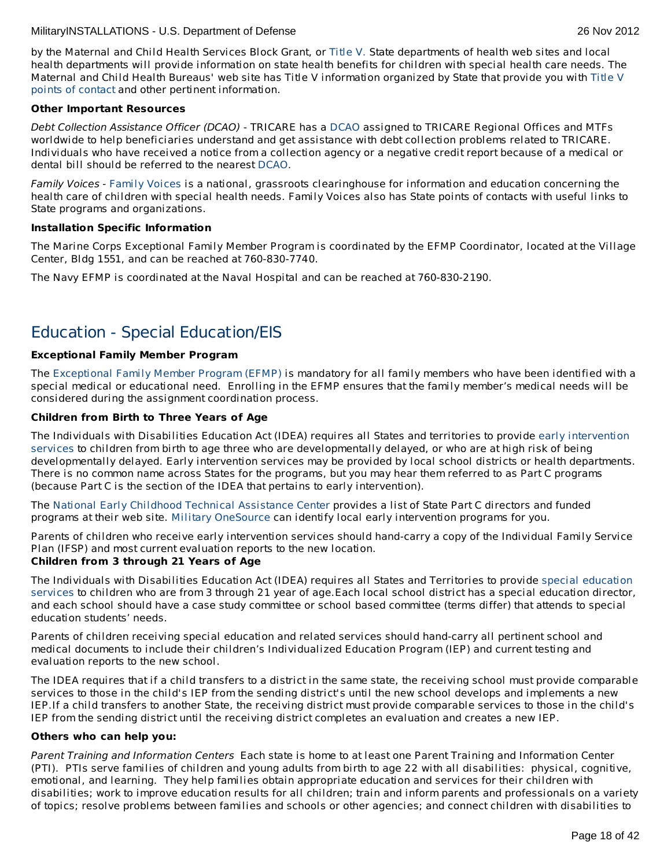by the Maternal and Child Health Services Block Grant, or [Title](http://www.socialsecurity.gov/OP_Home/ssact/title05/0500.htm) V. State departments of health web sites and local health departments will provide information on state health benefits for children with special health care needs. The Maternal and Child Health Bureaus' web site has Title V [information](https://perfdata.hrsa.gov/mchb/TVISReports/ContactInfo/StateContactSearch.aspx) organized by State that provide you with Title V points of contact and other pertinent information.

# **Other Important Resources**

Debt Collection Assistance Officer (DCAO) - TRICARE has a [DCAO](http://www.tricare.mil/bcacdcao/) assigned to TRICARE Regional Offices and MTFs worldwide to help beneficiaries understand and get assistance with debt collection problems related to TRICARE. Individuals who have received a notice from a collection agency or a negative credit report because of a medical or dental bill should be referred to the nearest [DCAO](http://www.tricare.mil/bcacdcao/).

[Family](http://www.familyvoices.org) Voices - Family Voices is a national, grassroots clearinghouse for information and education concerning the health care of children with special health needs. Family Voices also has State points of contacts with useful links to State programs and organizations.

# **Installation Specific Information**

The Marine Corps Exceptional Family Member Program is coordinated by the EFMP Coordinator, located at the Village Center, Bldg 1551, and can be reached at 760-830-7740.

The Navy EFMP is coordinated at the Naval Hospital and can be reached at 760-830-2190.

# Education - Special Education/EIS

# **Exceptional Family Member Program**

The [Exceptional](http://www.militaryhomefront.dod.mil/tf/efmp) Family Member Program (EFMP) is mandatory for all family members who have been identified with a special medical or educational need. Enrolling in the EFMP ensures that the family member's medical needs will be considered during the assignment coordination process.

# **Children from Birth to Three Years of Age**

The Individuals with Disabilities Education Act (IDEA) requires all States and territories to provide early intervention services to children from birth to age three who are [developmentally](http://www.militaryhomefront.dod.mil/tf/efmp) delayed, or who are at high risk of being developmentally delayed. Early intervention services may be provided by local school districts or health departments. There is no common name across States for the programs, but you may hear them referred to as Part C programs (because Part C is the section of the IDEA that pertains to early intervention).

The National Early Childhood Technical [Assistance](http://www.nectac.org/) Center provides a list of State Part C directors and funded programs at their web site. Military [OneSource](http://www.militaryonesource.mil/) can identify local early intervention programs for you.

Parents of children who receive early intervention services should hand-carry a copy of the Individual Family Service Plan (IFSP) and most current evaluation reports to the new location.

# **Children from 3 through 21 Years of Age**

The Individuals with [Disabilities](http://www.militaryhomefront.dod.mil/tf/efmp) Education Act (IDEA) requires all States and Territories to provide special education services to children who are from 3 through 21 year of age.Each local school district has a special education director, and each school should have a case study committee or school based committee (terms differ) that attends to special education students' needs.

Parents of children receiving special education and related services should hand-carry all pertinent school and medical documents to include their children's Individualized Education Program (IEP) and current testing and evaluation reports to the new school.

The IDEA requires that if a child transfers to a district in the same state, the receiving school must provide comparable services to those in the child's IEP from the sending district's until the new school develops and implements a new IEP.If a child transfers to another State, the receiving district must provide comparable services to those in the child's IEP from the sending district until the receiving district completes an evaluation and creates a new IEP.

# **Others who can help you:**

Parent Training and Information Centers Each state is home to at least one Parent Training and Information Center (PTI). PTIs serve families of children and young adults from birth to age 22 with all disabilities: physical, cognitive, emotional, and learning. They help families obtain appropriate education and services for their children with disabilities; work to improve education results for all children; train and inform parents and professionals on a variety of topics; resolve problems between families and schools or other agencies; and connect children with disabilities to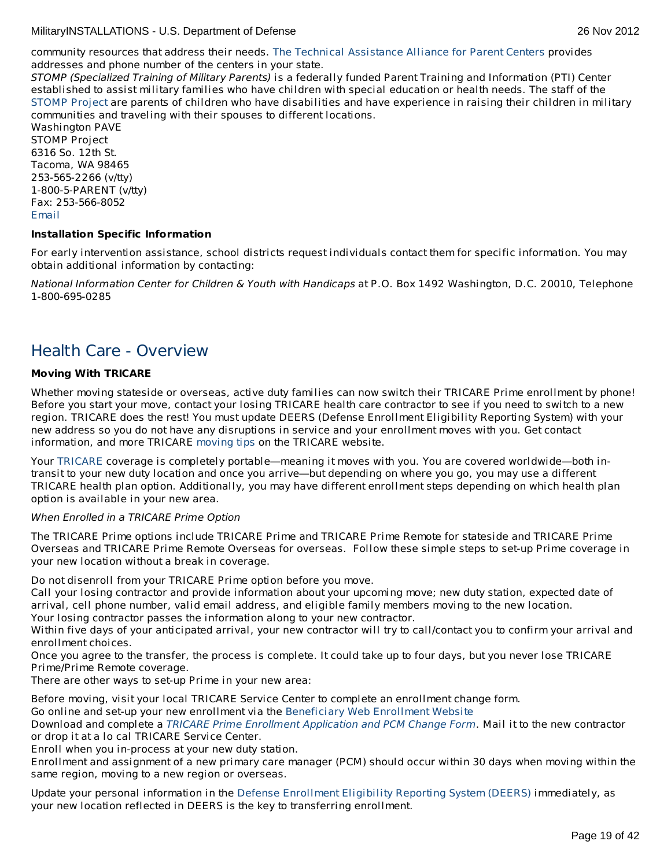community resources that address their needs. The Technical [Assistance](http://www.taalliance.org) Alliance for Parent Centers provides addresses and phone number of the centers in your state.

STOMP (Specialized Training of Military Parents) is a federally funded Parent Training and Information (PTI) Center established to assist military families who have children with special education or health needs. The staff of the [STOMP](http://www.stompproject.org/) Project are parents of children who have disabilities and have experience in raising their children in military communities and traveling with their spouses to different locations.

Washington PAVE STOMP Project 6316 So. 12th St. Tacoma, WA 98465 253-565-2266 (v/tty) 1-800-5-PARENT (v/tty) Fax: 253-566-8052 [Email](http://apps.militaryonesource.mil/MOS/f?p=108:5:0::NO::P5_APP_NAME,P5_MSG_TYPE,P5_EID:STOMP Project,Consultant,1000001266)

### **Installation Specific Information**

For early intervention assistance, school districts request individuals contact them for specific information. You may obtain additional information by contacting:

National Information Center for Children & Youth with Handicaps at P.O. Box 1492 Washington, D.C. 20010, Telephone 1-800-695-0285

# Health Care - Overview

# **Moving With TRICARE**

Whether moving stateside or overseas, active duty families can now switch their TRICARE Prime enrollment by phone! Before you start your move, contact your losing TRICARE health care contractor to see if you need to switch to a new region. TRICARE does the rest! You must update DEERS (Defense Enrollment Eligibility Reporting System) with your new address so you do not have any disruptions in service and your enrollment moves with you. Get contact information, and more TRICARE [moving](http://www.militaryinstallations.dod.mil/MOS/f?p=MI:5:0::::url:type=external|url=http%3A//www.tricare.mil/moving) tips on the TRICARE website.

Your [TRICARE](http://www.militaryinstallations.dod.mil/MOS/f?p=MI:5:0::::url:type=external|url=http%3A//www.tricare.mil/) coverage is completely portable—meaning it moves with you. You are covered worldwide—both intransit to your new duty location and once you arrive—but depending on where you go, you may use a different TRICARE health plan option. Additionally, you may have different enrollment steps depending on which health plan option is available in your new area.

# When Enrolled in a TRICARE Prime Option

The TRICARE Prime options include TRICARE Prime and TRICARE Prime Remote for stateside and TRICARE Prime Overseas and TRICARE Prime Remote Overseas for overseas. Follow these simple steps to set-up Prime coverage in your new location without a break in coverage.

Do not disenroll from your TRICARE Prime option before you move.

2. Call your losing contractor and provide information about your upcoming move; new duty station, expected date of arrival, cell phone number, valid email address, and eligible family members moving to the new location.

Your losing contractor passes the information along to your new contractor.

Within five days of your anticipated arrival, your new contractor will try to call/contact you to confirm your arrival and enrollment choices.

Once you agree to the transfer, the process is complete. It could take up to four days, but you never lose TRICARE Prime/Prime Remote coverage.

There are other ways to set-up Prime in your new area:

Before moving, visit your local TRICARE Service Center to complete an enrollment change form.

Go online and set-up your new enrollment via the [Beneficiary](https://www.dmdc.osd.mil/appj/bwe/indexAction.do;jsessionid=7962ecfc6b86dfb33476ab70607f4835a6bef5c6f4af875ca0a4ac0a6b3b2fe3) Web Enrollment Website

Download and complete a TRICARE Prime Enrollment [Application](http://tricare.mil/mybenefit/Download/Forms/Prime_Enrollment-PCM_Change_Form_exp_7-31-13_unlinked.pdf) and PCM Change Form. Mail it to the new contractor or drop it at a lo cal TRICARE Service Center.

Enroll when you in-process at your new duty station.

Enrollment and assignment of a new primary care manager (PCM) should occur within 30 days when moving within the same region, moving to a new region or overseas.

Update your personal information in the Defense [Enrollment](http://www.militaryinstallations.dod.mil/MOS/f?p=MI:5:0::::url:type=external|url=http%3A//www.tricare.osd.mil/DEERS/update-info.cfm) Eligibility Reporting System (DEERS) immediately, as your new location reflected in DEERS is the key to transferring enrollment.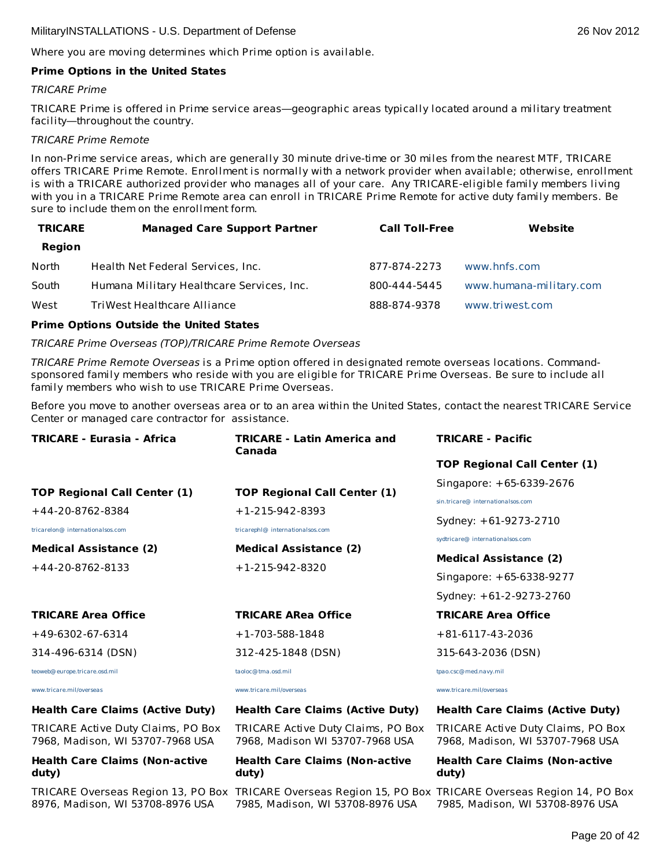Where you are moving determines which Prime option is available.

### **Prime Options in the United States**

### TRICARE Prime

TRICARE Prime is offered in Prime service areas—geographic areas typically located around a military treatment facility—throughout the country.

#### TRICARE Prime Remote

In non-Prime service areas, which are generally 30 minute drive-time or 30 miles from the nearest MTF, TRICARE offers TRICARE Prime Remote. Enrollment is normally with a network provider when available; otherwise, enrollment is with a TRICARE authorized provider who manages all of your care. Any TRICARE-eligible family members living with you in a TRICARE Prime Remote area can enroll in TRICARE Prime Remote for active duty family members. Be sure to include them on the enrollment form.

| <b>TRICARE</b> | <b>Managed Care Support Partner</b>       | <b>Call Toll-Free</b> | Website                 |
|----------------|-------------------------------------------|-----------------------|-------------------------|
| Region         |                                           |                       |                         |
| North          | Health Net Federal Services, Inc.         | 877-874-2273          | www.hnfs.com            |
| South          | Humana Military Healthcare Services, Inc. | 800-444-5445          | www.humana-military.com |
| West           | TriWest Healthcare Alliance               | 888-874-9378          | www.triwest.com         |

#### **Prime Options Outside the United States**

#### TRICARE Prime Overseas (TOP)/TRICARE Prime Remote Overseas

TRICARE Prime Remote Overseas is a Prime option offered in designated remote overseas locations. Commandsponsored family members who reside with you are eligible for TRICARE Prime Overseas. Be sure to include all family members who wish to use TRICARE Prime Overseas.

Before you move to another overseas area or to an area within the United States, contact the nearest TRICARE Service Center or managed care contractor for assistance.

| <b>TRICARE - Eurasia - Africa</b>                                      | <b>TRICARE - Latin America and</b><br>Canada                          | <b>TRICARE - Pacific</b>                                               |
|------------------------------------------------------------------------|-----------------------------------------------------------------------|------------------------------------------------------------------------|
|                                                                        |                                                                       | <b>TOP Regional Call Center (1)</b>                                    |
| <b>TOP Regional Call Center (1)</b>                                    | <b>TOP Regional Call Center (1)</b>                                   | Singapore: +65-6339-2676                                               |
| $+44-20-8762-8384$                                                     | $+1-215-942-8393$                                                     | sin.tricare@ internationalsos.com<br>Sydney: +61-9273-2710             |
| tricarelon@ internationalsos.com<br><b>Medical Assistance (2)</b>      | tricarephl@ internationalsos.com<br><b>Medical Assistance (2)</b>     | sydtricare@ internationalsos.com<br><b>Medical Assistance (2)</b>      |
| $+44-20-8762-8133$                                                     | $+1-215-942-8320$                                                     | Singapore: +65-6338-9277<br>Sydney: +61-2-9273-2760                    |
| <b>TRICARE Area Office</b>                                             | <b>TRICARE ARea Office</b>                                            | <b>TRICARE Area Office</b>                                             |
| $+49-6302-67-6314$                                                     | $+1-703-588-1848$                                                     | $+81-6117-43-2036$                                                     |
| 314-496-6314 (DSN)                                                     | 312-425-1848 (DSN)                                                    | 315-643-2036 (DSN)                                                     |
| teoweb@europe.tricare.osd.mil                                          | taoloc@tma.osd.mil                                                    | tpao.csc@med.navy.mil                                                  |
| www.tricare.mil/overseas                                               | www.tricare.mil/overseas                                              | www.tricare.mil/overseas                                               |
| <b>Health Care Claims (Active Duty)</b>                                | <b>Health Care Claims (Active Duty)</b>                               | <b>Health Care Claims (Active Duty)</b>                                |
| TRICARE Active Duty Claims, PO Box<br>7968, Madison, WI 53707-7968 USA | TRICARE Active Duty Claims, PO Box<br>7968, Madison WI 53707-7968 USA | TRICARE Active Duty Claims, PO Box<br>7968, Madison, WI 53707-7968 USA |
| <b>Health Care Claims (Non-active</b>                                  | <b>Health Care Claims (Non-active</b>                                 | <b>Health Care Claims (Non-active</b>                                  |

#### **Health Care Claims (Non-active duty)**

8976, Madison, WI 53708-8976 USA

7985, Madison, WI 53708-8976 USA

**duty)**

### **Health Care Claims (Non-active duty)**

TRICARE Overseas Region 13, PO Box TRICARE Overseas Region 15, PO Box TRICARE Overseas Region 14, PO Box 7985, Madison, WI 53708-8976 USA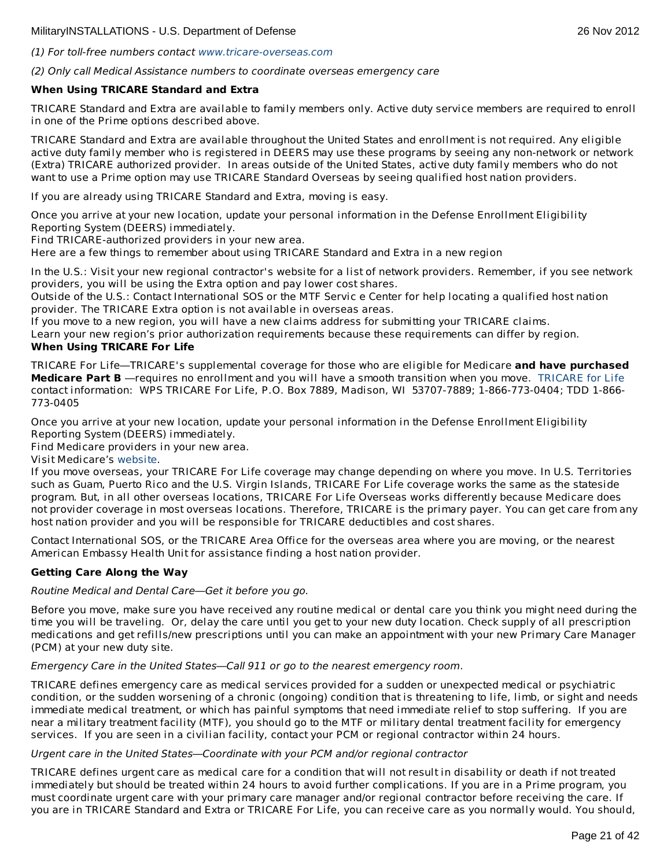# (1) For toll-free numbers contact [www.tricare-overseas.com](http://www.tricare-overseas.com)

(2) Only call Medical Assistance numbers to coordinate overseas emergency care

# **When Using TRICARE Standard and Extra**

TRICARE Standard and Extra are available to family members only. Active duty service members are required to enroll in one of the Prime options described above.

TRICARE Standard and Extra are available throughout the United States and enrollment is not required. Any eligible active duty family member who is registered in DEERS may use these programs by seeing any non-network or network (Extra) TRICARE authorized provider. In areas outside of the United States, active duty family members who do not want to use a Prime option may use TRICARE Standard Overseas by seeing qualified host nation providers.

If you are already using TRICARE Standard and Extra, moving is easy.

1. Once you arrive at your new location, update your personal information in the Defense Enrollment Eligibility Reporting System (DEERS) immediately.

Find TRICARE-authorized providers in your new area.

Here are a few things to remember about using TRICARE Standard and Extra in a new region

In the U.S.: Visit your new regional contractor's website for a list of network providers. Remember, if you see network providers, you will be using the Extra option and pay lower cost shares.

Outside of the U.S.: Contact International SOS or the MTF Servic e Center for help locating a qualified host nation provider. The TRICARE Extra option is not available in overseas areas.

If you move to a new region, you will have a new claims address for submitting your TRICARE claims.

Learn your new region's prior authorization requirements because these requirements can differ by region.

# **When Using TRICARE For Life**

TRICARE For Life—TRICARE's supplemental coverage for those who are eligible for Medicare **and have purchased Medicare Part B** —requires no enrollment and you will have a smooth transition when you move. [TRICARE](http://www.militaryinstallations.dod.mil/MOS/f?p=MI:5:0::::url:type=external|url=http%3A//www.tricare4u.com/) for Life contact information: WPS TRICARE For Life, P.O. Box 7889, Madison, WI 53707-7889; 1-866-773-0404; TDD 1-866- 773-0405

Once you arrive at your new location, update your personal information in the Defense Enrollment Eligibility Reporting System (DEERS) immediately.

Find Medicare providers in your new area.

Visit Medicare's [website](http://www.medicare.gov/).

If you move overseas, your TRICARE For Life coverage may change depending on where you move. In U.S. Territories such as Guam, Puerto Rico and the U.S. Virgin Islands, TRICARE For Life coverage works the same as the stateside program. But, in all other overseas locations, TRICARE For Life Overseas works differently because Medicare does not provider coverage in most overseas locations. Therefore, TRICARE is the primary payer. You can get care from any host nation provider and you will be responsible for TRICARE deductibles and cost shares.

Contact International SOS, or the TRICARE Area Office for the overseas area where you are moving, or the nearest American Embassy Health Unit for assistance finding a host nation provider.

# **Getting Care Along the Way**

Routine Medical and Dental Care—Get it before you go.

Before you move, make sure you have received any routine medical or dental care you think you might need during the time you will be traveling. Or, delay the care until you get to your new duty location. Check supply of all prescription medications and get refills/new prescriptions until you can make an appointment with your new Primary Care Manager (PCM) at your new duty site.

#### Emergency Care in the United States—Call 911 or go to the nearest emergency room.

TRICARE defines emergency care as medical services provided for a sudden or unexpected medical or psychiatric condition, or the sudden worsening of a chronic (ongoing) condition that is threatening to life, limb, or sight and needs immediate medical treatment, or which has painful symptoms that need immediate relief to stop suffering. If you are near a military treatment facility (MTF), you should go to the MTF or military dental treatment facility for emergency services. If you are seen in a civilian facility, contact your PCM or regional contractor within 24 hours.

# Urgent care in the United States—Coordinate with your PCM and/or regional contractor

TRICARE defines urgent care as medical care for a condition that will not result in disability or death if not treated immediately but should be treated within 24 hours to avoid further complications. If you are in a Prime program, you must coordinate urgent care with your primary care manager and/or regional contractor before receiving the care. If you are in TRICARE Standard and Extra or TRICARE For Life, you can receive care as you normally would. You should,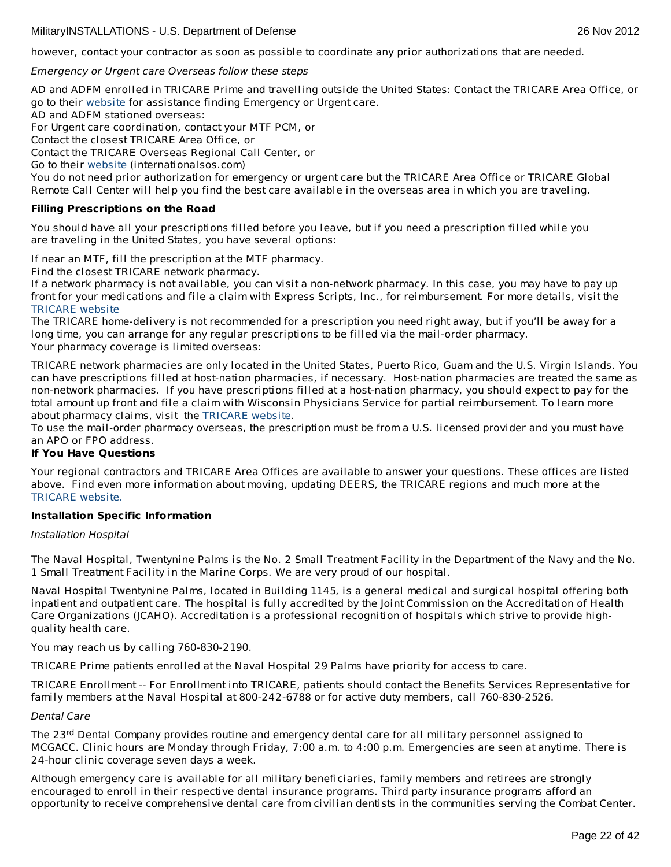however, contact your contractor as soon as possible to coordinate any prior authorizations that are needed.

Emergency or Urgent care Overseas follow these steps

AD and ADFM enrolled in TRICARE Prime and travelling outside the United States: Contact the TRICARE Area Office, or go to their [website](http://www.internationalsos.com/) for assistance finding Emergency or Urgent care.

AD and ADFM stationed overseas:

For Urgent care coordination, contact your MTF PCM, or

Contact the closest TRICARE Area Office, or

Contact the TRICARE Overseas Regional Call Center, or

Go to their [website](http://www.internationalsos.com/) (internationalsos.com)

You do not need prior authorization for emergency or urgent care but the TRICARE Area Office or TRICARE Global Remote Call Center will help you find the best care available in the overseas area in which you are traveling.

# **Filling Prescriptions on the Road**

You should have all your prescriptions filled before you leave, but if you need a prescription filled while you are traveling in the United States, you have several options:

If near an MTF, fill the prescription at the MTF pharmacy.

Find the closest TRICARE network pharmacy.

If a network pharmacy is not available, you can visit a non-network pharmacy. In this case, you may have to pay up front for your medications and file a claim with Express Scripts, Inc., for reimbursement. For more details, visit the [TRICARE](http://www.tricare.mil/) website

The TRICARE home-delivery is not recommended for a prescription you need right away, but if you'll be away for a long time, you can arrange for any regular prescriptions to be filled via the mail-order pharmacy. Your pharmacy coverage is limited overseas:

TRICARE network pharmacies are only located in the United States, Puerto Rico, Guam and the U.S. Virgin Islands. You can have prescriptions filled at host-nation pharmacies, if necessary. Host-nation pharmacies are treated the same as non-network pharmacies. If you have prescriptions filled at a host-nation pharmacy, you should expect to pay for the total amount up front and file a claim with Wisconsin Physicians Service for partial reimbursement. To learn more about pharmacy claims, visit the [TRICARE](http://www.tricare.mil/) website.

To use the mail-order pharmacy overseas, the prescription must be from a U.S. licensed provider and you must have an APO or FPO address.

# **If You Have Questions**

Your regional contractors and TRICARE Area Offices are available to answer your questions. These offices are listed above. Find even more information about moving, updating DEERS, the TRICARE regions and much more at the [TRICARE](http://www.tricare.mil/) website.

# **Installation Specific Information**

Installation Hospital

The Naval Hospital, Twentynine Palms is the No. 2 Small Treatment Facility in the Department of the Navy and the No. 1 Small Treatment Facility in the Marine Corps. We are very proud of our hospital.

Naval Hospital Twentynine Palms, located in Building 1145, is a general medical and surgical hospital offering both inpatient and outpatient care. The hospital is fully accredited by the Joint Commission on the Accreditation of Health Care Organizations (JCAHO). Accreditation is a professional recognition of hospitals which strive to provide highquality health care.

You may reach us by calling 760-830-2190.

TRICARE Prime patients enrolled at the Naval Hospital 29 Palms have priority for access to care.

TRICARE Enrollment -- For Enrollment into TRICARE, patients should contact the Benefits Services Representative for family members at the Naval Hospital at 800-242-6788 or for active duty members, call 760-830-2526.

# Dental Care

The 23<sup>rd</sup> Dental Company provides routine and emergency dental care for all military personnel assigned to MCGACC. Clinic hours are Monday through Friday, 7:00 a.m. to 4:00 p.m. Emergencies are seen at anytime. There is 24-hour clinic coverage seven days a week.

Although emergency care is available for all military beneficiaries, family members and retirees are strongly encouraged to enroll in their respective dental insurance programs. Third party insurance programs afford an opportunity to receive comprehensive dental care from civilian dentists in the communities serving the Combat Center.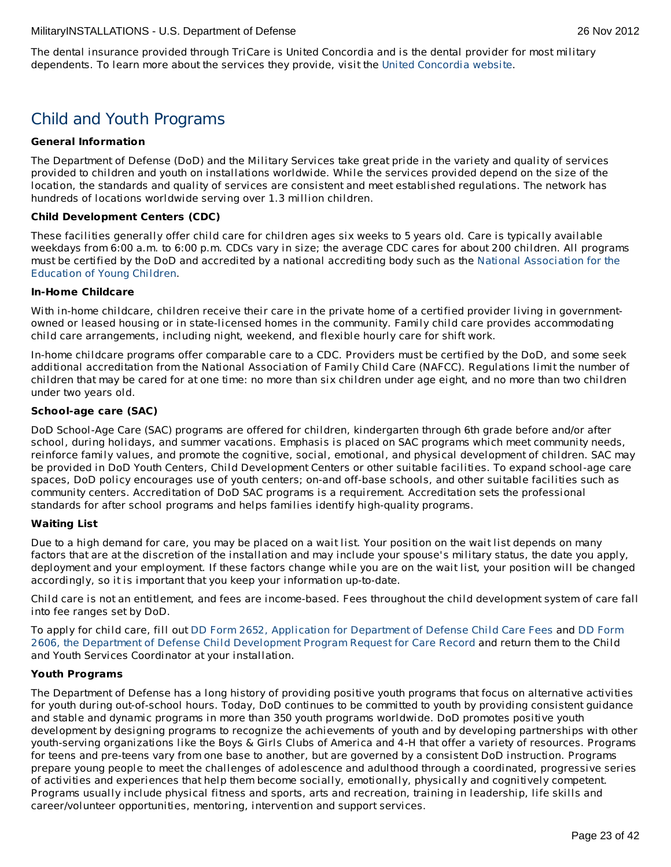The dental insurance provided through TriCare is United Concordia and is the dental provider for most military dependents. To learn more about the services they provide, visit the United [Concordia](http://www.tricaredentalprogram.com/) website.

# Child and Youth Programs

# **General Information**

The Department of Defense (DoD) and the Military Services take great pride in the variety and quality of services provided to children and youth on installations worldwide. While the services provided depend on the size of the location, the standards and quality of services are consistent and meet established regulations. The network has hundreds of locations worldwide serving over 1.3 million children.

# **Child Development Centers (CDC)**

These facilities generally offer child care for children ages six weeks to 5 years old. Care is typically available weekdays from 6:00 a.m. to 6:00 p.m. CDCs vary in size; the average CDC cares for about 200 children. All programs must be certified by the DoD and accredited by a national accrediting body such as the National [Association](http://www.naeyc.org/) for the Education of Young Children.

# **In-Home Childcare**

With in-home childcare, children receive their care in the private home of a certified provider living in governmentowned or leased housing or in state-licensed homes in the community. Family child care provides accommodating child care arrangements, including night, weekend, and flexible hourly care for shift work.

In-home childcare programs offer comparable care to a CDC. Providers must be certified by the DoD, and some seek additional accreditation from the National Association of Family Child Care (NAFCC). Regulations limit the number of children that may be cared for at one time: no more than six children under age eight, and no more than two children under two years old.

# **School-age care (SAC)**

DoD School-Age Care (SAC) programs are offered for children, kindergarten through 6th grade before and/or after school, during holidays, and summer vacations. Emphasis is placed on SAC programs which meet community needs, reinforce family values, and promote the cognitive, social, emotional, and physical development of children. SAC may be provided in DoD Youth Centers, Child Development Centers or other suitable facilities. To expand school-age care spaces, DoD policy encourages use of youth centers; on-and off-base schools, and other suitable facilities such as community centers. Accreditation of DoD SAC programs is a requirement. Accreditation sets the professional standards for after school programs and helps families identify high-quality programs.

# **Waiting List**

Due to a high demand for care, you may be placed on a wait list. Your position on the wait list depends on many factors that are at the discretion of the installation and may include your spouse's military status, the date you apply, deployment and your employment. If these factors change while you are on the wait list, your position will be changed accordingly, so it is important that you keep your information up-to-date.

Child care is not an entitlement, and fees are income-based. Fees throughout the child development system of care fall into fee ranges set by DoD.

To apply for child care, fill out DD Form 2652, Application for [Department](http://www.dtic.mil/whs/directives/infomgt/forms/eforms/dd2606.pdf) of Defense Child Care Fees and DD Form 2606, the Department of Defense Child Development Program Request for Care Record and return them to the Child and Youth Services Coordinator at your installation.

# **Youth Programs**

The Department of Defense has a long history of providing positive youth programs that focus on alternative activities for youth during out-of-school hours. Today, DoD continues to be committed to youth by providing consistent guidance and stable and dynamic programs in more than 350 youth programs worldwide. DoD promotes positive youth development by designing programs to recognize the achievements of youth and by developing partnerships with other youth-serving organizations like the Boys & Girls Clubs of America and 4-H that offer a variety of resources. Programs for teens and pre-teens vary from one base to another, but are governed by a consistent DoD instruction. Programs prepare young people to meet the challenges of adolescence and adulthood through a coordinated, progressive series of activities and experiences that help them become socially, emotionally, physically and cognitively competent. Programs usually include physical fitness and sports, arts and recreation, training in leadership, life skills and career/volunteer opportunities, mentoring, intervention and support services.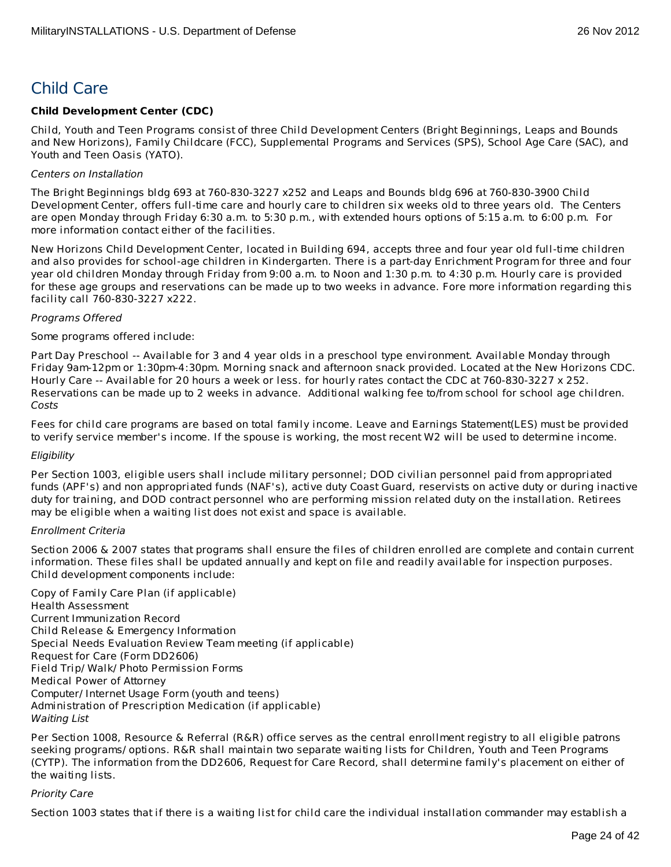# Child Care

# **Child Development Center (CDC)**

Child, Youth and Teen Programs consist of three Child Development Centers (Bright Beginnings, Leaps and Bounds and New Horizons), Family Childcare (FCC), Supplemental Programs and Services (SPS), School Age Care (SAC), and Youth and Teen Oasis (YATO).

# Centers on Installation

The Bright Beginnings bldg 693 at 760-830-3227 x252 and Leaps and Bounds bldg 696 at 760-830-3900 Child Development Center, offers full-time care and hourly care to children six weeks old to three years old. The Centers are open Monday through Friday 6:30 a.m. to 5:30 p.m., with extended hours options of 5:15 a.m. to 6:00 p.m. For more information contact either of the facilities.

New Horizons Child Development Center, located in Building 694, accepts three and four year old full-time children and also provides for school-age children in Kindergarten. There is a part-day Enrichment Program for three and four year old children Monday through Friday from 9:00 a.m. to Noon and 1:30 p.m. to 4:30 p.m. Hourly care is provided for these age groups and reservations can be made up to two weeks in advance. Fore more information regarding this facility call 760-830-3227 x222.

# Programs Offered

### Some programs offered include:

Part Day Preschool -- Available for 3 and 4 year olds in a preschool type environment. Available Monday through Friday 9am-12pm or 1:30pm-4:30pm. Morning snack and afternoon snack provided. Located at the New Horizons CDC. Hourly Care -- Available for 20 hours a week or less. for hourly rates contact the CDC at 760-830-3227 x 252. Reservations can be made up to 2 weeks in advance. Additional walking fee to/from school for school age children. Costs

Fees for child care programs are based on total family income. Leave and Earnings Statement(LES) must be provided to verify service member's income. If the spouse is working, the most recent W2 will be used to determine income.

# Eligibility

Per Section 1003, eligible users shall include military personnel; DOD civilian personnel paid from appropriated funds (APF's) and non appropriated funds (NAF's), active duty Coast Guard, reservists on active duty or during inactive duty for training, and DOD contract personnel who are performing mission related duty on the installation. Retirees may be eligible when a waiting list does not exist and space is available.

# Enrollment Criteria

Section 2006 & 2007 states that programs shall ensure the files of children enrolled are complete and contain current information. These files shall be updated annually and kept on file and readily available for inspection purposes. Child development components include:

Copy of Family Care Plan (if applicable) Health Assessment Current Immunization Record Child Release & Emergency Information Special Needs Evaluation Review Team meeting (if applicable) Request for Care (Form DD2606) Field Trip/ Walk/ Photo Permission Forms Medical Power of Attorney Computer/ Internet Usage Form (youth and teens) Administration of Prescription Medication (if applicable) Waiting List

Per Section 1008, Resource & Referral (R&R) office serves as the central enrollment registry to all eligible patrons seeking programs/ options. R&R shall maintain two separate waiting lists for Children, Youth and Teen Programs (CYTP). The information from the DD2606, Request for Care Record, shall determine family's placement on either of the waiting lists.

# Priority Care

Section 1003 states that if there is a waiting list for child care the individual installation commander may establish a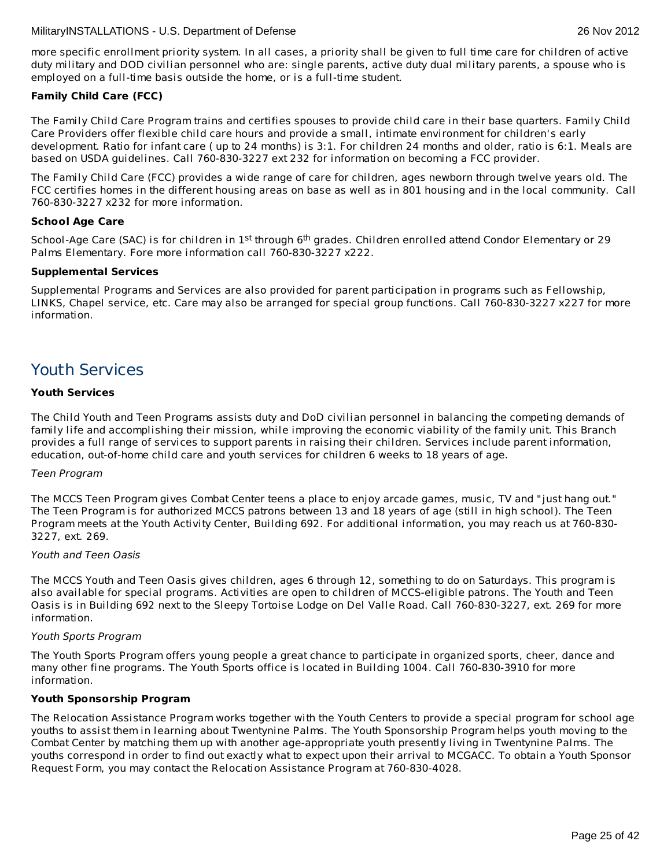more specific enrollment priority system. In all cases, a priority shall be given to full time care for children of active duty military and DOD civilian personnel who are: single parents, active duty dual military parents, a spouse who is employed on a full-time basis outside the home, or is a full-time student.

# **Family Child Care (FCC)**

The Family Child Care Program trains and certifies spouses to provide child care in their base quarters. Family Child Care Providers offer flexible child care hours and provide a small, intimate environment for children's early development. Ratio for infant care ( up to 24 months) is 3:1. For children 24 months and older, ratio is 6:1. Meals are based on USDA guidelines. Call 760-830-3227 ext 232 for information on becoming a FCC provider.

The Family Child Care (FCC) provides a wide range of care for children, ages newborn through twelve years old. The FCC certifies homes in the different housing areas on base as well as in 801 housing and in the local community. Call 760-830-3227 x232 for more information.

# **School Age Care**

School-Age Care (SAC) is for children in 1<sup>st</sup> through 6<sup>th</sup> grades. Children enrolled attend Condor Elementary or 29 Palms Elementary. Fore more information call 760-830-3227 x222.

# **Supplemental Services**

Supplemental Programs and Services are also provided for parent participation in programs such as Fellowship, LINKS, Chapel service, etc. Care may also be arranged for special group functions. Call 760-830-3227 x227 for more information.

# Youth Services

# **Youth Services**

The Child Youth and Teen Programs assists duty and DoD civilian personnel in balancing the competing demands of family life and accomplishing their mission, while improving the economic viability of the family unit. This Branch provides a full range of services to support parents in raising their children. Services include parent information, education, out-of-home child care and youth services for children 6 weeks to 18 years of age.

# Teen Program

The MCCS Teen Program gives Combat Center teens a place to enjoy arcade games, music, TV and "just hang out." The Teen Program is for authorized MCCS patrons between 13 and 18 years of age (still in high school). The Teen Program meets at the Youth Activity Center, Building 692. For additional information, you may reach us at 760-830- 3227, ext. 269.

# Youth and Teen Oasis

The MCCS Youth and Teen Oasis gives children, ages 6 through 12, something to do on Saturdays. This program is also available for special programs. Activities are open to children of MCCS-eligible patrons. The Youth and Teen Oasis is in Building 692 next to the Sleepy Tortoise Lodge on Del Valle Road. Call 760-830-3227, ext. 269 for more information.

# Youth Sports Program

The Youth Sports Program offers young people a great chance to participate in organized sports, cheer, dance and many other fine programs. The Youth Sports office is located in Building 1004. Call 760-830-3910 for more information.

# **Youth Sponsorship Program**

The Relocation Assistance Program works together with the Youth Centers to provide a special program for school age youths to assist them in learning about Twentynine Palms. The Youth Sponsorship Program helps youth moving to the Combat Center by matching them up with another age-appropriate youth presently living in Twentynine Palms. The youths correspond in order to find out exactly what to expect upon their arrival to MCGACC. To obtain a Youth Sponsor Request Form, you may contact the Relocation Assistance Program at 760-830-4028.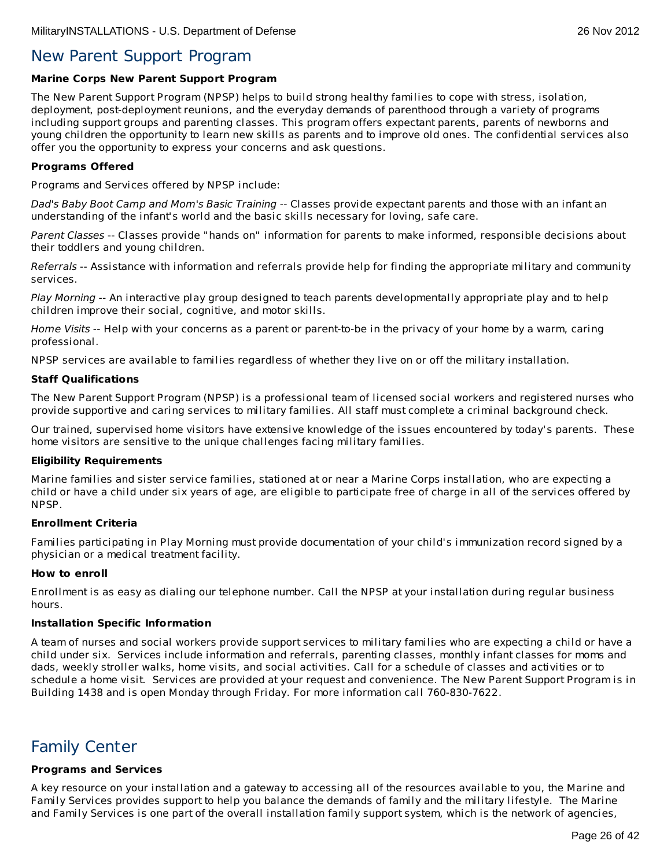# New Parent Support Program

# **Marine Corps New Parent Support Program**

The New Parent Support Program (NPSP) helps to build strong healthy families to cope with stress, isolation, deployment, post-deployment reunions, and the everyday demands of parenthood through a variety of programs including support groups and parenting classes. This program offers expectant parents, parents of newborns and young children the opportunity to learn new skills as parents and to improve old ones. The confidential services also offer you the opportunity to express your concerns and ask questions.

# **Programs Offered**

Programs and Services offered by NPSP include:

Dad's Baby Boot Camp and Mom's Basic Training -- Classes provide expectant parents and those with an infant an understanding of the infant's world and the basic skills necessary for loving, safe care.

Parent Classes -- Classes provide "hands on" information for parents to make informed, responsible decisions about their toddlers and young children.

Referrals -- Assistance with information and referrals provide help for finding the appropriate military and community services.

Play Morning -- An interactive play group designed to teach parents developmentally appropriate play and to help children improve their social, cognitive, and motor skills.

Home Visits -- Help with your concerns as a parent or parent-to-be in the privacy of your home by a warm, caring professional.

NPSP services are available to families regardless of whether they live on or off the military installation.

### **Staff Qualifications**

The New Parent Support Program (NPSP) is a professional team of licensed social workers and registered nurses who provide supportive and caring services to military families. All staff must complete a criminal background check.

Our trained, supervised home visitors have extensive knowledge of the issues encountered by today's parents. These home visitors are sensitive to the unique challenges facing military families.

# **Eligibility Requirements**

Marine families and sister service families, stationed at or near a Marine Corps installation, who are expecting a child or have a child under six years of age, are eligible to participate free of charge in all of the services offered by NPSP.

# **Enrollment Criteria**

Families participating in Play Morning must provide documentation of your child's immunization record signed by a physician or a medical treatment facility.

# **How to enroll**

Enrollment is as easy as dialing our telephone number. Call the NPSP at your installation during regular business hours.

# **Installation Specific Information**

A team of nurses and social workers provide support services to military families who are expecting a child or have a child under six. Services include information and referrals, parenting classes, monthly infant classes for moms and dads, weekly stroller walks, home visits, and social activities. Call for a schedule of classes and activities or to schedule a home visit. Services are provided at your request and convenience. The New Parent Support Program is in Building 1438 and is open Monday through Friday. For more information call 760-830-7622.

# Family Center

# **Programs and Services**

A key resource on your installation and a gateway to accessing all of the resources available to you, the Marine and Family Services provides support to help you balance the demands of family and the military lifestyle. The Marine and Family Services is one part of the overall installation family support system, which is the network of agencies,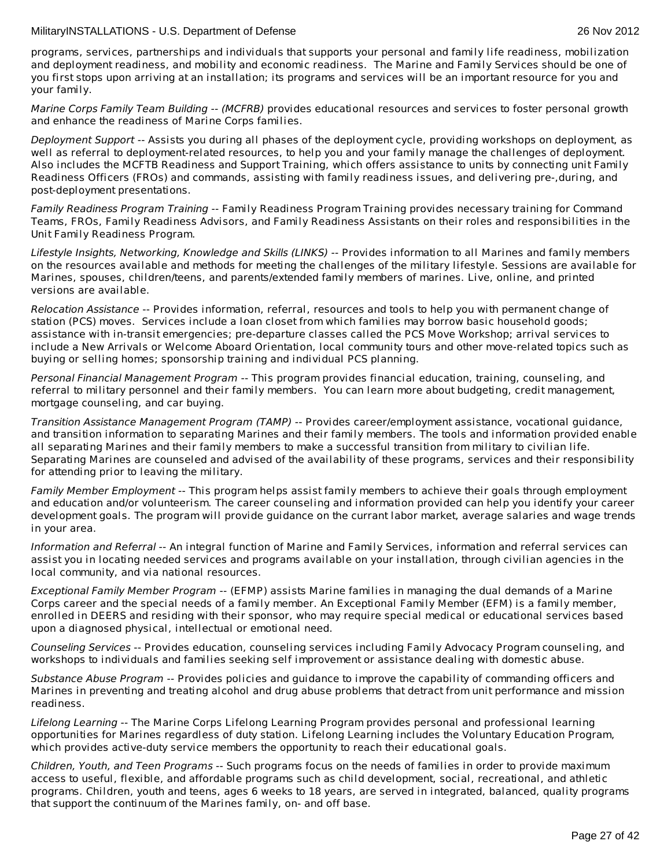programs, services, partnerships and individuals that supports your personal and family life readiness, mobilization and deployment readiness, and mobility and economic readiness. The Marine and Family Services should be one of you first stops upon arriving at an installation; its programs and services will be an important resource for you and your family.

Marine Corps Family Team Building -- (MCFRB) provides educational resources and services to foster personal growth and enhance the readiness of Marine Corps families.

Deployment Support -- Assists you during all phases of the deployment cycle, providing workshops on deployment, as well as referral to deployment-related resources, to help you and your family manage the challenges of deployment. Also includes the MCFTB Readiness and Support Training, which offers assistance to units by connecting unit Family Readiness Officers (FROs) and commands, assisting with family readiness issues, and delivering pre-,during, and post-deployment presentations.

Family Readiness Program Training -- Family Readiness Program Training provides necessary training for Command Teams, FROs, Family Readiness Advisors, and Family Readiness Assistants on their roles and responsibilities in the Unit Family Readiness Program.

Lifestyle Insights, Networking, Knowledge and Skills (LINKS) -- Provides information to all Marines and family members on the resources available and methods for meeting the challenges of the military lifestyle. Sessions are available for Marines, spouses, children/teens, and parents/extended family members of marines. Live, online, and printed versions are available.

Relocation Assistance -- Provides information, referral, resources and tools to help you with permanent change of station (PCS) moves. Services include a loan closet from which families may borrow basic household goods; assistance with in-transit emergencies; pre-departure classes called the PCS Move Workshop; arrival services to include a New Arrivals or Welcome Aboard Orientation, local community tours and other move-related topics such as buying or selling homes; sponsorship training and individual PCS planning.

Personal Financial Management Program -- This program provides financial education, training, counseling, and referral to military personnel and their family members. You can learn more about budgeting, credit management, mortgage counseling, and car buying.

Transition Assistance Management Program (TAMP) -- Provides career/employment assistance, vocational guidance, and transition information to separating Marines and their family members. The tools and information provided enable all separating Marines and their family members to make a successful transition from military to civilian life. Separating Marines are counseled and advised of the availability of these programs, services and their responsibility for attending prior to leaving the military.

Family Member Employment -- This program helps assist family members to achieve their goals through employment and education and/or volunteerism. The career counseling and information provided can help you identify your career development goals. The program will provide guidance on the currant labor market, average salaries and wage trends in your area.

Information and Referral -- An integral function of Marine and Family Services, information and referral services can assist you in locating needed services and programs available on your installation, through civilian agencies in the local community, and via national resources.

Exceptional Family Member Program -- (EFMP) assists Marine families in managing the dual demands of a Marine Corps career and the special needs of a family member. An Exceptional Family Member (EFM) is a family member, enrolled in DEERS and residing with their sponsor, who may require special medical or educational services based upon a diagnosed physical, intellectual or emotional need.

Counseling Services -- Provides education, counseling services including Family Advocacy Program counseling, and workshops to individuals and families seeking self improvement or assistance dealing with domestic abuse.

Substance Abuse Program -- Provides policies and guidance to improve the capability of commanding officers and Marines in preventing and treating alcohol and drug abuse problems that detract from unit performance and mission readiness.

Lifelong Learning -- The Marine Corps Lifelong Learning Program provides personal and professional learning opportunities for Marines regardless of duty station. Lifelong Learning includes the Voluntary Education Program, which provides active-duty service members the opportunity to reach their educational goals.

Children, Youth, and Teen Programs -- Such programs focus on the needs of families in order to provide maximum access to useful, flexible, and affordable programs such as child development, social, recreational, and athletic programs. Children, youth and teens, ages 6 weeks to 18 years, are served in integrated, balanced, quality programs that support the continuum of the Marines family, on- and off base.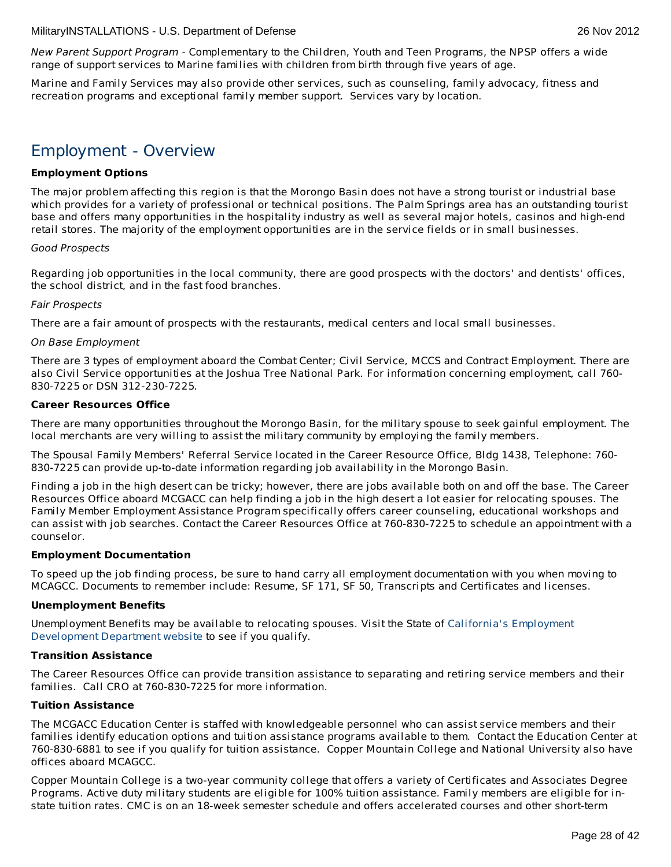New Parent Support Program - Complementary to the Children, Youth and Teen Programs, the NPSP offers a wide range of support services to Marine families with children from birth through five years of age.

Marine and Family Services may also provide other services, such as counseling, family advocacy, fitness and recreation programs and exceptional family member support. Services vary by location.

# Employment - Overview

# **Employment Options**

The major problem affecting this region is that the Morongo Basin does not have a strong tourist or industrial base which provides for a variety of professional or technical positions. The Palm Springs area has an outstanding tourist base and offers many opportunities in the hospitality industry as well as several major hotels, casinos and high-end retail stores. The majority of the employment opportunities are in the service fields or in small businesses.

# Good Prospects

Regarding job opportunities in the local community, there are good prospects with the doctors' and dentists' offices, the school district, and in the fast food branches.

# Fair Prospects

There are a fair amount of prospects with the restaurants, medical centers and local small businesses.

### On Base Employment

There are 3 types of employment aboard the Combat Center; Civil Service, MCCS and Contract Employment. There are also Civil Service opportunities at the Joshua Tree National Park. For information concerning employment, call 760- 830-7225 or DSN 312-230-7225.

### **Career Resources Office**

There are many opportunities throughout the Morongo Basin, for the military spouse to seek gainful employment. The local merchants are very willing to assist the military community by employing the family members.

The Spousal Family Members' Referral Service located in the Career Resource Office, Bldg 1438, Telephone: 760- 830-7225 can provide up-to-date information regarding job availability in the Morongo Basin.

Finding a job in the high desert can be tricky; however, there are jobs available both on and off the base. The Career Resources Office aboard MCGACC can help finding a job in the high desert a lot easier for relocating spouses. The Family Member Employment Assistance Program specifically offers career counseling, educational workshops and can assist with job searches. Contact the Career Resources Office at 760-830-7225 to schedule an appointment with a counselor.

# **Employment Documentation**

To speed up the job finding process, be sure to hand carry all employment documentation with you when moving to MCAGCC. Documents to remember include: Resume, SF 171, SF 50, Transcripts and Certificates and licenses.

# **Unemployment Benefits**

[Unemployment](http://www.edd.ca.gov/) Benefits may be available to relocating spouses. Visit the State of California's Employment Development Department website to see if you qualify.

# **Transition Assistance**

The Career Resources Office can provide transition assistance to separating and retiring service members and their families. Call CRO at 760-830-7225 for more information.

#### **Tuition Assistance**

The MCGACC Education Center is staffed with knowledgeable personnel who can assist service members and their families identify education options and tuition assistance programs available to them. Contact the Education Center at 760-830-6881 to see if you qualify for tuition assistance. Copper Mountain College and National University also have offices aboard MCAGCC.

Copper Mountain College is a two-year community college that offers a variety of Certificates and Associates Degree Programs. Active duty military students are eligible for 100% tuition assistance. Family members are eligible for instate tuition rates. CMC is on an 18-week semester schedule and offers accelerated courses and other short-term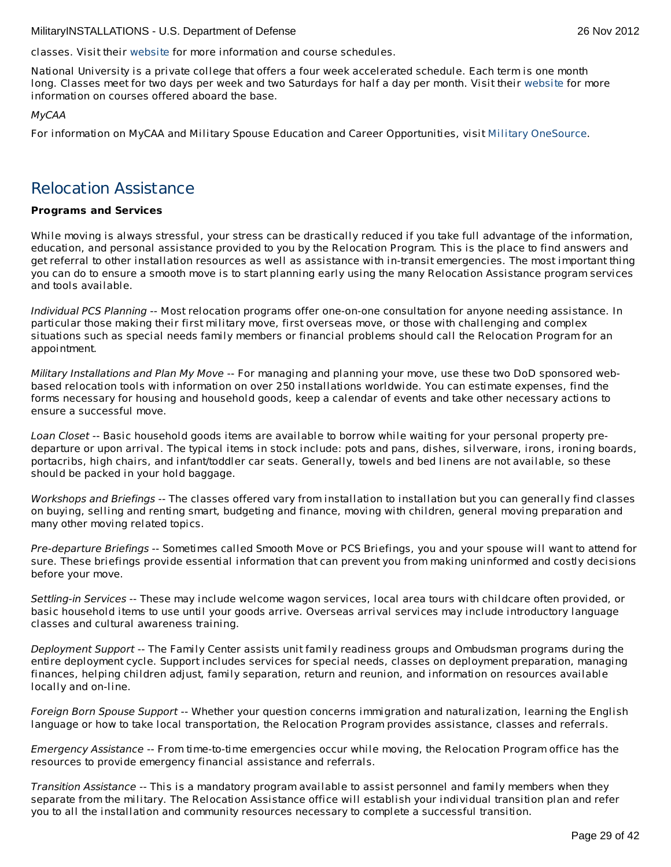classes. Visit their [website](http://www.cmccd.edu/) for more information and course schedules.

National University is a private college that offers a four week accelerated schedule. Each term is one month long. Classes meet for two days per week and two Saturdays for half a day per month. Visit their [website](http://www.nu.edu/) for more information on courses offered aboard the base.

# MyCAA

For information on MyCAA and Military Spouse Education and Career Opportunities, visit Military [OneSource](http://www.militaryonesource.mil/MOS/f?p=MOS:TOPIC:0::::SV,UT,LG,CID,TID:ArmyActive,Member,EN,23.50.40.0.0.0.0.0.0,23.50.40.10.0.0.0.0.0).

# Relocation Assistance

# **Programs and Services**

While moving is always stressful, your stress can be drastically reduced if you take full advantage of the information, education, and personal assistance provided to you by the Relocation Program. This is the place to find answers and get referral to other installation resources as well as assistance with in-transit emergencies. The most important thing you can do to ensure a smooth move is to start planning early using the many Relocation Assistance program services and tools available.

Individual PCS Planning -- Most relocation programs offer one-on-one consultation for anyone needing assistance. In particular those making their first military move, first overseas move, or those with challenging and complex situations such as special needs family members or financial problems should call the Relocation Program for an appointment.

Military Installations and Plan My Move -- For managing and planning your move, use these two DoD sponsored webbased relocation tools with information on over 250 installations worldwide. You can estimate expenses, find the forms necessary for housing and household goods, keep a calendar of events and take other necessary actions to ensure a successful move.

Loan Closet -- Basic household goods items are available to borrow while waiting for your personal property predeparture or upon arrival. The typical items in stock include: pots and pans, dishes, silverware, irons, ironing boards, portacribs, high chairs, and infant/toddler car seats. Generally, towels and bed linens are not available, so these should be packed in your hold baggage.

Workshops and Briefings -- The classes offered vary from installation to installation but you can generally find classes on buying, selling and renting smart, budgeting and finance, moving with children, general moving preparation and many other moving related topics.

Pre-departure Briefings -- Sometimes called Smooth Move or PCS Briefings, you and your spouse will want to attend for sure. These briefings provide essential information that can prevent you from making uninformed and costly decisions before your move.

Settling-in Services -- These may include welcome wagon services, local area tours with childcare often provided, or basic household items to use until your goods arrive. Overseas arrival services may include introductory language classes and cultural awareness training.

Deployment Support -- The Family Center assists unit family readiness groups and Ombudsman programs during the entire deployment cycle. Support includes services for special needs, classes on deployment preparation, managing finances, helping children adjust, family separation, return and reunion, and information on resources available locally and on-line.

Foreign Born Spouse Support -- Whether your question concerns immigration and naturalization, learning the English language or how to take local transportation, the Relocation Program provides assistance, classes and referrals.

Emergency Assistance -- From time-to-time emergencies occur while moving, the Relocation Program office has the resources to provide emergency financial assistance and referrals.

Transition Assistance -- This is a mandatory program available to assist personnel and family members when they separate from the military. The Relocation Assistance office will establish your individual transition plan and refer you to all the installation and community resources necessary to complete a successful transition.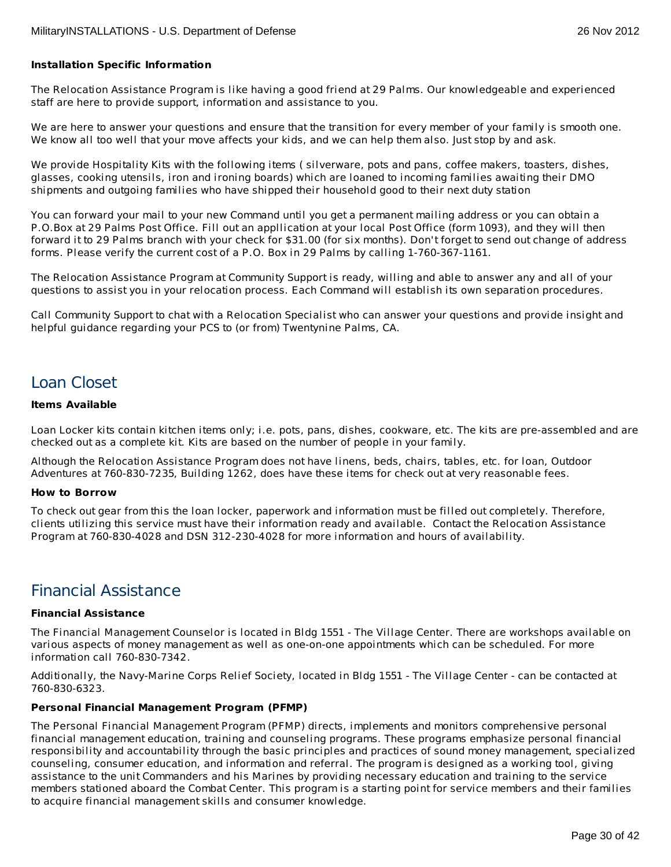# **Installation Specific Information**

The Relocation Assistance Program is like having a good friend at 29 Palms. Our knowledgeable and experienced staff are here to provide support, information and assistance to you.

We are here to answer your questions and ensure that the transition for every member of your family is smooth one. We know all too well that your move affects your kids, and we can help them also. Just stop by and ask.

We provide Hospitality Kits with the following items ( silverware, pots and pans, coffee makers, toasters, dishes, glasses, cooking utensils, iron and ironing boards) which are loaned to incoming families awaiting their DMO shipments and outgoing families who have shipped their household good to their next duty station

You can forward your mail to your new Command until you get a permanent mailing address or you can obtain a P.O.Box at 29 Palms Post Office. Fill out an appllication at your local Post Office (form 1093), and they will then forward it to 29 Palms branch with your check for \$31.00 (for six months). Don't forget to send out change of address forms. Please verify the current cost of a P.O. Box in 29 Palms by calling 1-760-367-1161.

The Relocation Assistance Program at Community Support is ready, willing and able to answer any and all of your questions to assist you in your relocation process. Each Command will establish its own separation procedures.

Call Community Support to chat with a Relocation Specialist who can answer your questions and provide insight and helpful guidance regarding your PCS to (or from) Twentynine Palms, CA.

# Loan Closet

### **Items Available**

Loan Locker kits contain kitchen items only; i.e. pots, pans, dishes, cookware, etc. The kits are pre-assembled and are checked out as a complete kit. Kits are based on the number of people in your family.

Although the Relocation Assistance Program does not have linens, beds, chairs, tables, etc. for loan, Outdoor Adventures at 760-830-7235, Building 1262, does have these items for check out at very reasonable fees.

#### **How to Borrow**

To check out gear from this the loan locker, paperwork and information must be filled out completely. Therefore, clients utilizing this service must have their information ready and available. Contact the Relocation Assistance Program at 760-830-4028 and DSN 312-230-4028 for more information and hours of availability.

# Financial Assistance

# **Financial Assistance**

The Financial Management Counselor is located in Bldg 1551 - The Village Center. There are workshops available on various aspects of money management as well as one-on-one appointments which can be scheduled. For more information call 760-830-7342.

Additionally, the Navy-Marine Corps Relief Society, located in Bldg 1551 - The Village Center - can be contacted at 760-830-6323.

#### **Personal Financial Management Program (PFMP)**

The Personal Financial Management Program (PFMP) directs, implements and monitors comprehensive personal financial management education, training and counseling programs. These programs emphasize personal financial responsibility and accountability through the basic principles and practices of sound money management, specialized counseling, consumer education, and information and referral. The program is designed as a working tool, giving assistance to the unit Commanders and his Marines by providing necessary education and training to the service members stationed aboard the Combat Center. This program is a starting point for service members and their families to acquire financial management skills and consumer knowledge.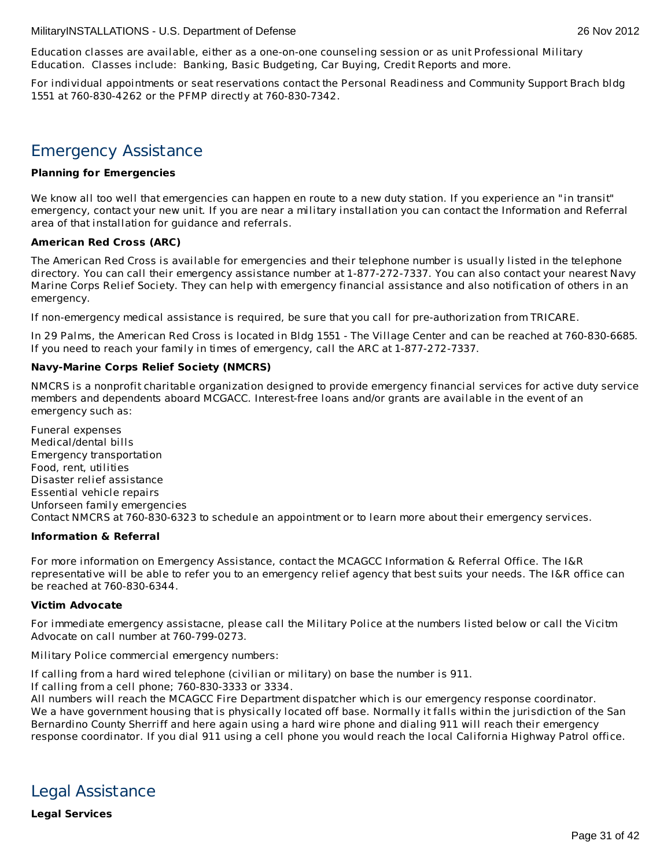Education classes are available, either as a one-on-one counseling session or as unit Professional Military Education. Classes include: Banking, Basic Budgeting, Car Buying, Credit Reports and more.

For individual appointments or seat reservations contact the Personal Readiness and Community Support Brach bldg 1551 at 760-830-4262 or the PFMP directly at 760-830-7342.

# Emergency Assistance

# **Planning for Emergencies**

We know all too well that emergencies can happen en route to a new duty station. If you experience an "in transit" emergency, contact your new unit. If you are near a military installation you can contact the Information and Referral area of that installation for guidance and referrals.

# **American Red Cross (ARC)**

The American Red Cross is available for emergencies and their telephone number is usually listed in the telephone directory. You can call their emergency assistance number at 1-877-272-7337. You can also contact your nearest Navy Marine Corps Relief Society. They can help with emergency financial assistance and also notification of others in an emergency.

If non-emergency medical assistance is required, be sure that you call for pre-authorization from TRICARE.

In 29 Palms, the American Red Cross is located in Bldg 1551 - The Village Center and can be reached at 760-830-6685. If you need to reach your family in times of emergency, call the ARC at 1-877-272-7337.

# **Navy-Marine Corps Relief Society (NMCRS)**

NMCRS is a nonprofit charitable organization designed to provide emergency financial services for active duty service members and dependents aboard MCGACC. Interest-free loans and/or grants are available in the event of an emergency such as:

Funeral expenses Medical/dental bills Emergency transportation Food, rent, utilities Disaster relief assistance Essential vehicle repairs Unforseen family emergencies Contact NMCRS at 760-830-6323 to schedule an appointment or to learn more about their emergency services.

# **Information & Referral**

For more information on Emergency Assistance, contact the MCAGCC Information & Referral Office. The I&R representative will be able to refer you to an emergency relief agency that best suits your needs. The I&R office can be reached at 760-830-6344.

# **Victim Advocate**

For immediate emergency assistacne, please call the Military Police at the numbers listed below or call the Vicitm Advocate on call number at 760-799-0273.

Military Police commercial emergency numbers:

If calling from a hard wired telephone (civilian or military) on base the number is 911.

If calling from a cell phone; 760-830-3333 or 3334.

All numbers will reach the MCAGCC Fire Department dispatcher which is our emergency response coordinator. We a have government housing that is physically located off base. Normally it falls within the jurisdiction of the San Bernardino County Sherriff and here again using a hard wire phone and dialing 911 will reach their emergency response coordinator. If you dial 911 using a cell phone you would reach the local California Highway Patrol office.

Legal Assistance

**Legal Services**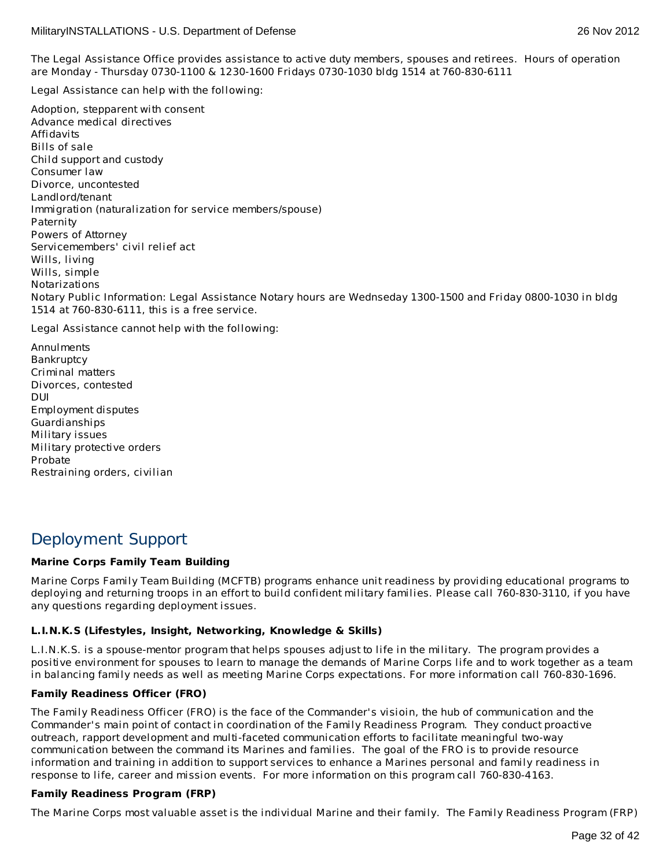The Legal Assistance Office provides assistance to active duty members, spouses and retirees. Hours of operation are Monday - Thursday 0730-1100 & 1230-1600 Fridays 0730-1030 bldg 1514 at 760-830-6111

Legal Assistance can help with the following:

Adoption, stepparent with consent Advance medical directives Affidavits Bills of sale Child support and custody Consumer law Divorce, uncontested Landlord/tenant Immigration (naturalization for service members/spouse) Paternity Powers of Attorney Servicemembers' civil relief act Wills, living Wills, simple Notarizations Notary Public Information: Legal Assistance Notary hours are Wednseday 1300-1500 and Friday 0800-1030 in bldg 1514 at 760-830-6111, this is a free service.

Legal Assistance cannot help with the following:

Annulments Bankruptcy Criminal matters Divorces, contested DUI Employment disputes Guardianships Military issues Military protective orders Probate Restraining orders, civilian

# Deployment Support

# **Marine Corps Family Team Building**

Marine Corps Family Team Building (MCFTB) programs enhance unit readiness by providing educational programs to deploying and returning troops in an effort to build confident military families. Please call 760-830-3110, if you have any questions regarding deployment issues.

# **L.I.N.K.S (Lifestyles, Insight, Networking, Knowledge & Skills)**

L.I.N.K.S. is a spouse-mentor program that helps spouses adjust to life in the military. The program provides a positive environment for spouses to learn to manage the demands of Marine Corps life and to work together as a team in balancing family needs as well as meeting Marine Corps expectations. For more information call 760-830-1696.

# **Family Readiness Officer (FRO)**

The Family Readiness Officer (FRO) is the face of the Commander's visioin, the hub of communication and the Commander's main point of contact in coordination of the Family Readiness Program. They conduct proactive outreach, rapport development and multi-faceted communication efforts to facilitate meaningful two-way communication between the command its Marines and families. The goal of the FRO is to provide resource information and training in addition to support services to enhance a Marines personal and family readiness in response to life, career and mission events. For more information on this program call 760-830-4163.

# **Family Readiness Program (FRP)**

The Marine Corps most valuable asset is the individual Marine and their family. The Family Readiness Program (FRP)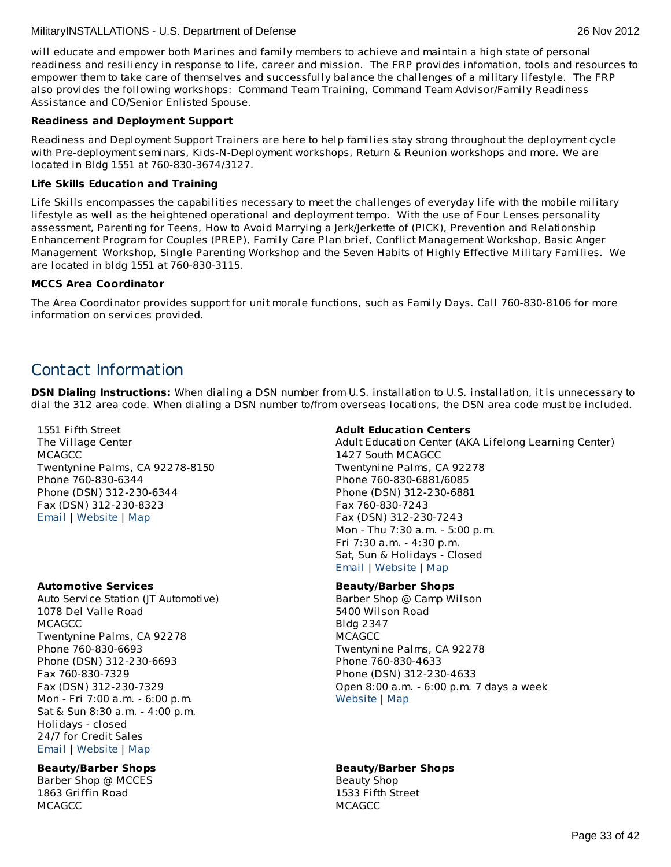# **Readiness and Deployment Support**

Readiness and Deployment Support Trainers are here to help families stay strong throughout the deployment cycle with Pre-deployment seminars, Kids-N-Deployment workshops, Return & Reunion workshops and more. We are located in Bldg 1551 at 760-830-3674/3127.

# **Life Skills Education and Training**

Life Skills encompasses the capabilities necessary to meet the challenges of everyday life with the mobile military lifestyle as well as the heightened operational and deployment tempo. With the use of Four Lenses personality assessment, Parenting for Teens, How to Avoid Marrying a Jerk/Jerkette of (PICK), Prevention and Relationship Enhancement Program for Couples (PREP), Family Care Plan brief, Conflict Management Workshop, Basic Anger Management Workshop, Single Parenting Workshop and the Seven Habits of Highly Effective Military Families. We are located in bldg 1551 at 760-830-3115.

# **MCCS Area Coordinator**

The Area Coordinator provides support for unit morale functions, such as Family Days. Call 760-830-8106 for more information on services provided.

# Contact Information

**DSN Dialing Instructions:** When dialing a DSN number from U.S. installation to U.S. installation, it is unnecessary to dial the 312 area code. When dialing a DSN number to/from overseas locations, the DSN area code must be included.

1551 Fifth Street The Village Center **MCAGCC** Twentynine Palms, CA 92278-8150 Phone 760-830-6344 Phone (DSN) 312-230-6344 Fax (DSN) 312-230-8323 [Email](http://apps.militaryonesource.mil/MOS/f?p=AMS:5:0::::P5_APP_NAME,P5_MSG_TYPE,P5_EID:MilitaryINSTALLATIONS,Installation Address,86567) | [Website](http://www.29palms.usmc.mil) | [Map](http://maps.google.com/maps?q=1551 Fifth Street+Twentynine Palms+CA+92278-8150)

# **Automotive Services**

Auto Service Station (JT Automotive) 1078 Del Valle Road **MCAGCC** Twentynine Palms, CA 92278 Phone 760-830-6693 Phone (DSN) 312-230-6693 Fax 760-830-7329 Fax (DSN) 312-230-7329 Mon - Fri 7:00 a.m. - 6:00 p.m. Sat & Sun 8:30 a.m. - 4:00 p.m. Holidays - closed 24/7 for Credit Sales [Email](http://apps.militaryonesource.mil/MOS/f?p=AMS:5:0::::P5_APP_NAME,P5_MSG_TYPE,P5_EID:MilitaryINSTALLATIONS,Auto Service Station (JT Automotive),128089) | [Website](http://www.mccs29palms.com) | [Map](http://maps.google.com/maps?q=1078 Del Valle Road+Twentynine Palms+CA+92278)

# **Beauty/Barber Shops**

Barber Shop @ MCCES 1863 Griffin Road **MCAGCC** 

# **Adult Education Centers**

Adult Education Center (AKA Lifelong Learning Center) 1427 South MCAGCC Twentynine Palms, CA 92278 Phone 760-830-6881/6085 Phone (DSN) 312-230-6881 Fax 760-830-7243 Fax (DSN) 312-230-7243 Mon - Thu 7:30 a.m. - 5:00 p.m. Fri 7:30 a.m. - 4:30 p.m. Sat, Sun & Holidays - Closed [Email](http://apps.militaryonesource.mil/MOS/f?p=AMS:5:0::::P5_APP_NAME,P5_MSG_TYPE,P5_EID:MilitaryINSTALLATIONS,Adult Education Center (AKA Lifelong Learning Center),197432) | [Website](http://www.mccs29palms.com) | [Map](http://maps.google.com/maps?q= 1427 South MCAGCC +Twentynine Palms+CA+92278)

# **Beauty/Barber Shops**

Barber Shop @ Camp Wilson 5400 Wilson Road Bldg 2347 **MCAGCC** Twentynine Palms, CA 92278 Phone 760-830-4633 Phone (DSN) 312-230-4633 Open 8:00 a.m. - 6:00 p.m. 7 days a week [Website](http://www.mccs29palms.com) | [Map](http://maps.google.com/maps?q=5400 Wilson Road+Twentynine Palms+CA+92278)

# **Beauty/Barber Shops**

Beauty Shop 1533 Fifth Street **MCAGCC**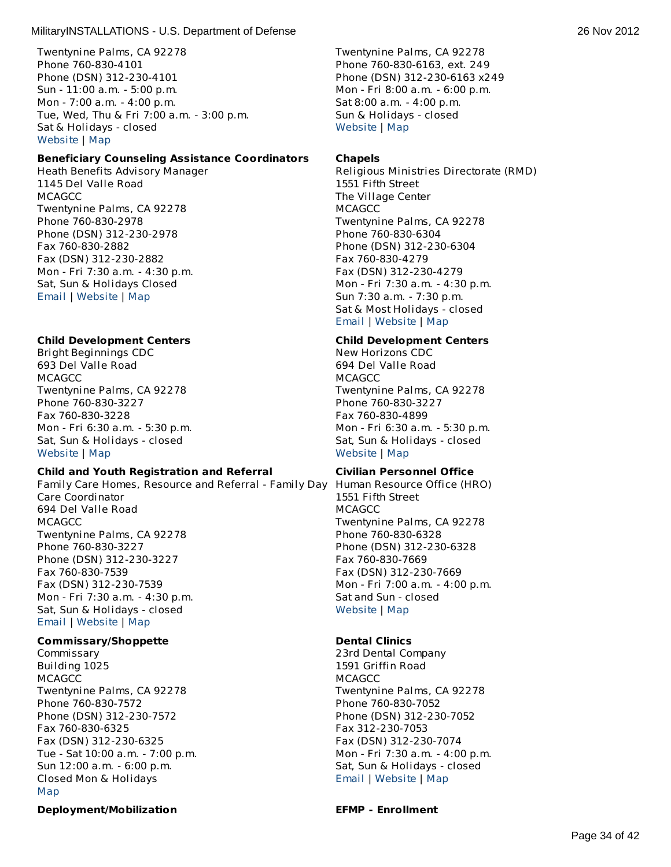Twentynine Palms, CA 92278 Phone 760-830-4101 Phone (DSN) 312-230-4101 Sun - 11:00 a.m. - 5:00 p.m. Mon - 7:00 a.m. - 4:00 p.m. Tue, Wed, Thu & Fri 7:00 a.m. - 3:00 p.m. Sat & Holidays - closed [Website](http://www.mccs29palms.com) | [Map](http://maps.google.com/maps?q=1863 Griffin Road+Twentynine Palms+CA+92278)

### **Beneficiary Counseling Assistance Coordinators**

Heath Benefits Advisory Manager 1145 Del Valle Road **MCAGCC** Twentynine Palms, CA 92278 Phone 760-830-2978 Phone (DSN) 312-230-2978 Fax 760-830-2882 Fax (DSN) 312-230-2882 Mon - Fri 7:30 a.m. - 4:30 p.m. Sat, Sun & Holidays Closed [Email](http://apps.militaryonesource.mil/MOS/f?p=AMS:5:0::::P5_APP_NAME,P5_MSG_TYPE,P5_EID:MilitaryINSTALLATIONS,Heath Benefits Advisory Manager,197434) | [Website](http://www.nhtp.med.navy.mil) | [Map](http://maps.google.com/maps?q=1145 Del Valle Road+Twentynine Palms+CA+92278)

### **Child Development Centers**

Bright Beginnings CDC 693 Del Valle Road **MCAGCC** Twentynine Palms, CA 92278 Phone 760-830-3227 Fax 760-830-3228 Mon - Fri 6:30 a.m. - 5:30 p.m. Sat, Sun & Holidays - closed [Website](http://www.mccs29palms.com) | [Map](http://maps.google.com/maps?q=693 Del Valle Road+Twentynine Palms+CA+92278)

#### **Child and Youth Registration and Referral**

Family Care Homes, Resource and Referral - Family Day Human Resource Office (HRO) Care Coordinator 694 Del Valle Road **MCAGCC** Twentynine Palms, CA 92278 Phone 760-830-3227 Phone (DSN) 312-230-3227 Fax 760-830-7539 Fax (DSN) 312-230-7539 Mon - Fri 7:30 a.m. - 4:30 p.m. Sat, Sun & Holidays - closed [Email](http://apps.militaryonesource.mil/MOS/f?p=AMS:5:0::::P5_APP_NAME,P5_MSG_TYPE,P5_EID:MilitaryINSTALLATIONS,Family Care Homes  Resource and Referral - Family Day Care Coordinator,197436) | [Website](http://www.mccs29palms.com) | [Map](http://maps.google.com/maps?q=694 Del Valle Road+Twentynine Palms+CA+92278)

#### **Commissary/Shoppette**

Commissary Building 1025 **MCAGCC** Twentynine Palms, CA 92278 Phone 760-830-7572 Phone (DSN) 312-230-7572 Fax 760-830-6325 Fax (DSN) 312-230-6325 Tue - Sat 10:00 a.m. - 7:00 p.m. Sun 12:00 a.m. - 6:00 p.m. Closed Mon & Holidays [Map](http://maps.google.com/maps?q=Building 1025+Twentynine Palms+CA+92278)

#### **Deployment/Mobilization EFMP - Enrollment**

Twentynine Palms, CA 92278 Phone 760-830-6163, ext. 249 Phone (DSN) 312-230-6163 x249 Mon - Fri 8:00 a.m. - 6:00 p.m. Sat 8:00 a.m. - 4:00 p.m. Sun & Holidays - closed [Website](http://www.mccs29palms.com) | [Map](http://maps.google.com/maps?q=1533 Fifth Street+Twentynine Palms+CA+92278)

#### **Chapels**

Religious Ministries Directorate (RMD) 1551 Fifth Street The Village Center **MCAGCC** Twentynine Palms, CA 92278 Phone 760-830-6304 Phone (DSN) 312-230-6304 Fax 760-830-4279 Fax (DSN) 312-230-4279 Mon - Fri 7:30 a.m. - 4:30 p.m. Sun 7:30 a.m. - 7:30 p.m. Sat & Most Holidays - closed [Email](http://apps.militaryonesource.mil/MOS/f?p=AMS:5:0::::P5_APP_NAME,P5_MSG_TYPE,P5_EID:MilitaryINSTALLATIONS,Religious Ministries Directorate (RMD),128416) | [Website](http://www.29palms.usmc.mil) | [Map](http://maps.google.com/maps?q=1551 Fifth Street+Twentynine Palms+CA+92278)

# **Child Development Centers**

New Horizons CDC 694 Del Valle Road **MCAGCC** Twentynine Palms, CA 92278 Phone 760-830-3227 Fax 760-830-4899 Mon - Fri 6:30 a.m. - 5:30 p.m. Sat, Sun & Holidays - closed [Website](http://www.mccs29palms.com) | [Map](http://maps.google.com/maps?q=694 Del Valle Road+Twentynine Palms+CA+92278)

#### **Civilian Personnel Office**

1551 Fifth Street **MCAGCC** Twentynine Palms, CA 92278 Phone 760-830-6328 Phone (DSN) 312-230-6328 Fax 760-830-7669 Fax (DSN) 312-230-7669 Mon - Fri 7:00 a.m. - 4:00 p.m. Sat and Sun - closed [Website](http://www.29palms.usmc.mil) | [Map](http://maps.google.com/maps?q=1551 Fifth Street+Twentynine Palms+CA+92278)

#### **Dental Clinics**

23rd Dental Company 1591 Griffin Road **MCAGCC** Twentynine Palms, CA 92278 Phone 760-830-7052 Phone (DSN) 312-230-7052 Fax 312-230-7053 Fax (DSN) 312-230-7074 Mon - Fri 7:30 a.m. - 4:00 p.m. Sat, Sun & Holidays - closed [Email](http://apps.militaryonesource.mil/MOS/f?p=AMS:5:0::::P5_APP_NAME,P5_MSG_TYPE,P5_EID:MilitaryINSTALLATIONS,23rd Dental Company,128446) | [Website](http://www.29palms.usmc.mil) | [Map](http://maps.google.com/maps?q=1591 Griffin Road+Twentynine Palms+CA+92278)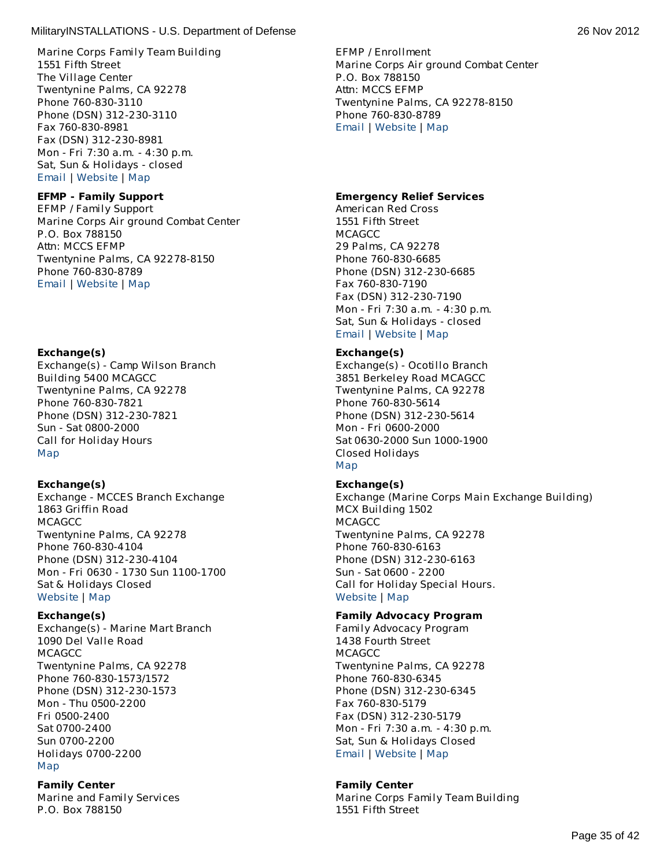Marine Corps Family Team Building 1551 Fifth Street The Village Center Twentynine Palms, CA 92278 Phone 760-830-3110 Phone (DSN) 312-230-3110 Fax 760-830-8981 Fax (DSN) 312-230-8981 Mon - Fri 7:30 a.m. - 4:30 p.m. Sat, Sun & Holidays - closed [Email](http://apps.militaryonesource.mil/MOS/f?p=AMS:5:0::::P5_APP_NAME,P5_MSG_TYPE,P5_EID:MilitaryINSTALLATIONS,Marine Corps Family Team Building,1000005957) | [Website](http://www.mccs29palms.com/) | [Map](http://maps.google.com/maps?q=1551 Fifth Street+Twentynine Palms+CA+92278)

# **EFMP - Family Support**

EFMP / Family Support Marine Corps Air ground Combat Center P.O. Box 788150 Attn: MCCS EFMP Twentynine Palms, CA 92278-8150 Phone 760-830-8789 [Email](http://apps.militaryonesource.mil/MOS/f?p=AMS:5:0::::P5_APP_NAME,P5_MSG_TYPE,P5_EID:MilitaryINSTALLATIONS,EFMP / Family Support,1000007465) | [Website](http://www.mccs29palms.com/pages/mFamServices/EFMP/EFMP.html) | [Map](http://maps.google.com/maps?q=Marine Corps Air ground Combat Center+Twentynine Palms+CA+92278-8150)

# **Exchange(s)**

Exchange(s) - Camp Wilson Branch Building 5400 MCAGCC Twentynine Palms, CA 92278 Phone 760-830-7821 Phone (DSN) 312-230-7821 Sun - Sat 0800-2000 Call for Holiday Hours [Map](http://maps.google.com/maps?q=Building 5400 MCAGCC +Twentynine Palms+CA+92278 )

# **Exchange(s)**

Exchange - MCCES Branch Exchange 1863 Griffin Road **MCAGCC** Twentynine Palms, CA 92278 Phone 760-830-4104 Phone (DSN) 312-230-4104 Mon - Fri 0630 - 1730 Sun 1100-1700 Sat & Holidays Closed [Website](http://www.mccs29palms.com) | [Map](http://maps.google.com/maps?q=1863 Griffin Road+Twentynine Palms+CA+92278)

# **Exchange(s)**

Exchange(s) - Marine Mart Branch 1090 Del Valle Road **MCAGCC** Twentynine Palms, CA 92278 Phone 760-830-1573/1572 Phone (DSN) 312-230-1573 Mon - Thu 0500-2200 Fri 0500-2400 Sat 0700-2400 Sun 0700-2200 Holidays 0700-2200 [Map](http://maps.google.com/maps?q=1090 Del Valle Road +Twentynine Palms+CA+92278)

# **Family Center**

Marine and Family Services P.O. Box 788150

EFMP / Enrollment Marine Corps Air ground Combat Center P.O. Box 788150 Attn: MCCS EFMP Twentynine Palms, CA 92278-8150 Phone 760-830-8789 [Email](http://apps.militaryonesource.mil/MOS/f?p=AMS:5:0::::P5_APP_NAME,P5_MSG_TYPE,P5_EID:MilitaryINSTALLATIONS,EFMP / Enrollment,1000007464) | [Website](http://www.mccs29palms.com/pages/mFamServices/EFMP/EFMP.html) | [Map](http://maps.google.com/maps?q=Marine Corps Air ground Combat Center+Twentynine Palms+CA+92278-8150)

# **Emergency Relief Services**

American Red Cross 1551 Fifth Street **MCAGCC** 29 Palms, CA 92278 Phone 760-830-6685 Phone (DSN) 312-230-6685 Fax 760-830-7190 Fax (DSN) 312-230-7190 Mon - Fri 7:30 a.m. - 4:30 p.m. Sat, Sun & Holidays - closed [Email](http://apps.militaryonesource.mil/MOS/f?p=AMS:5:0::::P5_APP_NAME,P5_MSG_TYPE,P5_EID:MilitaryINSTALLATIONS,American Red Cross,128361) | [Website](http://www.mccs29palms.com) | [Map](http://maps.google.com/maps?q=1551 Fifth Street+29 Palms+CA+92278)

# **Exchange(s)**

Exchange(s) - Ocotillo Branch 3851 Berkeley Road MCAGCC Twentynine Palms, CA 92278 Phone 760-830-5614 Phone (DSN) 312-230-5614 Mon - Fri 0600-2000 Sat 0630-2000 Sun 1000-1900 Closed Holidays [Map](http://maps.google.com/maps?q=3851 Berkeley Road MCAGCC+Twentynine Palms+CA+92278 )

# **Exchange(s)**

Exchange (Marine Corps Main Exchange Building) MCX Building 1502 **MCAGCC** Twentynine Palms, CA 92278 Phone 760-830-6163 Phone (DSN) 312-230-6163 Sun - Sat 0600 - 2200 Call for Holiday Special Hours. [Website](http://www.mccs29palms.com/) | [Map](http://maps.google.com/maps?q=MCX Building 1502+Twentynine Palms+CA+92278)

# **Family Advocacy Program**

Family Advocacy Program 1438 Fourth Street **MCAGCC** Twentynine Palms, CA 92278 Phone 760-830-6345 Phone (DSN) 312-230-6345 Fax 760-830-5179 Fax (DSN) 312-230-5179 Mon - Fri 7:30 a.m. - 4:30 p.m. Sat, Sun & Holidays Closed [Email](http://apps.militaryonesource.mil/MOS/f?p=AMS:5:0::::P5_APP_NAME,P5_MSG_TYPE,P5_EID:MilitaryINSTALLATIONS,Family Advocacy Program,197435) | [Website](http://www.mccs29palms.com) | [Map](http://maps.google.com/maps?q=1438 Fourth Street+Twentynine Palms+CA+92278)

# **Family Center**

Marine Corps Family Team Building 1551 Fifth Street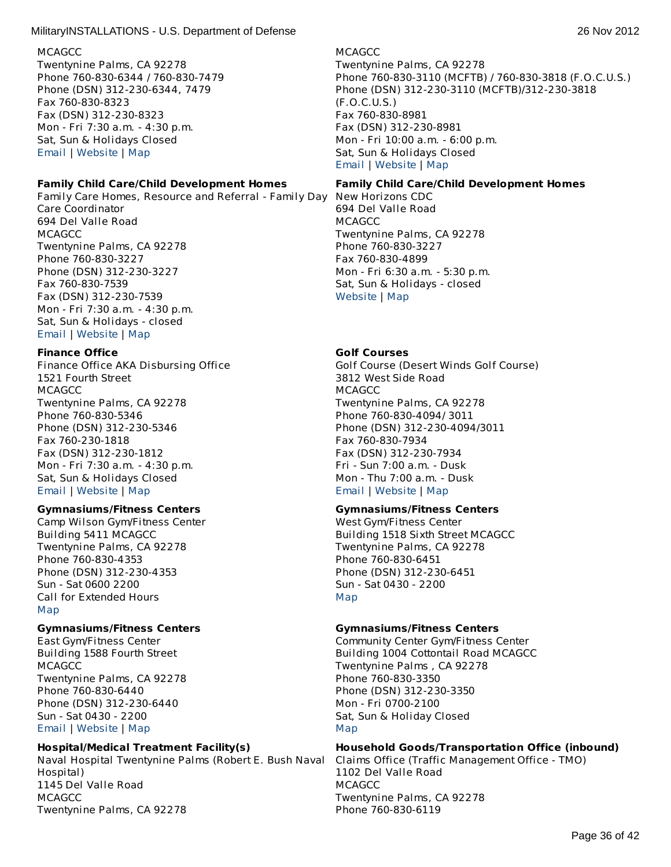### **MCAGCC**

Twentynine Palms, CA 92278 Phone 760-830-6344 / 760-830-7479 Phone (DSN) 312-230-6344, 7479 Fax 760-830-8323 Fax (DSN) 312-230-8323 Mon - Fri 7:30 a.m. - 4:30 p.m. Sat, Sun & Holidays Closed [Email](http://apps.militaryonesource.mil/MOS/f?p=AMS:5:0::::P5_APP_NAME,P5_MSG_TYPE,P5_EID:MilitaryINSTALLATIONS,Marine and Family Services,128353) | [Website](http://www.mccs29palms.com) | [Map](http://maps.google.com/maps?q=P.O. Box 788150+Twentynine Palms+CA+92278)

# **Family Child Care/Child Development Homes**

Family Care Homes, Resource and Referral - Family Day Care Coordinator 694 Del Valle Road **MCAGCC** Twentynine Palms, CA 92278 Phone 760-830-3227 Phone (DSN) 312-230-3227 Fax 760-830-7539 Fax (DSN) 312-230-7539 Mon - Fri 7:30 a.m. - 4:30 p.m. Sat, Sun & Holidays - closed

# [Email](http://apps.militaryonesource.mil/MOS/f?p=AMS:5:0::::P5_APP_NAME,P5_MSG_TYPE,P5_EID:MilitaryINSTALLATIONS,Family Care Homes  Resource and Referral - Family Day Care Coordinator,197436) | [Website](http://www.mccs29palms.com) | [Map](http://maps.google.com/maps?q=694 Del Valle Road+Twentynine Palms+CA+92278)

**Finance Office** Finance Office AKA Disbursing Office 1521 Fourth Street **MCAGCC** Twentynine Palms, CA 92278 Phone 760-830-5346 Phone (DSN) 312-230-5346 Fax 760-230-1818 Fax (DSN) 312-230-1812 Mon - Fri 7:30 a.m. - 4:30 p.m. Sat, Sun & Holidays Closed [Email](http://apps.militaryonesource.mil/MOS/f?p=AMS:5:0::::P5_APP_NAME,P5_MSG_TYPE,P5_EID:MilitaryINSTALLATIONS,Finance Office AKA Disbursing Office,197332) | [Website](http://www.29palms.usmc.mil) | [Map](http://maps.google.com/maps?q=1521 Fourth Street+Twentynine Palms+CA+92278)

# **Gymnasiums/Fitness Centers**

Camp Wilson Gym/Fitness Center Building 5411 MCAGCC Twentynine Palms, CA 92278 Phone 760-830-4353 Phone (DSN) 312-230-4353 Sun - Sat 0600 2200 Call for Extended Hours [Map](http://maps.google.com/maps?q=Building 5411 MCAGCC +Twentynine Palms+CA+92278 )

# **Gymnasiums/Fitness Centers**

East Gym/Fitness Center Building 1588 Fourth Street **MCAGCC** Twentynine Palms, CA 92278 Phone 760-830-6440 Phone (DSN) 312-230-6440 Sun - Sat 0430 - 2200 [Email](http://apps.militaryonesource.mil/MOS/f?p=AMS:5:0::::P5_APP_NAME,P5_MSG_TYPE,P5_EID:MilitaryINSTALLATIONS,East Gym/Fitness Center,128410) | [Website](http://www.mccs29palms.com) | [Map](http://maps.google.com/maps?q=Building 1588 Fourth Street+Twentynine Palms+CA+92278)

# **Hospital/Medical Treatment Facility(s)**

Naval Hospital Twentynine Palms (Robert E. Bush Naval Claims Office (Traffic Management Office - TMO) Hospital) 1145 Del Valle Road **MCAGCC** Twentynine Palms, CA 92278

**MCAGCC** Twentynine Palms, CA 92278 Phone 760-830-3110 (MCFTB) / 760-830-3818 (F.O.C.U.S.) Phone (DSN) 312-230-3110 (MCFTB)/312-230-3818 (F.O.C.U.S.) Fax 760-830-8981 Fax (DSN) 312-230-8981 Mon - Fri 10:00 a.m. - 6:00 p.m. Sat, Sun & Holidays Closed [Email](http://apps.militaryonesource.mil/MOS/f?p=AMS:5:0::::P5_APP_NAME,P5_MSG_TYPE,P5_EID:MilitaryINSTALLATIONS,Marine Corps Family Team Building,1000005777) | [Website](http://www.mccs29palms.com/) | [Map](http://maps.google.com/maps?q=1551 Fifth Street+Twentynine Palms+CA+92278)

### **Family Child Care/Child Development Homes**

New Horizons CDC 694 Del Valle Road **MCAGCC** Twentynine Palms, CA 92278 Phone 760-830-3227 Fax 760-830-4899 Mon - Fri 6:30 a.m. - 5:30 p.m. Sat, Sun & Holidays - closed [Website](http://www.mccs29palms.com) | [Map](http://maps.google.com/maps?q=694 Del Valle Road+Twentynine Palms+CA+92278)

# **Golf Courses**

Golf Course (Desert Winds Golf Course) 3812 West Side Road **MCAGCC** Twentynine Palms, CA 92278 Phone 760-830-4094/ 3011 Phone (DSN) 312-230-4094/3011 Fax 760-830-7934 Fax (DSN) 312-230-7934 Fri - Sun 7:00 a.m. - Dusk Mon - Thu 7:00 a.m. - Dusk [Email](http://apps.militaryonesource.mil/MOS/f?p=AMS:5:0::::P5_APP_NAME,P5_MSG_TYPE,P5_EID:MilitaryINSTALLATIONS,Golf Course (Desert Winds Golf Course),128405) | [Website](http://www.mccs29palms.com) | [Map](http://maps.google.com/maps?q=3812 West Side Road+Twentynine Palms+CA+92278)

# **Gymnasiums/Fitness Centers**

West Gym/Fitness Center Building 1518 Sixth Street MCAGCC Twentynine Palms, CA 92278 Phone 760-830-6451 Phone (DSN) 312-230-6451 Sun - Sat 0430 - 2200 [Map](http://maps.google.com/maps?q=Building 1518 Sixth Street MCAGCC +Twentynine Palms+CA+92278 )

#### **Gymnasiums/Fitness Centers**

Community Center Gym/Fitness Center Building 1004 Cottontail Road MCAGCC Twentynine Palms , CA 92278 Phone 760-830-3350 Phone (DSN) 312-230-3350 Mon - Fri 0700-2100 Sat, Sun & Holiday Closed [Map](http://maps.google.com/maps?q=Building 1004 Cottontail Road MCAGCC +Twentynine Palms +CA+92278 )

# **Household Goods/Transportation Office (inbound)**

1102 Del Valle Road **MCAGCC** Twentynine Palms, CA 92278 Phone 760-830-6119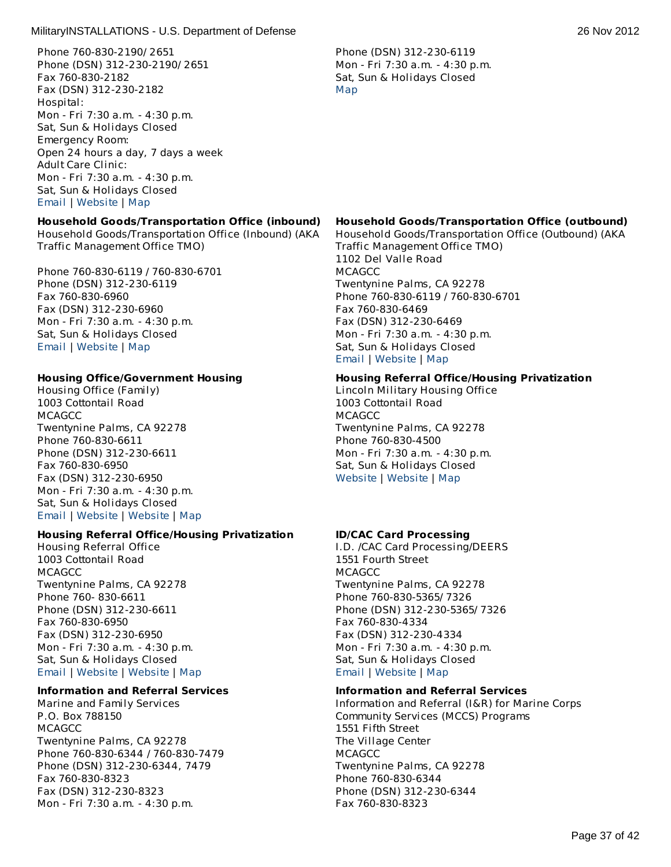Phone 760-830-2190/ 2651 Phone (DSN) 312-230-2190/ 2651 Fax 760-830-2182 Fax (DSN) 312-230-2182 Hospital: Mon - Fri 7:30 a.m. - 4:30 p.m. Sat, Sun & Holidays Closed Emergency Room: Open 24 hours a day, 7 days a week Adult Care Clinic: Mon - Fri 7:30 a.m. - 4:30 p.m. Sat, Sun & Holidays Closed [Email](http://apps.militaryonesource.mil/MOS/f?p=AMS:5:0::::P5_APP_NAME,P5_MSG_TYPE,P5_EID:MilitaryINSTALLATIONS,Naval Hospital Twentynine Palms (Robert E. Bush Naval Hospital),128346) | [Website](http://www.nhtp.med.navy.mil) | [Map](http://maps.google.com/maps?q=1145 Del Valle Road+Twentynine Palms+CA+92278)

# **Household Goods/Transportation Office (inbound)**

Household Goods/Transportation Office (Inbound) (AKA Traffic Management Office TMO)

Phone 760-830-6119 / 760-830-6701 Phone (DSN) 312-230-6119 Fax 760-830-6960 Fax (DSN) 312-230-6960 Mon - Fri 7:30 a.m. - 4:30 p.m. Sat, Sun & Holidays Closed [Email](http://apps.militaryonesource.mil/MOS/f?p=AMS:5:0::::P5_APP_NAME,P5_MSG_TYPE,P5_EID:MilitaryINSTALLATIONS,Household Goods/Transportation Office (Inbound) (AKA Traffic Management Office TMO),203793) | [Website](http://www.29palms.usmc.mil) | [Map](http://maps.google.com/maps?q= +)

# **Housing Office/Government Housing**

Housing Office (Family) 1003 Cottontail Road **MCAGCC** Twentynine Palms, CA 92278 Phone 760-830-6611 Phone (DSN) 312-230-6611 Fax 760-830-6950 Fax (DSN) 312-230-6950 Mon - Fri 7:30 a.m. - 4:30 p.m. Sat, Sun & Holidays Closed [Email](http://apps.militaryonesource.mil/MOS/f?p=AMS:5:0::::P5_APP_NAME,P5_MSG_TYPE,P5_EID:MilitaryINSTALLATIONS,Housing Office (Family),128313) | [Website](http://www.29palms.usmc.mil) | [Website](http://www.housing.navy.mil/onestop/housingoffices.aspx?bid=725&tab=mil) | [Map](http://maps.google.com/maps?q=1003 Cottontail Road+Twentynine Palms+CA+92278)

# **Housing Referral Office/Housing Privatization**

Housing Referral Office 1003 Cottontail Road **MCAGCC** Twentynine Palms, CA 92278 Phone 760- 830-6611 Phone (DSN) 312-230-6611 Fax 760-830-6950 Fax (DSN) 312-230-6950 Mon - Fri 7:30 a.m. - 4:30 p.m. Sat, Sun & Holidays Closed [Email](http://apps.militaryonesource.mil/MOS/f?p=AMS:5:0::::P5_APP_NAME,P5_MSG_TYPE,P5_EID:MilitaryINSTALLATIONS,Housing Referral Office,128110) | [Website](http://www.29palms.usmc.mil) | [Website](http://www.housing.navy.mil/onestop/housingoffices.aspx?bid=725&tab=mil) | [Map](http://maps.google.com/maps?q=1003 Cottontail Road+Twentynine Palms+CA+92278)

# **Information and Referral Services**

Marine and Family Services P.O. Box 788150 **MCAGCC** Twentynine Palms, CA 92278 Phone 760-830-6344 / 760-830-7479 Phone (DSN) 312-230-6344, 7479 Fax 760-830-8323 Fax (DSN) 312-230-8323 Mon - Fri 7:30 a.m. - 4:30 p.m.

Phone (DSN) 312-230-6119 Mon - Fri 7:30 a.m. - 4:30 p.m. Sat, Sun & Holidays Closed [Map](http://maps.google.com/maps?q=1102 Del Valle Road+Twentynine Palms+CA+92278)

### **Household Goods/Transportation Office (outbound)**

Household Goods/Transportation Office (Outbound) (AKA Traffic Management Office TMO) 1102 Del Valle Road **MCAGCC** Twentynine Palms, CA 92278 Phone 760-830-6119 / 760-830-6701 Fax 760-830-6469 Fax (DSN) 312-230-6469 Mon - Fri 7:30 a.m. - 4:30 p.m. Sat, Sun & Holidays Closed [Email](http://apps.militaryonesource.mil/MOS/f?p=AMS:5:0::::P5_APP_NAME,P5_MSG_TYPE,P5_EID:MilitaryINSTALLATIONS,Household Goods/Transportation Office (Outbound) (AKA Traffic Management Office TMO),203794) | [Website](http://www.29palms.usmc.mil) | [Map](http://maps.google.com/maps?q=1102 Del Valle Road+Twentynine Palms+CA+92278)

### **Housing Referral Office/Housing Privatization**

Lincoln Military Housing Office 1003 Cottontail Road **MCAGCC** Twentynine Palms, CA 92278 Phone 760-830-4500 Mon - Fri 7:30 a.m. - 4:30 p.m. Sat, Sun & Holidays Closed [Website](http://www.lpcmil.com) | [Website](http://www.housing.navy.mil/onestop/housingoffices.aspx?bid=725&tab=mil) | [Map](http://maps.google.com/maps?q=1003 Cottontail Road+Twentynine Palms+CA+92278)

# **ID/CAC Card Processing**

I.D. /CAC Card Processing/DEERS 1551 Fourth Street **MCAGCC** Twentynine Palms, CA 92278 Phone 760-830-5365/ 7326 Phone (DSN) 312-230-5365/ 7326 Fax 760-830-4334 Fax (DSN) 312-230-4334 Mon - Fri 7:30 a.m. - 4:30 p.m. Sat, Sun & Holidays Closed [Email](http://apps.militaryonesource.mil/MOS/f?p=AMS:5:0::::P5_APP_NAME,P5_MSG_TYPE,P5_EID:MilitaryINSTALLATIONS,I.D. /CAC Card Processing/DEERS,128086) | [Website](http://www.29palms.usmc.mil) | [Map](http://maps.google.com/maps?q=1551 Fourth Street+Twentynine Palms+CA+92278)

#### **Information and Referral Services**

Information and Referral (I&R) for Marine Corps Community Services (MCCS) Programs 1551 Fifth Street The Village Center **MCAGCC** Twentynine Palms, CA 92278 Phone 760-830-6344 Phone (DSN) 312-230-6344 Fax 760-830-8323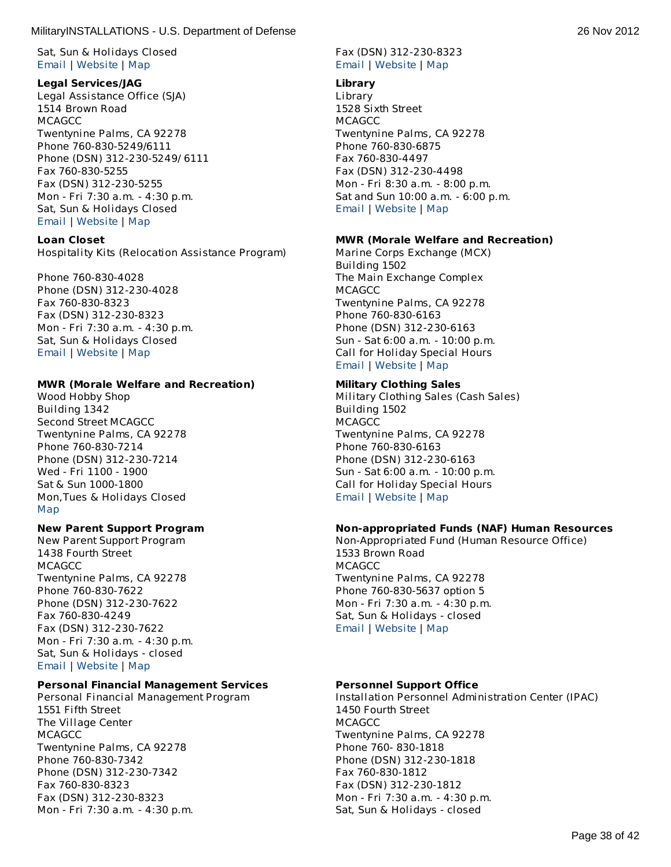Sat, Sun & Holidays Closed [Email](http://apps.militaryonesource.mil/MOS/f?p=AMS:5:0::::P5_APP_NAME,P5_MSG_TYPE,P5_EID:MilitaryINSTALLATIONS,Marine and Family Services,128353) | [Website](http://www.mccs29palms.com) | [Map](http://maps.google.com/maps?q=P.O. Box 788150+Twentynine Palms+CA+92278)

### **Legal Services/JAG**

Legal Assistance Office (SJA) 1514 Brown Road **MCAGCC** Twentynine Palms, CA 92278 Phone 760-830-5249/6111 Phone (DSN) 312-230-5249/ 6111 Fax 760-830-5255 Fax (DSN) 312-230-5255 Mon - Fri 7:30 a.m. - 4:30 p.m. Sat, Sun & Holidays Closed [Email](http://apps.militaryonesource.mil/MOS/f?p=AMS:5:0::::P5_APP_NAME,P5_MSG_TYPE,P5_EID:MilitaryINSTALLATIONS,Legal Assistance Office (SJA),128422) | [Website](http://www.29palms.usmc.mil) | [Map](http://maps.google.com/maps?q=1514 Brown Road+Twentynine Palms+CA+92278)

### **Loan Closet**

Hospitality Kits (Relocation Assistance Program)

Phone 760-830-4028 Phone (DSN) 312-230-4028 Fax 760-830-8323 Fax (DSN) 312-230-8323 Mon - Fri 7:30 a.m. - 4:30 p.m. Sat, Sun & Holidays Closed [Email](http://apps.militaryonesource.mil/MOS/f?p=AMS:5:0::::P5_APP_NAME,P5_MSG_TYPE,P5_EID:MilitaryINSTALLATIONS,Hospitality Kits (Relocation Assistance Program),197380) | [Website](http://www.mccs29palms.com) | [Map](http://maps.google.com/maps?q= +)

### **MWR (Morale Welfare and Recreation)**

Wood Hobby Shop Building 1342 Second Street MCAGCC Twentynine Palms, CA 92278 Phone 760-830-7214 Phone (DSN) 312-230-7214 Wed - Fri 1100 - 1900 Sat & Sun 1000-1800 Mon,Tues & Holidays Closed [Map](http://maps.google.com/maps?q=Building 1342 +Twentynine Palms+CA+92278 )

# **New Parent Support Program**

New Parent Support Program 1438 Fourth Street **MCAGCC** Twentynine Palms, CA 92278 Phone 760-830-7622 Phone (DSN) 312-230-7622 Fax 760-830-4249 Fax (DSN) 312-230-7622 Mon - Fri 7:30 a.m. - 4:30 p.m. Sat, Sun & Holidays - closed [Email](http://apps.militaryonesource.mil/MOS/f?p=AMS:5:0::::P5_APP_NAME,P5_MSG_TYPE,P5_EID:MilitaryINSTALLATIONS,New Parent Support Program,128426) | [Website](http://www.mccs29palms.com) | [Map](http://maps.google.com/maps?q=1438 Fourth Street+Twentynine Palms+CA+92278)

# **Personal Financial Management Services**

Personal Financial Management Program 1551 Fifth Street The Village Center **MCAGCC** Twentynine Palms, CA 92278 Phone 760-830-7342 Phone (DSN) 312-230-7342 Fax 760-830-8323 Fax (DSN) 312-230-8323 Mon - Fri 7:30 a.m. - 4:30 p.m.

# Fax (DSN) 312-230-8323 [Email](http://apps.militaryonesource.mil/MOS/f?p=AMS:5:0::::P5_APP_NAME,P5_MSG_TYPE,P5_EID:MilitaryINSTALLATIONS,Information and Referral (I R) for Marine Corps Community Services (MCCS) Programs,197437) | [Website](http://www.mccs29palms.com) | [Map](http://maps.google.com/maps?q=1551 Fifth Street+Twentynine Palms+CA+92278)

### **Library**

Library 1528 Sixth Street **MCAGCC** Twentynine Palms, CA 92278 Phone 760-830-6875 Fax 760-830-4497 Fax (DSN) 312-230-4498 Mon - Fri 8:30 a.m. - 8:00 p.m. Sat and Sun 10:00 a.m. - 6:00 p.m. [Email](http://apps.militaryonesource.mil/MOS/f?p=AMS:5:0::::P5_APP_NAME,P5_MSG_TYPE,P5_EID:MilitaryINSTALLATIONS,Library,128406) | [Website](http://www.mccs29palms.com) | [Map](http://maps.google.com/maps?q=1528 Sixth Street+Twentynine Palms+CA+92278)

### **MWR (Morale Welfare and Recreation)**

Marine Corps Exchange (MCX) Building 1502 The Main Exchange Complex **MCAGCC** Twentynine Palms, CA 92278 Phone 760-830-6163 Phone (DSN) 312-230-6163 Sun - Sat 6:00 a.m. - 10:00 p.m. Call for Holiday Special Hours [Email](http://apps.militaryonesource.mil/MOS/f?p=AMS:5:0::::P5_APP_NAME,P5_MSG_TYPE,P5_EID:MilitaryINSTALLATIONS,Marine Corps Exchange (MCX),128247) | [Website](http://www.mccs29palms.com) | [Map](http://maps.google.com/maps?q=Building 1502+Twentynine Palms+CA+92278)

### **Military Clothing Sales**

Military Clothing Sales (Cash Sales) Building 1502 **MCAGCC** Twentynine Palms, CA 92278 Phone 760-830-6163 Phone (DSN) 312-230-6163 Sun - Sat 6:00 a.m. - 10:00 p.m. Call for Holiday Special Hours [Email](http://apps.militaryonesource.mil/MOS/f?p=AMS:5:0::::P5_APP_NAME,P5_MSG_TYPE,P5_EID:MilitaryINSTALLATIONS,Military Clothing Sales (Cash Sales),197212) | [Website](http://www.mccs29palms.com) | [Map](http://maps.google.com/maps?q=Building 1502+Twentynine Palms+CA+92278)

# **Non-appropriated Funds (NAF) Human Resources**

Non-Appropriated Fund (Human Resource Office) 1533 Brown Road **MCAGCC** Twentynine Palms, CA 92278 Phone 760-830-5637 option 5 Mon - Fri 7:30 a.m. - 4:30 p.m. Sat, Sun & Holidays - closed [Email](http://apps.militaryonesource.mil/MOS/f?p=AMS:5:0::::P5_APP_NAME,P5_MSG_TYPE,P5_EID:MilitaryINSTALLATIONS,Non-Appropriated Fund (Human Resource Office),197433) | [Website](http://www.mccs29palms.com) | [Map](http://maps.google.com/maps?q=1533 Brown Road+Twentynine Palms+CA+92278)

# **Personnel Support Office**

Installation Personnel Administration Center (IPAC) 1450 Fourth Street **MCAGCC** Twentynine Palms, CA 92278 Phone 760- 830-1818 Phone (DSN) 312-230-1818 Fax 760-830-1812 Fax (DSN) 312-230-1812 Mon - Fri 7:30 a.m. - 4:30 p.m. Sat, Sun & Holidays - closed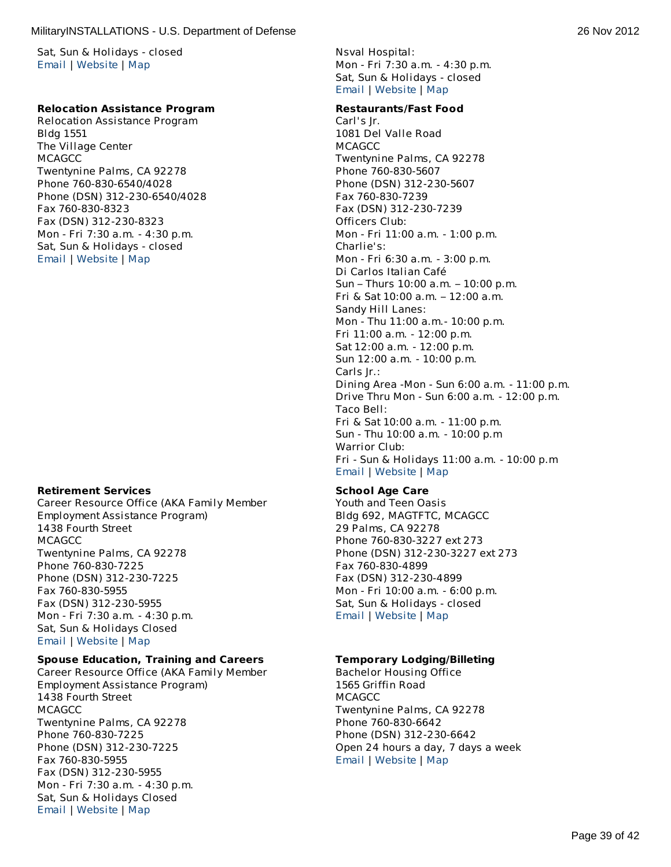Sat, Sun & Holidays - closed [Email](http://apps.militaryonesource.mil/MOS/f?p=AMS:5:0::::P5_APP_NAME,P5_MSG_TYPE,P5_EID:MilitaryINSTALLATIONS,Personal Financial Management Program,128383) | [Website](http://www.mccs29palms.com) | [Map](http://maps.google.com/maps?q=1551 Fifth Street+Twentynine Palms+CA+92278)

### **Relocation Assistance Program**

Relocation Assistance Program Bldg 1551 The Village Center **MCAGCC** Twentynine Palms, CA 92278 Phone 760-830-6540/4028 Phone (DSN) 312-230-6540/4028 Fax 760-830-8323 Fax (DSN) 312-230-8323 Mon - Fri 7:30 a.m. - 4:30 p.m. Sat, Sun & Holidays - closed [Email](http://apps.militaryonesource.mil/MOS/f?p=AMS:5:0::::P5_APP_NAME,P5_MSG_TYPE,P5_EID:MilitaryINSTALLATIONS,Relocation Assistance Program,128359) | [Website](http://www.mccs29palms.com) | [Map](http://maps.google.com/maps?q=Bldg 1551+Twentynine Palms+CA+92278)

#### **Retirement Services**

Career Resource Office (AKA Family Member Employment Assistance Program) 1438 Fourth Street **MCAGCC** Twentynine Palms, CA 92278 Phone 760-830-7225 Phone (DSN) 312-230-7225 Fax 760-830-5955 Fax (DSN) 312-230-5955 Mon - Fri 7:30 a.m. - 4:30 p.m. Sat, Sun & Holidays Closed [Email](http://apps.militaryonesource.mil/MOS/f?p=AMS:5:0::::P5_APP_NAME,P5_MSG_TYPE,P5_EID:MilitaryINSTALLATIONS,Career Resource Office (AKA Family Member Employment Assistance Program),128358) | [Website](http://www.mccs29palms.com) | [Map](http://maps.google.com/maps?q=1438 Fourth Street+Twentynine Palms+CA+92278)

### **Spouse Education, Training and Careers**

Career Resource Office (AKA Family Member Employment Assistance Program) 1438 Fourth Street **MCAGCC** Twentynine Palms, CA 92278 Phone 760-830-7225 Phone (DSN) 312-230-7225 Fax 760-830-5955 Fax (DSN) 312-230-5955 Mon - Fri 7:30 a.m. - 4:30 p.m. Sat, Sun & Holidays Closed [Email](http://apps.militaryonesource.mil/MOS/f?p=AMS:5:0::::P5_APP_NAME,P5_MSG_TYPE,P5_EID:MilitaryINSTALLATIONS,Career Resource Office (AKA Family Member Employment Assistance Program),128358) | [Website](http://www.mccs29palms.com) | [Map](http://maps.google.com/maps?q=1438 Fourth Street+Twentynine Palms+CA+92278)

Nsval Hospital: Mon - Fri 7:30 a.m. - 4:30 p.m. Sat, Sun & Holidays - closed [Email](http://apps.militaryonesource.mil/MOS/f?p=AMS:5:0::::P5_APP_NAME,P5_MSG_TYPE,P5_EID:MilitaryINSTALLATIONS,Installation Personnel Administration Center (IPAC),128111) | [Website](http://www.29palms.usmc.mil) | [Map](http://maps.google.com/maps?q=1450 Fourth Street+Twentynine Palms+CA+92278)

#### **Restaurants/Fast Food**

Carl's Jr. 1081 Del Valle Road MCAGCC Twentynine Palms, CA 92278 Phone 760-830-5607 Phone (DSN) 312-230-5607 Fax 760-830-7239 Fax (DSN) 312-230-7239 Officers Club: Mon - Fri 11:00 a.m. - 1:00 p.m. Charlie's: Mon - Fri 6:30 a.m. - 3:00 p.m. Di Carlos Italian Café Sun – Thurs 10:00 a.m. – 10:00 p.m. Fri & Sat 10:00 a.m. – 12:00 a.m. Sandy Hill Lanes: Mon - Thu 11:00 a.m.- 10:00 p.m. Fri 11:00 a.m. - 12:00 p.m. Sat 12:00 a.m. - 12:00 p.m. Sun 12:00 a.m. - 10:00 p.m. Carls Jr.: Dining Area -Mon - Sun 6:00 a.m. - 11:00 p.m. Drive Thru Mon - Sun 6:00 a.m. - 12:00 p.m. Taco Bell: Fri & Sat 10:00 a.m. - 11:00 p.m. Sun - Thu 10:00 a.m. - 10:00 p.m Warrior Club: Fri - Sun & Holidays 11:00 a.m. - 10:00 p.m [Email](http://apps.militaryonesource.mil/MOS/f?p=AMS:5:0::::P5_APP_NAME,P5_MSG_TYPE,P5_EID:MilitaryINSTALLATIONS,Carl) | [Website](http://www.mccs29palms.com) | [Map](http://maps.google.com/maps?q=1081 Del Valle Road+Twentynine Palms+CA+92278)

### **School Age Care**

Youth and Teen Oasis Bldg 692, MAGTFTC, MCAGCC 29 Palms, CA 92278 Phone 760-830-3227 ext 273 Phone (DSN) 312-230-3227 ext 273 Fax 760-830-4899 Fax (DSN) 312-230-4899 Mon - Fri 10:00 a.m. - 6:00 p.m. Sat, Sun & Holidays - closed [Email](http://apps.militaryonesource.mil/MOS/f?p=AMS:5:0::::P5_APP_NAME,P5_MSG_TYPE,P5_EID:MilitaryINSTALLATIONS,Youth and Teen Oasis,128423) | [Website](http://www.mccs29palms.com) | [Map](http://maps.google.com/maps?q=Bldg 692, MAGTFTC, MCAGCC+29 Palms+CA+92278)

### **Temporary Lodging/Billeting**

Bachelor Housing Office 1565 Griffin Road **MCAGCC** Twentynine Palms, CA 92278 Phone 760-830-6642 Phone (DSN) 312-230-6642 Open 24 hours a day, 7 days a week [Email](http://apps.militaryonesource.mil/MOS/f?p=AMS:5:0::::P5_APP_NAME,P5_MSG_TYPE,P5_EID:MilitaryINSTALLATIONS,Bachelor Housing Office,128314) | [Website](http://www.29palms.usmc.mil) | [Map](http://maps.google.com/maps?q=1565 Griffin Road+Twentynine Palms+CA+92278)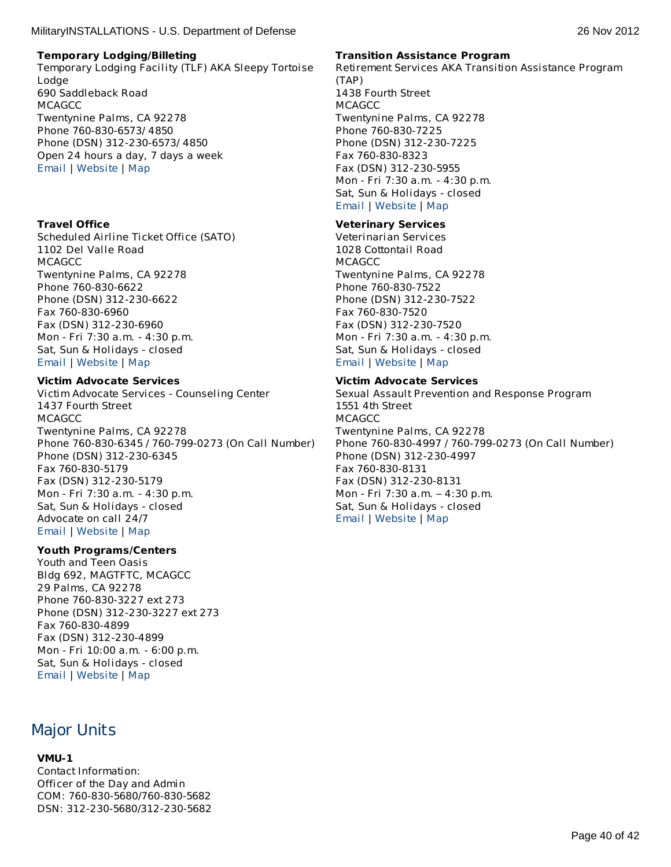Temporary Lodging Facility (TLF) AKA Sleepy Tortoise Lodge 690 Saddleback Road MCAGCC Twentynine Palms, CA 92278 Phone 760-830-6573/ 4850 Phone (DSN) 312-230-6573/ 4850 Open 24 hours a day, 7 days a week [Email](http://apps.militaryonesource.mil/MOS/f?p=AMS:5:0::::P5_APP_NAME,P5_MSG_TYPE,P5_EID:MilitaryINSTALLATIONS,Temporary Lodging Facility (TLF) AKA Sleepy Tortoise Lodge,128349) | [Website](http://www.mccs29palms.com) | [Map](http://maps.google.com/maps?q=690 Saddleback Road+Twentynine Palms+CA+92278)

# **Travel Office**

Scheduled Airline Ticket Office (SATO) 1102 Del Valle Road MCAGCC Twentynine Palms, CA 92278 Phone 760-830-6622 Phone (DSN) 312-230-6622 Fax 760-830-6960 Fax (DSN) 312-230-6960 Mon - Fri 7:30 a.m. - 4:30 p.m. Sat, Sun & Holidays - closed [Email](http://apps.militaryonesource.mil/MOS/f?p=AMS:5:0::::P5_APP_NAME,P5_MSG_TYPE,P5_EID:MilitaryINSTALLATIONS,Scheduled Airline Ticket Office (SATO),128127) | [Website](http://www.29palms.usmc.mil) | [Map](http://maps.google.com/maps?q=1102  Del Valle Road+Twentynine Palms+CA+92278)

### **Victim Advocate Services**

Victim Advocate Services - Counseling Center 1437 Fourth Street **MCAGCC** Twentynine Palms, CA 92278 Phone 760-830-6345 / 760-799-0273 (On Call Number) Phone (DSN) 312-230-6345 Fax 760-830-5179 Fax (DSN) 312-230-5179 Mon - Fri 7:30 a.m. - 4:30 p.m. Sat, Sun & Holidays - closed Advocate on call 24/7 [Email](http://apps.militaryonesource.mil/MOS/f?p=AMS:5:0::::P5_APP_NAME,P5_MSG_TYPE,P5_EID:MilitaryINSTALLATIONS,Victim Advocate Services - Counseling Center,128385) | [Website](http://www.mccs29palms.com/pages/mFamServices/counseling.html#vaa) | [Map](http://maps.google.com/maps?q=1437 Fourth Street+Twentynine Palms+CA+92278)

#### **Youth Programs/Centers**

Youth and Teen Oasis Bldg 692, MAGTFTC, MCAGCC 29 Palms, CA 92278 Phone 760-830-3227 ext 273 Phone (DSN) 312-230-3227 ext 273 Fax 760-830-4899 Fax (DSN) 312-230-4899 Mon - Fri 10:00 a.m. - 6:00 p.m. Sat, Sun & Holidays - closed [Email](http://apps.militaryonesource.mil/MOS/f?p=AMS:5:0::::P5_APP_NAME,P5_MSG_TYPE,P5_EID:MilitaryINSTALLATIONS,Youth and Teen Oasis,128423) | [Website](http://www.mccs29palms.com) | [Map](http://maps.google.com/maps?q=Bldg 692, MAGTFTC, MCAGCC+29 Palms+CA+92278)

# Major Units

# **VMU-1**

Contact Information: Officer of the Day and Admin COM: 760-830-5680/760-830-5682 DSN: 312-230-5680/312-230-5682

### **Transition Assistance Program**

Retirement Services AKA Transition Assistance Program (TAP) 1438 Fourth Street **MCAGCC** Twentynine Palms, CA 92278 Phone 760-830-7225 Phone (DSN) 312-230-7225 Fax 760-830-8323 Fax (DSN) 312-230-5955 Mon - Fri 7:30 a.m. - 4:30 p.m. Sat, Sun & Holidays - closed [Email](http://apps.militaryonesource.mil/MOS/f?p=AMS:5:0::::P5_APP_NAME,P5_MSG_TYPE,P5_EID:MilitaryINSTALLATIONS,Retirement Services AKA Transition Assistance Program (TAP),128360) | [Website](http://www.mccs29palms.com) | [Map](http://maps.google.com/maps?q=1438 Fourth Street+Twentynine Palms+CA+92278)

### **Veterinary Services**

Veterinarian Services 1028 Cottontail Road MCAGCC Twentynine Palms, CA 92278 Phone 760-830-7522 Phone (DSN) 312-230-7522 Fax 760-830-7520 Fax (DSN) 312-230-7520 Mon - Fri 7:30 a.m. - 4:30 p.m. Sat, Sun & Holidays - closed [Email](http://apps.militaryonesource.mil/MOS/f?p=AMS:5:0::::P5_APP_NAME,P5_MSG_TYPE,P5_EID:MilitaryINSTALLATIONS,Veterinarian Services,128134) | [Website](http://www.29palms.usmc.mil) | [Map](http://maps.google.com/maps?q=1028 Cottontail Road+Twentynine Palms+CA+92278)

### **Victim Advocate Services**

Sexual Assault Prevention and Response Program 1551 4th Street **MCAGCC** Twentynine Palms, CA 92278 Phone 760-830-4997 / 760-799-0273 (On Call Number) Phone (DSN) 312-230-4997 Fax 760-830-8131 Fax (DSN) 312-230-8131 Mon - Fri 7:30 a.m. – 4:30 p.m. Sat, Sun & Holidays - closed [Email](http://apps.militaryonesource.mil/MOS/f?p=AMS:5:0::::P5_APP_NAME,P5_MSG_TYPE,P5_EID:MilitaryINSTALLATIONS,Sexual Assault Prevention and Response Program,1000008597) | [Website](http://www.marines.mil/unit/29palms/g1/pages/sapr/sapr.html) | [Map](http://maps.google.com/maps?q=1551 4th Street+Twentynine Palms+CA+92278)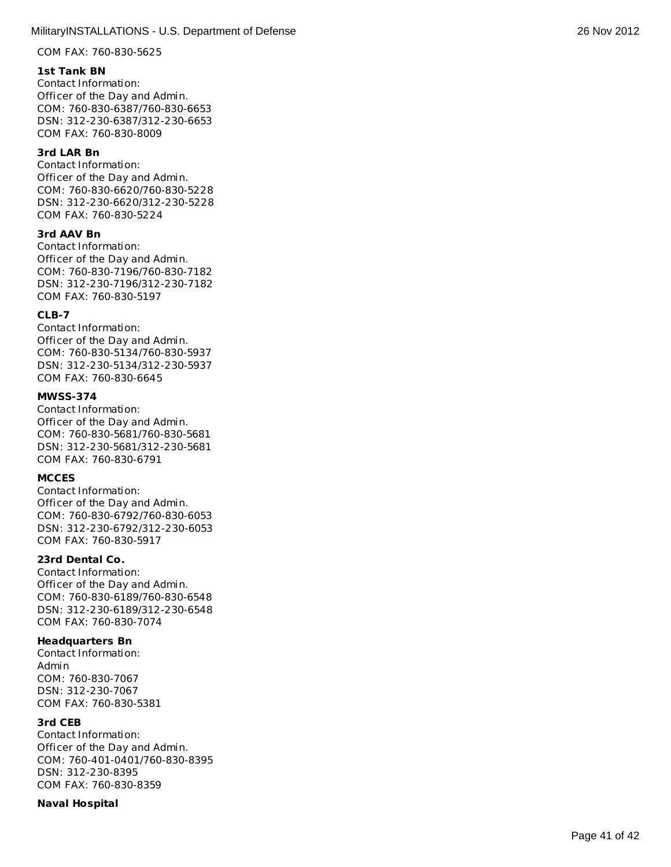COM FAX: 760-830-5625

# **1 s t T a n k B N**

Contact Information: Officer of the Day an d A d min. COM: 760-830-6387/760-830- 6 6 5 3 D S N: 3 1 2 - 2 3 0 - 6 3 8 7 /3 1 2 - 2 3 0 - 6 6 5 3 COM FAX: 760-830-8009 **MilitaryINSTALLATIONS - U.S. Department of Defense 26 Nov 2012<br>
2.6 Nov 70-455-6252<br>
2.6 Nov 70-455-6252<br>
Collection (Particular Back of Asystem)<br>
Collection (Particular Back of Asystem)<br>
Collection (Particular Back of As** 

# **3 r d L A R B n**

Contact Information: Officer of the Day an d A d min. COM: 760-830-6620/760-830- 5 2 2 8 D S N: 3 1 2 - 2 3 0 - 6 6 2 0 / 3 1 2 - 2 3 0 - 5 2 2 8 COM FAX: 760-830-5224

# **3 r d AAV B n**

Contact Information: Officer of the Day an d A d min. COM: 760-830-7196/760-830- 7 1 8 2 DSN: 312-230-7196/312-230-7182 COM FAX: 760-830-5197

### **C L B - 7**

Contact Information: Officer of the Day an d A d min. COM: 760-830-5134/760-830- 5 9 3 7 DSN: 312-230-5134/312-230-5937 COM FAX: 760-830-6645

### **M W S S - 3 7 4**

Contact Information: Officer of the Day an d A d min. COM: 760-830-5681/760-830-5 6 8 1 DSN: 312-230-5681/312-230-5681 COM FAX: 760-830-6791

#### **MCCES**

Contact Information: Officer of the Day an d A d min. COM: 760-830-6792/760-830- 6 0 5 3 DSN: 312-230-6792/312-230-6053 COM FAX: 760-830-5917

# 23rd Dental Co.

Contact Information: Officer of the Day an d A d min. COM: 760-830-6189/760-830- 6 5 4 8 D S N: 3 1 2 - 2 3 0 - 6 1 8 9 /3 1 2 - 2 3 0 - 6 5 4 8 COM FAX: 760-830-7074

# **headquarters Bn**

Contact Information: Admin COM: 760-830-7067 DSN: 312-230-7067 COM FAX: 760-830-5 3 8 1

# **3 r d C E B**

Contact Information: Officer of the Day an d A d min. COM: 760-401-0401/760-830- 8 3 9 5 D S N: 3 1 2 - 2 3 0 - 8 3 9 5 COM FAX: 760-830-8359

# **N a v a l H o s p it a**